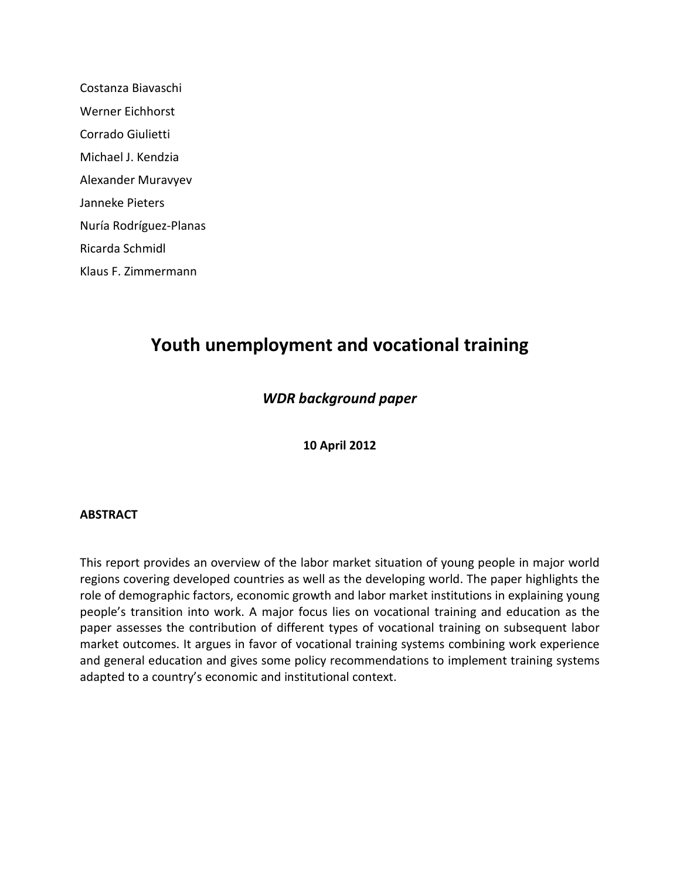Costanza Biavaschi Werner Eichhorst Corrado Giulietti Michael J. Kendzia Alexander Muravyev Janneke Pieters Nuría Rodríguez-Planas Ricarda Schmidl Klaus F. Zimmermann

# **Youth unemployment and vocational training**

### *WDR background paper*

**10 April 2012**

#### **ABSTRACT**

<span id="page-0-0"></span>This report provides an overview of the labor market situation of young people in major world regions covering developed countries as well as the developing world. The paper highlights the role of demographic factors, economic growth and labor market institutions in explaining young people's transition into work. A major focus lies on vocational training and education as the paper assesses the contribution of different types of vocational training on subsequent labor market outcomes. It argues in favor of vocational training systems combining work experience and general education and gives some policy recommendations to implement training systems adapted to a country's economic and institutional context.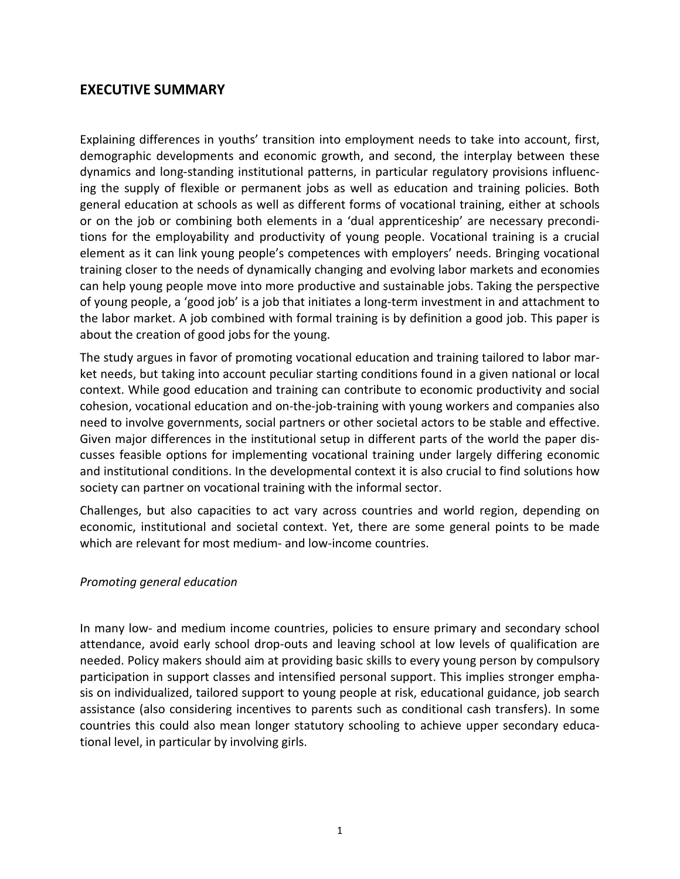### **EXECUTIVE SUMMARY**

Explaining differences in youths' transition into employment needs to take into account, first, demographic developments and economic growth, and second, the interplay between these dynamics and long-standing institutional patterns, in particular regulatory provisions influencing the supply of flexible or permanent jobs as well as education and training policies. Both general education at schools as well as different forms of vocational training, either at schools or on the job or combining both elements in a 'dual apprenticeship' are necessary preconditions for the employability and productivity of young people. Vocational training is a crucial element as it can link young people's competences with employers' needs. Bringing vocational training closer to the needs of dynamically changing and evolving labor markets and economies can help young people move into more productive and sustainable jobs. Taking the perspective of young people, a 'good job' is a job that initiates a long-term investment in and attachment to the labor market. A job combined with formal training is by definition a good job. This paper is about the creation of good jobs for the young.

The study argues in favor of promoting vocational education and training tailored to labor market needs, but taking into account peculiar starting conditions found in a given national or local context. While good education and training can contribute to economic productivity and social cohesion, vocational education and on-the-job-training with young workers and companies also need to involve governments, social partners or other societal actors to be stable and effective. Given major differences in the institutional setup in different parts of the world the paper discusses feasible options for implementing vocational training under largely differing economic and institutional conditions. In the developmental context it is also crucial to find solutions how society can partner on vocational training with the informal sector.

Challenges, but also capacities to act vary across countries and world region, depending on economic, institutional and societal context. Yet, there are some general points to be made which are relevant for most medium- and low-income countries.

#### *Promoting general education*

In many low- and medium income countries, policies to ensure primary and secondary school attendance, avoid early school drop-outs and leaving school at low levels of qualification are needed. Policy makers should aim at providing basic skills to every young person by compulsory participation in support classes and intensified personal support. This implies stronger emphasis on individualized, tailored support to young people at risk, educational guidance, job search assistance (also considering incentives to parents such as conditional cash transfers). In some countries this could also mean longer statutory schooling to achieve upper secondary educational level, in particular by involving girls.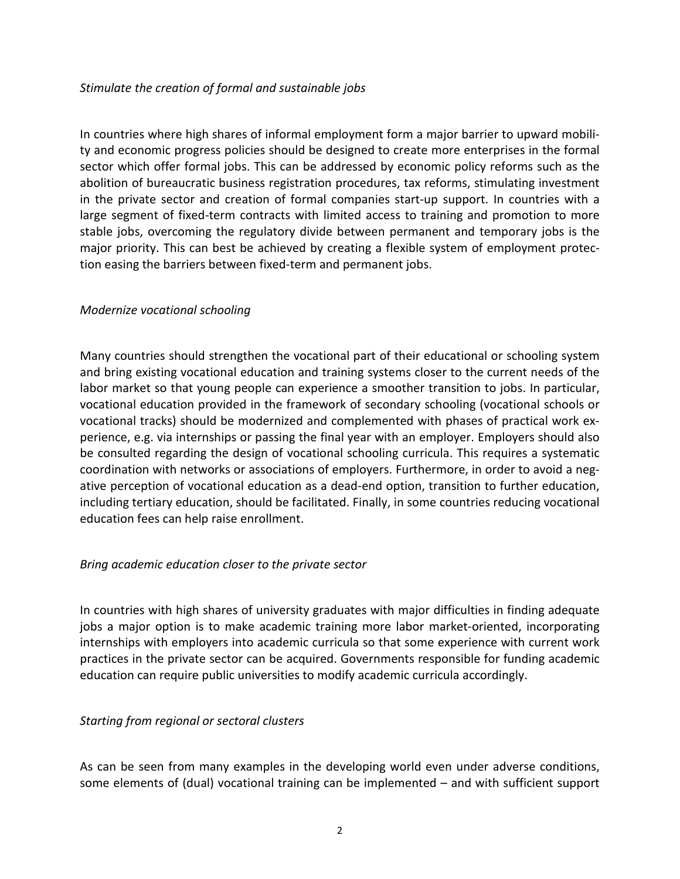#### *Stimulate the creation of formal and sustainable jobs*

In countries where high shares of informal employment form a major barrier to upward mobility and economic progress policies should be designed to create more enterprises in the formal sector which offer formal jobs. This can be addressed by economic policy reforms such as the abolition of bureaucratic business registration procedures, tax reforms, stimulating investment in the private sector and creation of formal companies start-up support. In countries with a large segment of fixed-term contracts with limited access to training and promotion to more stable jobs, overcoming the regulatory divide between permanent and temporary jobs is the major priority. This can best be achieved by creating a flexible system of employment protection easing the barriers between fixed-term and permanent jobs.

#### *Modernize vocational schooling*

Many countries should strengthen the vocational part of their educational or schooling system and bring existing vocational education and training systems closer to the current needs of the labor market so that young people can experience a smoother transition to jobs. In particular, vocational education provided in the framework of secondary schooling (vocational schools or vocational tracks) should be modernized and complemented with phases of practical work experience, e.g. via internships or passing the final year with an employer. Employers should also be consulted regarding the design of vocational schooling curricula. This requires a systematic coordination with networks or associations of employers. Furthermore, in order to avoid a negative perception of vocational education as a dead-end option, transition to further education, including tertiary education, should be facilitated. Finally, in some countries reducing vocational education fees can help raise enrollment.

#### *Bring academic education closer to the private sector*

In countries with high shares of university graduates with major difficulties in finding adequate jobs a major option is to make academic training more labor market-oriented, incorporating internships with employers into academic curricula so that some experience with current work practices in the private sector can be acquired. Governments responsible for funding academic education can require public universities to modify academic curricula accordingly.

#### *Starting from regional or sectoral clusters*

As can be seen from many examples in the developing world even under adverse conditions, some elements of (dual) vocational training can be implemented – and with sufficient support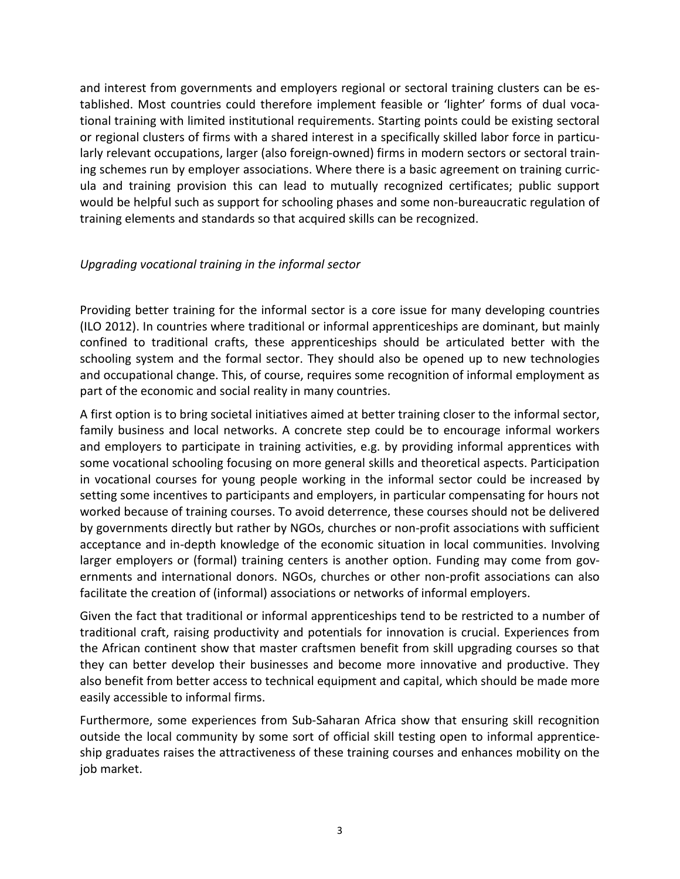and interest from governments and employers regional or sectoral training clusters can be established. Most countries could therefore implement feasible or 'lighter' forms of dual vocational training with limited institutional requirements. Starting points could be existing sectoral or regional clusters of firms with a shared interest in a specifically skilled labor force in particularly relevant occupations, larger (also foreign-owned) firms in modern sectors or sectoral training schemes run by employer associations. Where there is a basic agreement on training curricula and training provision this can lead to mutually recognized certificates; public support would be helpful such as support for schooling phases and some non-bureaucratic regulation of training elements and standards so that acquired skills can be recognized.

#### *Upgrading vocational training in the informal sector*

Providing better training for the informal sector is a core issue for many developing countries (ILO 2012). In countries where traditional or informal apprenticeships are dominant, but mainly confined to traditional crafts, these apprenticeships should be articulated better with the schooling system and the formal sector. They should also be opened up to new technologies and occupational change. This, of course, requires some recognition of informal employment as part of the economic and social reality in many countries.

A first option is to bring societal initiatives aimed at better training closer to the informal sector, family business and local networks. A concrete step could be to encourage informal workers and employers to participate in training activities, e.g. by providing informal apprentices with some vocational schooling focusing on more general skills and theoretical aspects. Participation in vocational courses for young people working in the informal sector could be increased by setting some incentives to participants and employers, in particular compensating for hours not worked because of training courses. To avoid deterrence, these courses should not be delivered by governments directly but rather by NGOs, churches or non-profit associations with sufficient acceptance and in-depth knowledge of the economic situation in local communities. Involving larger employers or (formal) training centers is another option. Funding may come from governments and international donors. NGOs, churches or other non-profit associations can also facilitate the creation of (informal) associations or networks of informal employers.

Given the fact that traditional or informal apprenticeships tend to be restricted to a number of traditional craft, raising productivity and potentials for innovation is crucial. Experiences from the African continent show that master craftsmen benefit from skill upgrading courses so that they can better develop their businesses and become more innovative and productive. They also benefit from better access to technical equipment and capital, which should be made more easily accessible to informal firms.

Furthermore, some experiences from Sub-Saharan Africa show that ensuring skill recognition outside the local community by some sort of official skill testing open to informal apprenticeship graduates raises the attractiveness of these training courses and enhances mobility on the job market.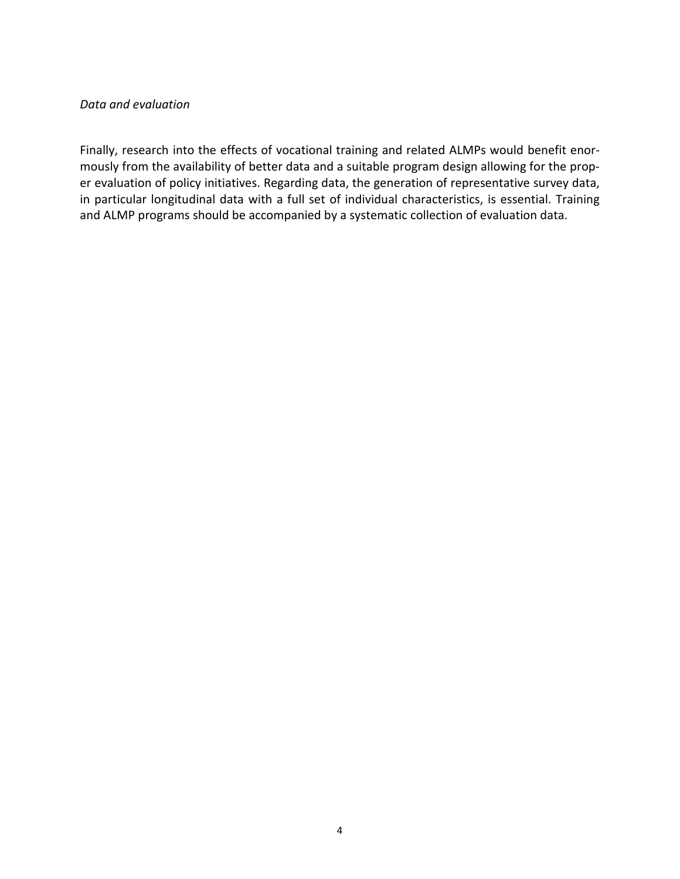#### *Data and evaluation*

Finally, research into the effects of vocational training and related ALMPs would benefit enormously from the availability of better data and a suitable program design allowing for the proper evaluation of policy initiatives. Regarding data, the generation of representative survey data, in particular longitudinal data with a full set of individual characteristics, is essential. Training and ALMP programs should be accompanied by a systematic collection of evaluation data.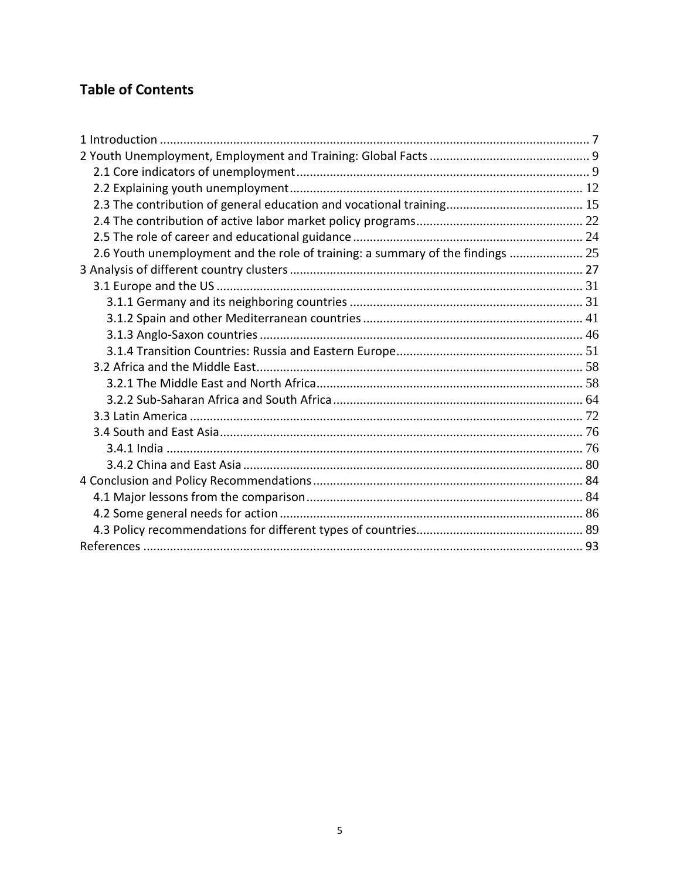# **Table of Contents**

| 2.6 Youth unemployment and the role of training: a summary of the findings  25 |  |
|--------------------------------------------------------------------------------|--|
|                                                                                |  |
|                                                                                |  |
|                                                                                |  |
|                                                                                |  |
|                                                                                |  |
|                                                                                |  |
|                                                                                |  |
|                                                                                |  |
|                                                                                |  |
|                                                                                |  |
|                                                                                |  |
|                                                                                |  |
|                                                                                |  |
|                                                                                |  |
|                                                                                |  |
|                                                                                |  |
|                                                                                |  |
|                                                                                |  |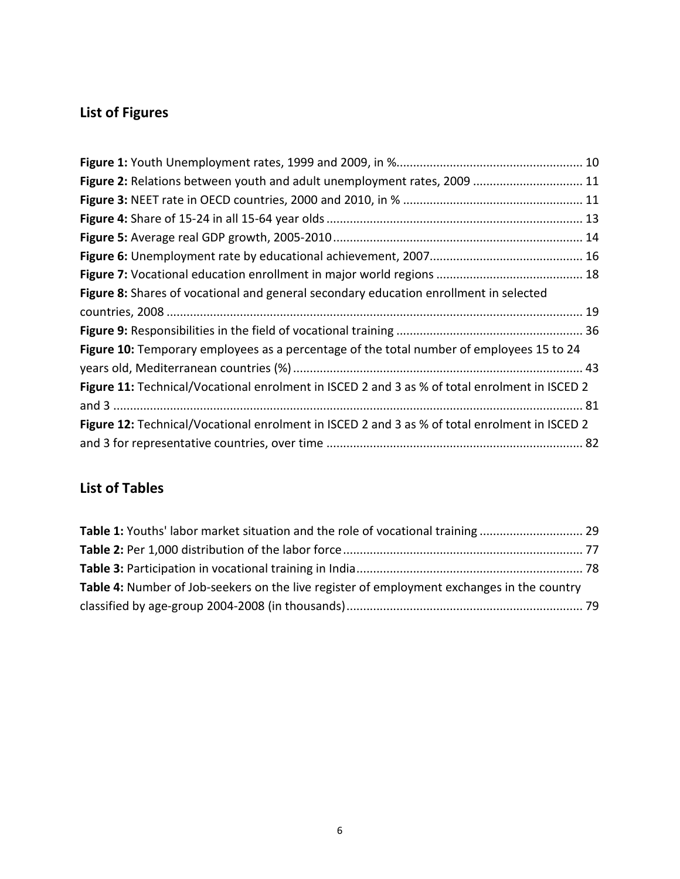# **List of Figures**

| Figure 2: Relations between youth and adult unemployment rates, 2009  11                      |
|-----------------------------------------------------------------------------------------------|
|                                                                                               |
|                                                                                               |
|                                                                                               |
|                                                                                               |
|                                                                                               |
| Figure 8: Shares of vocational and general secondary education enrollment in selected         |
|                                                                                               |
|                                                                                               |
| Figure 10: Temporary employees as a percentage of the total number of employees 15 to 24      |
|                                                                                               |
| Figure 11: Technical/Vocational enrolment in ISCED 2 and 3 as % of total enrolment in ISCED 2 |
|                                                                                               |
| Figure 12: Technical/Vocational enrolment in ISCED 2 and 3 as % of total enrolment in ISCED 2 |
|                                                                                               |

# **List of Tables**

| Table 4: Number of Job-seekers on the live register of employment exchanges in the country |  |
|--------------------------------------------------------------------------------------------|--|
|                                                                                            |  |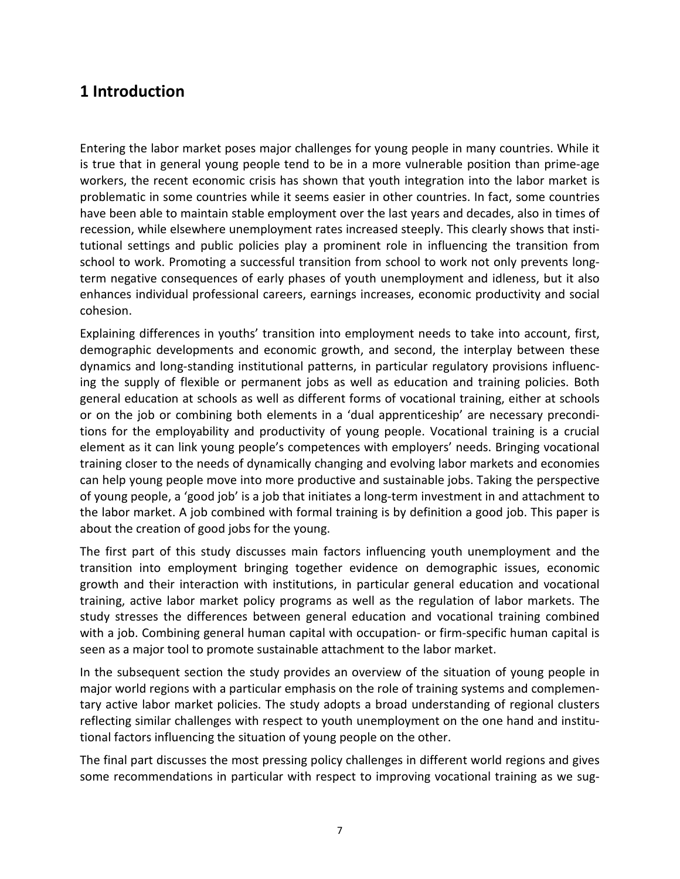# <span id="page-7-0"></span>**1 Introduction**

Entering the labor market poses major challenges for young people in many countries. While it is true that in general young people tend to be in a more vulnerable position than prime-age workers, the recent economic crisis has shown that youth integration into the labor market is problematic in some countries while it seems easier in other countries. In fact, some countries have been able to maintain stable employment over the last years and decades, also in times of recession, while elsewhere unemployment rates increased steeply. This clearly shows that institutional settings and public policies play a prominent role in influencing the transition from school to work. Promoting a successful transition from school to work not only prevents longterm negative consequences of early phases of youth unemployment and idleness, but it also enhances individual professional careers, earnings increases, economic productivity and social cohesion.

Explaining differences in youths' transition into employment needs to take into account, first, demographic developments and economic growth, and second, the interplay between these dynamics and long-standing institutional patterns, in particular regulatory provisions influencing the supply of flexible or permanent jobs as well as education and training policies. Both general education at schools as well as different forms of vocational training, either at schools or on the job or combining both elements in a 'dual apprenticeship' are necessary preconditions for the employability and productivity of young people. Vocational training is a crucial element as it can link young people's competences with employers' needs. Bringing vocational training closer to the needs of dynamically changing and evolving labor markets and economies can help young people move into more productive and sustainable jobs. Taking the perspective of young people, a 'good job' is a job that initiates a long-term investment in and attachment to the labor market. A job combined with formal training is by definition a good job. This paper is about the creation of good jobs for the young.

The first part of this study discusses main factors influencing youth unemployment and the transition into employment bringing together evidence on demographic issues, economic growth and their interaction with institutions, in particular general education and vocational training, active labor market policy programs as well as the regulation of labor markets. The study stresses the differences between general education and vocational training combined with a job. Combining general human capital with occupation- or firm-specific human capital is seen as a major tool to promote sustainable attachment to the labor market.

In the subsequent section the study provides an overview of the situation of young people in major world regions with a particular emphasis on the role of training systems and complementary active labor market policies. The study adopts a broad understanding of regional clusters reflecting similar challenges with respect to youth unemployment on the one hand and institutional factors influencing the situation of young people on the other.

The final part discusses the most pressing policy challenges in different world regions and gives some recommendations in particular with respect to improving vocational training as we sug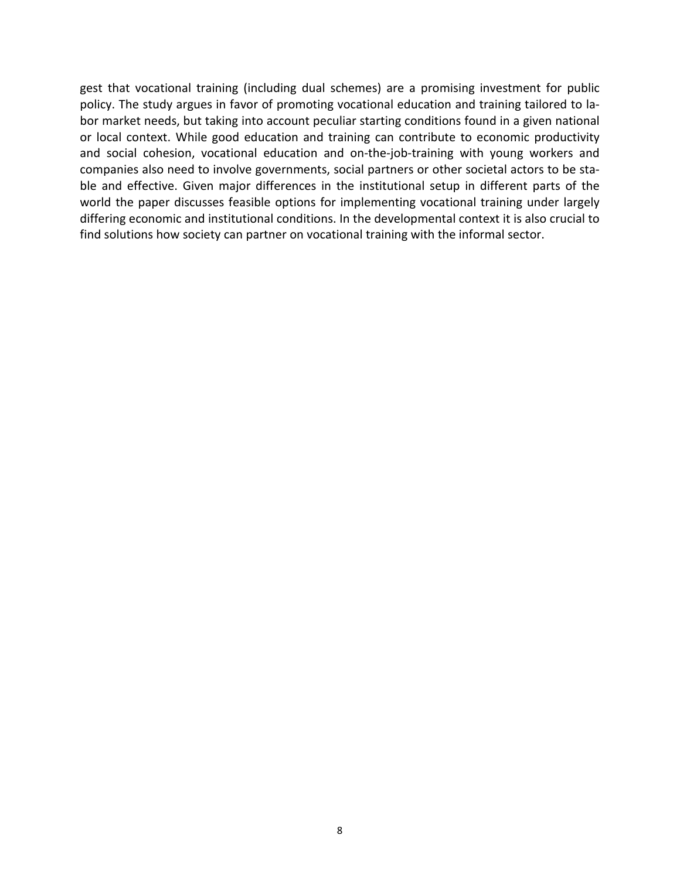gest that vocational training (including dual schemes) are a promising investment for public policy. The study argues in favor of promoting vocational education and training tailored to labor market needs, but taking into account peculiar starting conditions found in a given national or local context. While good education and training can contribute to economic productivity and social cohesion, vocational education and on-the-job-training with young workers and companies also need to involve governments, social partners or other societal actors to be stable and effective. Given major differences in the institutional setup in different parts of the world the paper discusses feasible options for implementing vocational training under largely differing economic and institutional conditions. In the developmental context it is also crucial to find solutions how society can partner on vocational training with the informal sector.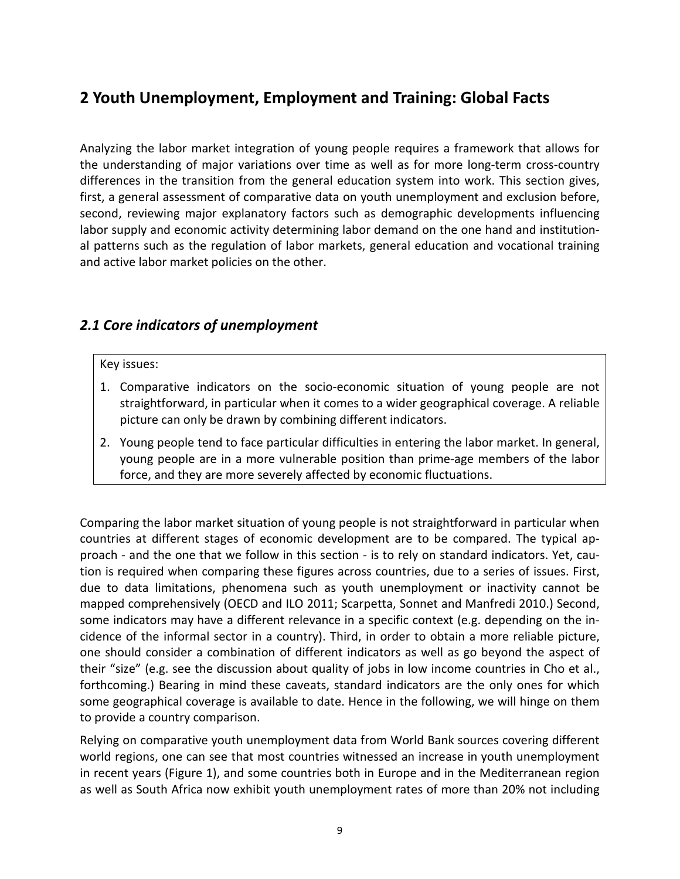# <span id="page-9-0"></span>**2 Youth Unemployment, Employment and Training: Global Facts**

Analyzing the labor market integration of young people requires a framework that allows for the understanding of major variations over time as well as for more long-term cross-country differences in the transition from the general education system into work. This section gives, first, a general assessment of comparative data on youth unemployment and exclusion before, second, reviewing major explanatory factors such as demographic developments influencing labor supply and economic activity determining labor demand on the one hand and institutional patterns such as the regulation of labor markets, general education and vocational training and active labor market policies on the other.

## <span id="page-9-1"></span>*2.1 Core indicators of unemployment*

#### Key issues:

- 1. Comparative indicators on the socio-economic situation of young people are not straightforward, in particular when it comes to a wider geographical coverage. A reliable picture can only be drawn by combining different indicators.
- 2. Young people tend to face particular difficulties in entering the labor market. In general, young people are in a more vulnerable position than prime-age members of the labor force, and they are more severely affected by economic fluctuations.

Comparing the labor market situation of young people is not straightforward in particular when countries at different stages of economic development are to be compared. The typical approach - and the one that we follow in this section - is to rely on standard indicators. Yet, caution is required when comparing these figures across countries, due to a series of issues. First, due to data limitations, phenomena such as youth unemployment or inactivity cannot be mapped comprehensively (OECD and ILO 2011; Scarpetta, Sonnet and Manfredi 2010.) Second, some indicators may have a different relevance in a specific context (e.g. depending on the incidence of the informal sector in a country). Third, in order to obtain a more reliable picture, one should consider a combination of different indicators as well as go beyond the aspect of their "size" (e.g. see the discussion about quality of jobs in low income countries in Cho et al., forthcoming.) Bearing in mind these caveats, standard indicators are the only ones for which some geographical coverage is available to date. Hence in the following, we will hinge on them to provide a country comparison.

Relying on comparative youth unemployment data from World Bank sources covering different world regions, one can see that most countries witnessed an increase in youth unemployment in recent years (Figure 1), and some countries both in Europe and in the Mediterranean region as well as South Africa now exhibit youth unemployment rates of more than 20% not including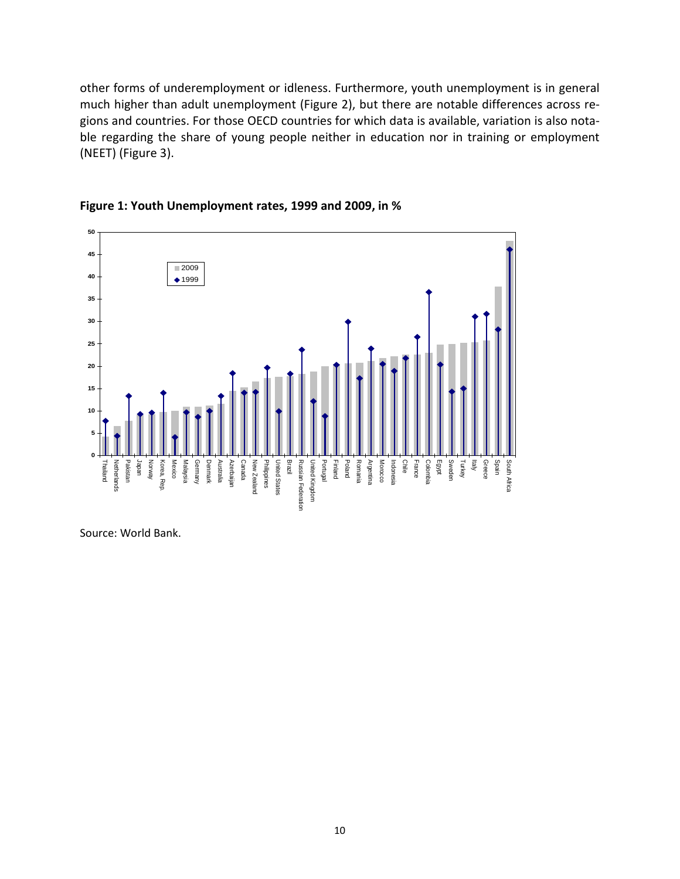other forms of underemployment or idleness. Furthermore, youth unemployment is in general much higher than adult unemployment (Figure 2), but there are notable differences across regions and countries. For those OECD countries for which data is available, variation is also notable regarding the share of young people neither in education nor in training or employment (NEET) (Figure 3).



<span id="page-10-0"></span>

Source: World Bank.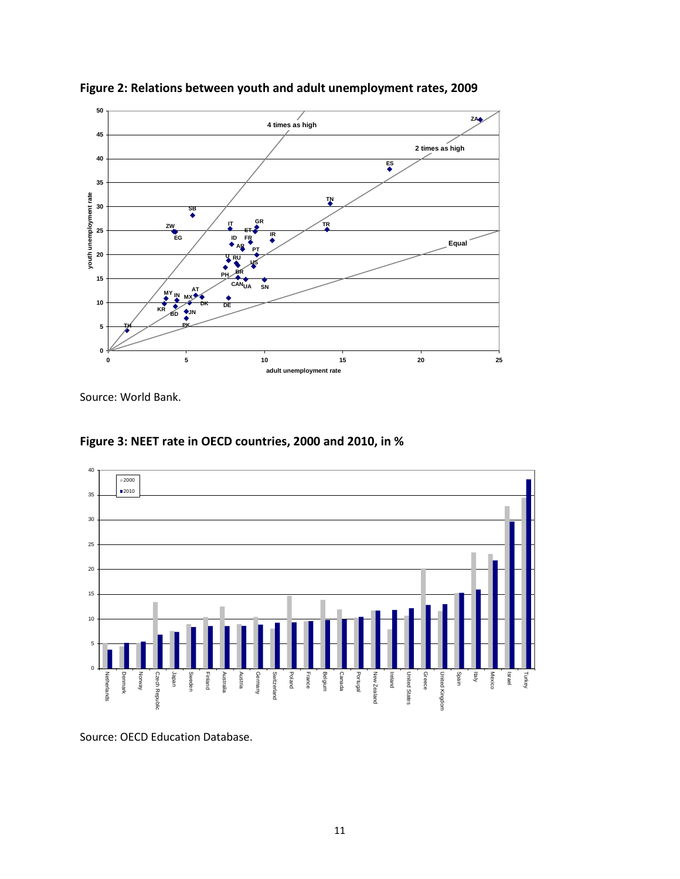

<span id="page-11-0"></span>**Figure 2: Relations between youth and adult unemployment rates, 2009**

Source: World Bank.

<span id="page-11-1"></span>



Source: OECD Education Database.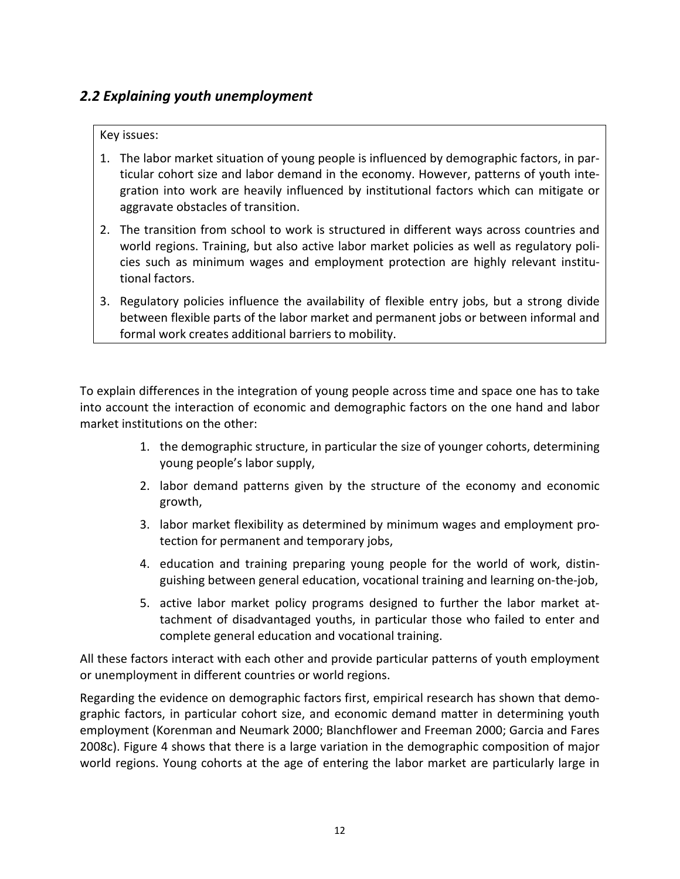# <span id="page-12-0"></span>*2.2 Explaining youth unemployment*

#### Key issues:

- 1. The labor market situation of young people is influenced by demographic factors, in particular cohort size and labor demand in the economy. However, patterns of youth integration into work are heavily influenced by institutional factors which can mitigate or aggravate obstacles of transition.
- 2. The transition from school to work is structured in different ways across countries and world regions. Training, but also active labor market policies as well as regulatory policies such as minimum wages and employment protection are highly relevant institutional factors.
- 3. Regulatory policies influence the availability of flexible entry jobs, but a strong divide between flexible parts of the labor market and permanent jobs or between informal and formal work creates additional barriers to mobility.

To explain differences in the integration of young people across time and space one has to take into account the interaction of economic and demographic factors on the one hand and labor market institutions on the other:

- 1. the demographic structure, in particular the size of younger cohorts, determining young people's labor supply,
- 2. labor demand patterns given by the structure of the economy and economic growth,
- 3. labor market flexibility as determined by minimum wages and employment protection for permanent and temporary jobs,
- 4. education and training preparing young people for the world of work, distinguishing between general education, vocational training and learning on-the-job,
- 5. active labor market policy programs designed to further the labor market attachment of disadvantaged youths, in particular those who failed to enter and complete general education and vocational training.

All these factors interact with each other and provide particular patterns of youth employment or unemployment in different countries or world regions.

Regarding the evidence on demographic factors first, empirical research has shown that demographic factors, in particular cohort size, and economic demand matter in determining youth employment (Korenman and Neumark 2000; Blanchflower and Freeman 2000; Garcia and Fares 2008c). Figure 4 shows that there is a large variation in the demographic composition of major world regions. Young cohorts at the age of entering the labor market are particularly large in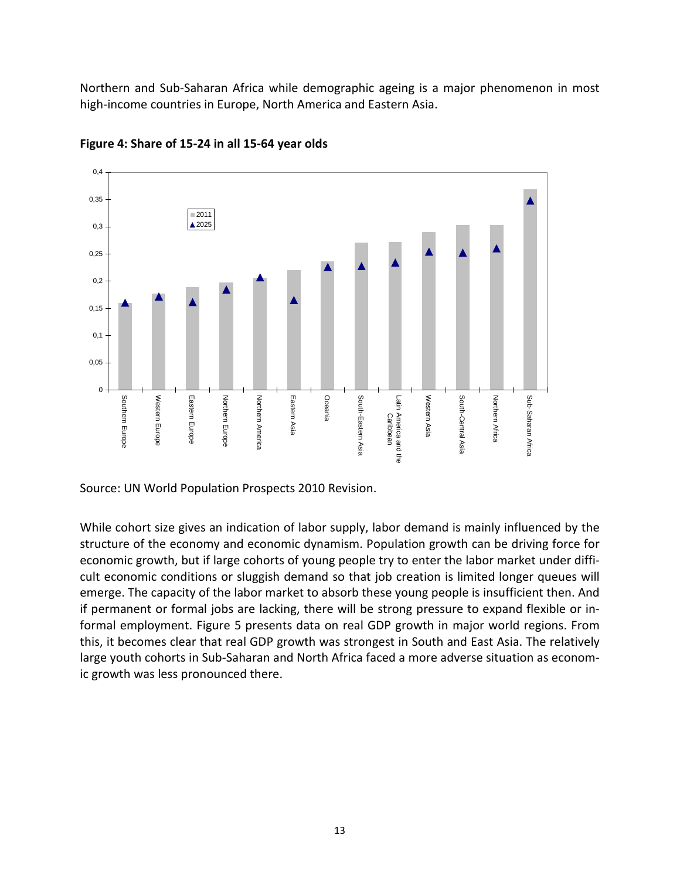Northern and Sub-Saharan Africa while demographic ageing is a major phenomenon in most high-income countries in Europe, North America and Eastern Asia.



<span id="page-13-0"></span>**Figure 4: Share of 15-24 in all 15-64 year olds**

Source: UN World Population Prospects 2010 Revision.

While cohort size gives an indication of labor supply, labor demand is mainly influenced by the structure of the economy and economic dynamism. Population growth can be driving force for economic growth, but if large cohorts of young people try to enter the labor market under difficult economic conditions or sluggish demand so that job creation is limited longer queues will emerge. The capacity of the labor market to absorb these young people is insufficient then. And if permanent or formal jobs are lacking, there will be strong pressure to expand flexible or informal employment. Figure 5 presents data on real GDP growth in major world regions. From this, it becomes clear that real GDP growth was strongest in South and East Asia. The relatively large youth cohorts in Sub-Saharan and North Africa faced a more adverse situation as economic growth was less pronounced there.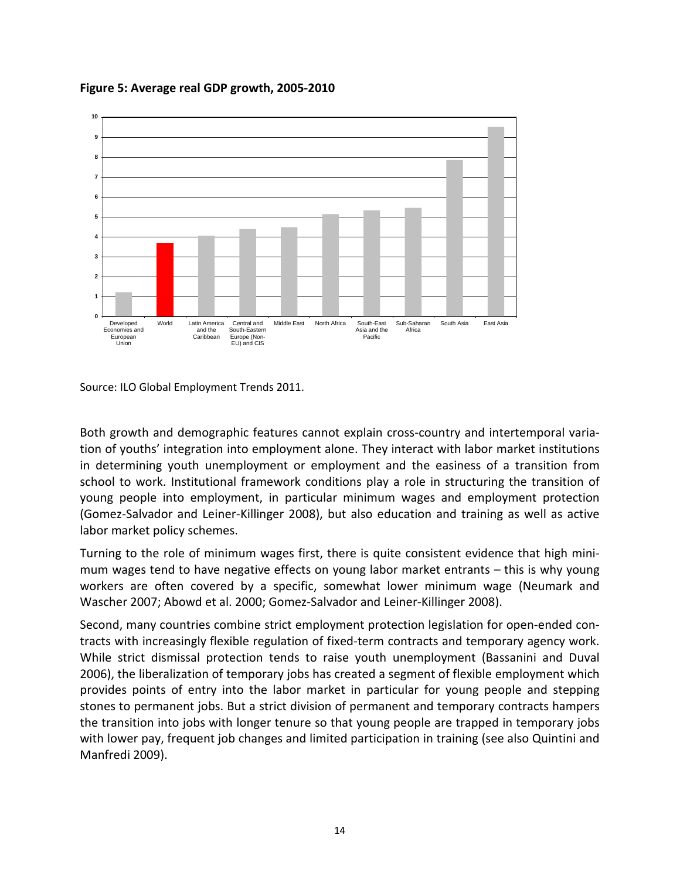

<span id="page-14-0"></span>**Figure 5: Average real GDP growth, 2005-2010**

Source: ILO Global Employment Trends 2011.

Both growth and demographic features cannot explain cross-country and intertemporal variation of youths' integration into employment alone. They interact with labor market institutions in determining youth unemployment or employment and the easiness of a transition from school to work. Institutional framework conditions play a role in structuring the transition of young people into employment, in particular minimum wages and employment protection (Gomez-Salvador and Leiner-Killinger 2008), but also education and training as well as active labor market policy schemes.

Turning to the role of minimum wages first, there is quite consistent evidence that high minimum wages tend to have negative effects on young labor market entrants – this is why young workers are often covered by a specific, somewhat lower minimum wage (Neumark and Wascher 2007; Abowd et al. 2000; Gomez-Salvador and Leiner-Killinger 2008).

Second, many countries combine strict employment protection legislation for open-ended contracts with increasingly flexible regulation of fixed-term contracts and temporary agency work. While strict dismissal protection tends to raise youth unemployment (Bassanini and Duval 2006), the liberalization of temporary jobs has created a segment of flexible employment which provides points of entry into the labor market in particular for young people and stepping stones to permanent jobs. But a strict division of permanent and temporary contracts hampers the transition into jobs with longer tenure so that young people are trapped in temporary jobs with lower pay, frequent job changes and limited participation in training (see also Quintini and Manfredi 2009).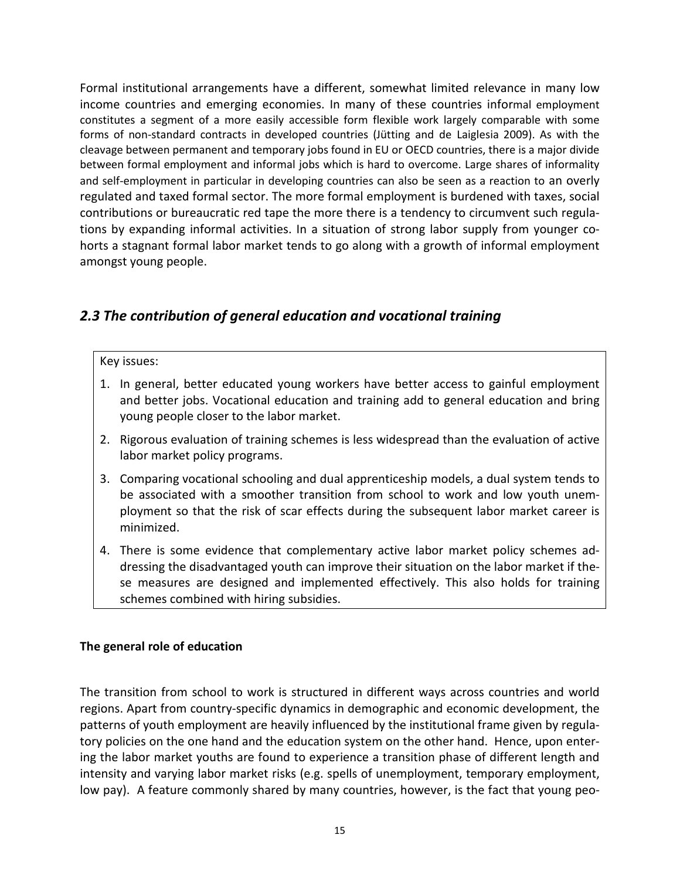Formal institutional arrangements have a different, somewhat limited relevance in many low income countries and emerging economies. In many of these countries informal employment constitutes a segment of a more easily accessible form flexible work largely comparable with some forms of non-standard contracts in developed countries [\(Jütting](http://www.econis.eu/DB=1/SET=1/TTL=2/MAT=/NOMAT=T/CLK?IKT=1016&TRM=J%D3tting) [and](http://www.econis.eu/DB=1/SET=1/TTL=2/MAT=/NOMAT=T/CLK?IKT=1016&TRM=and) [de](http://www.econis.eu/DB=1/SET=1/TTL=2/MAT=/NOMAT=T/CLK?IKT=1016&TRM=de) [Laiglesia](http://www.econis.eu/DB=1/SET=1/TTL=2/MAT=/NOMAT=T/CLK?IKT=1016&TRM=Laiglesia) 2009). As with the cleavage between permanent and temporary jobs found in EU or OECD countries, there is a major divide between formal employment and informal jobs which is hard to overcome. Large shares of informality and self-employment in particular in developing countries can also be seen as a reaction to an overly regulated and taxed formal sector. The more formal employment is burdened with taxes, social contributions or bureaucratic red tape the more there is a tendency to circumvent such regulations by expanding informal activities. In a situation of strong labor supply from younger cohorts a stagnant formal labor market tends to go along with a growth of informal employment amongst young people.

## <span id="page-15-0"></span>*2.3 The contribution of general education and vocational training*

#### Key issues:

- 1. In general, better educated young workers have better access to gainful employment and better jobs. Vocational education and training add to general education and bring young people closer to the labor market.
- 2. Rigorous evaluation of training schemes is less widespread than the evaluation of active labor market policy programs.
- 3. Comparing vocational schooling and dual apprenticeship models, a dual system tends to be associated with a smoother transition from school to work and low youth unemployment so that the risk of scar effects during the subsequent labor market career is minimized.
- 4. There is some evidence that complementary active labor market policy schemes addressing the disadvantaged youth can improve their situation on the labor market if these measures are designed and implemented effectively. This also holds for training schemes combined with hiring subsidies.

#### **The general role of education**

The transition from school to work is structured in different ways across countries and world regions. Apart from country-specific dynamics in demographic and economic development, the patterns of youth employment are heavily influenced by the institutional frame given by regulatory policies on the one hand and the education system on the other hand. Hence, upon entering the labor market youths are found to experience a transition phase of different length and intensity and varying labor market risks (e.g. spells of unemployment, temporary employment, low pay). A feature commonly shared by many countries, however, is the fact that young peo-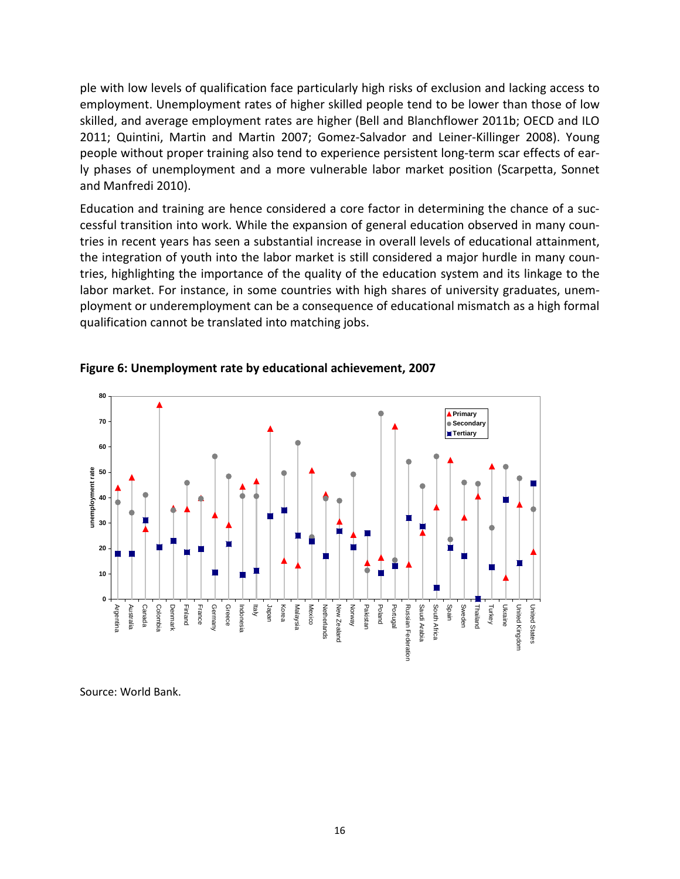ple with low levels of qualification face particularly high risks of exclusion and lacking access to employment. Unemployment rates of higher skilled people tend to be lower than those of low skilled, and average employment rates are higher (Bell and Blanchflower 2011b; OECD and ILO 2011; Quintini, Martin and Martin 2007; Gomez-Salvador and Leiner-Killinger 2008). Young people without proper training also tend to experience persistent long-term scar effects of early phases of unemployment and a more vulnerable labor market position (Scarpetta, Sonnet and Manfredi 2010).

Education and training are hence considered a core factor in determining the chance of a successful transition into work. While the expansion of general education observed in many countries in recent years has seen a substantial increase in overall levels of educational attainment, the integration of youth into the labor market is still considered a major hurdle in many countries, highlighting the importance of the quality of the education system and its linkage to the labor market. For instance, in some countries with high shares of university graduates, unemployment or underemployment can be a consequence of educational mismatch as a high formal qualification cannot be translated into matching jobs.



#### <span id="page-16-0"></span>**Figure 6: Unemployment rate by educational achievement, 2007**

Source: World Bank.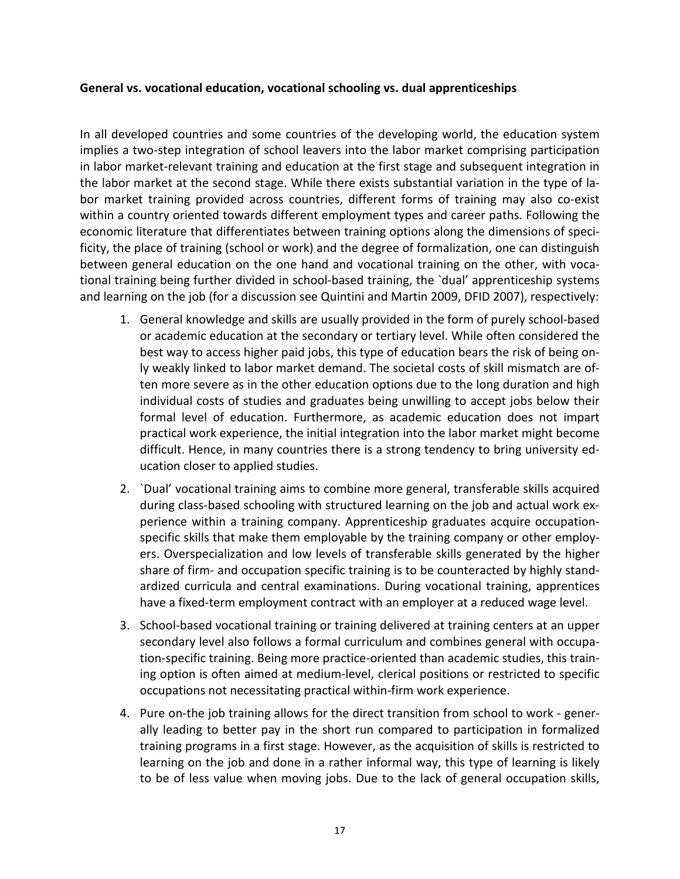#### **General vs. vocational education, vocational schooling vs. dual apprenticeships**

In all developed countries and some countries of the developing world, the education system implies a two-step integration of school leavers into the labor market comprising participation in labor market-relevant training and education at the first stage and subsequent integration in the labor market at the second stage. While there exists substantial variation in the type of labor market training provided across countries, different forms of training may also co-exist within a country oriented towards different employment types and career paths. Following the economic literature that differentiates between training options along the dimensions of specificity, the place of training (school or work) and the degree of formalization, one can distinguish between general education on the one hand and vocational training on the other, with vocational training being further divided in school-based training, the `dual' apprenticeship systems and learning on the job (for a discussion see Quintini and Martin 2009, DFID 2007), respectively:

- 1. General knowledge and skills are usually provided in the form of purely school-based or academic education at the secondary or tertiary level. While often considered the best way to access higher paid jobs, this type of education bears the risk of being only weakly linked to labor market demand. The societal costs of skill mismatch are often more severe as in the other education options due to the long duration and high individual costs of studies and graduates being unwilling to accept jobs below their formal level of education. Furthermore, as academic education does not impart practical work experience, the initial integration into the labor market might become difficult. Hence, in many countries there is a strong tendency to bring university education closer to applied studies.
- 2. `Dual' vocational training aims to combine more general, transferable skills acquired during class-based schooling with structured learning on the job and actual work experience within a training company. Apprenticeship graduates acquire occupationspecific skills that make them employable by the training company or other employers. Overspecialization and low levels of transferable skills generated by the higher share of firm- and occupation specific training is to be counteracted by highly standardized curricula and central examinations. During vocational training, apprentices have a fixed-term employment contract with an employer at a reduced wage level.
- 3. School-based vocational training or training delivered at training centers at an upper secondary level also follows a formal curriculum and combines general with occupation-specific training. Being more practice-oriented than academic studies, this training option is often aimed at medium-level, clerical positions or restricted to specific occupations not necessitating practical within-firm work experience.
- 4. Pure on-the job training allows for the direct transition from school to work generally leading to better pay in the short run compared to participation in formalized training programs in a first stage. However, as the acquisition of skills is restricted to learning on the job and done in a rather informal way, this type of learning is likely to be of less value when moving jobs. Due to the lack of general occupation skills,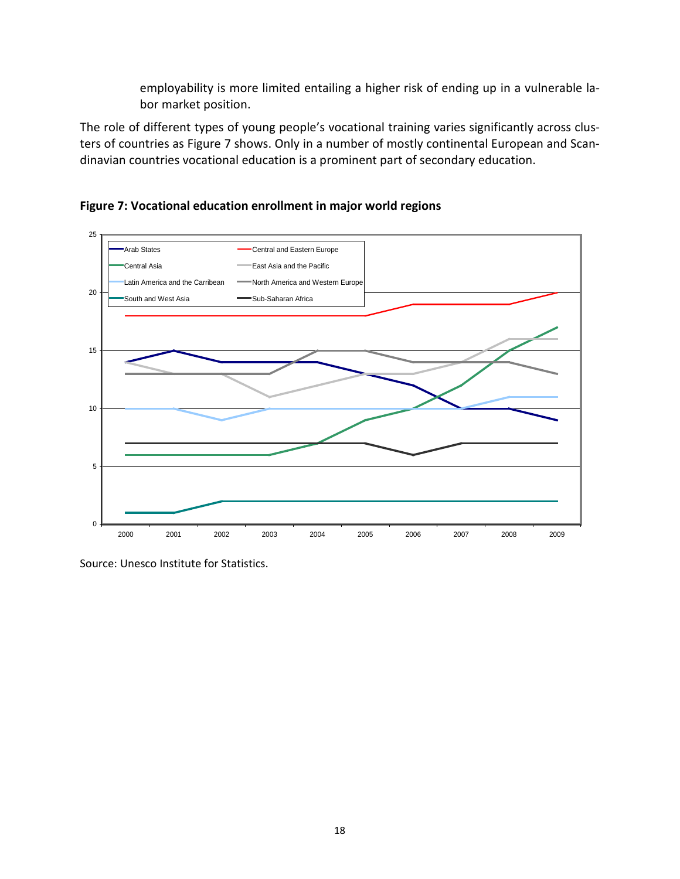employability is more limited entailing a higher risk of ending up in a vulnerable labor market position.

The role of different types of young people's vocational training varies significantly across clusters of countries as Figure 7 shows. Only in a number of mostly continental European and Scandinavian countries vocational education is a prominent part of secondary education.



<span id="page-18-0"></span>**Figure 7: Vocational education enrollment in major world regions**

Source: Unesco Institute for Statistics.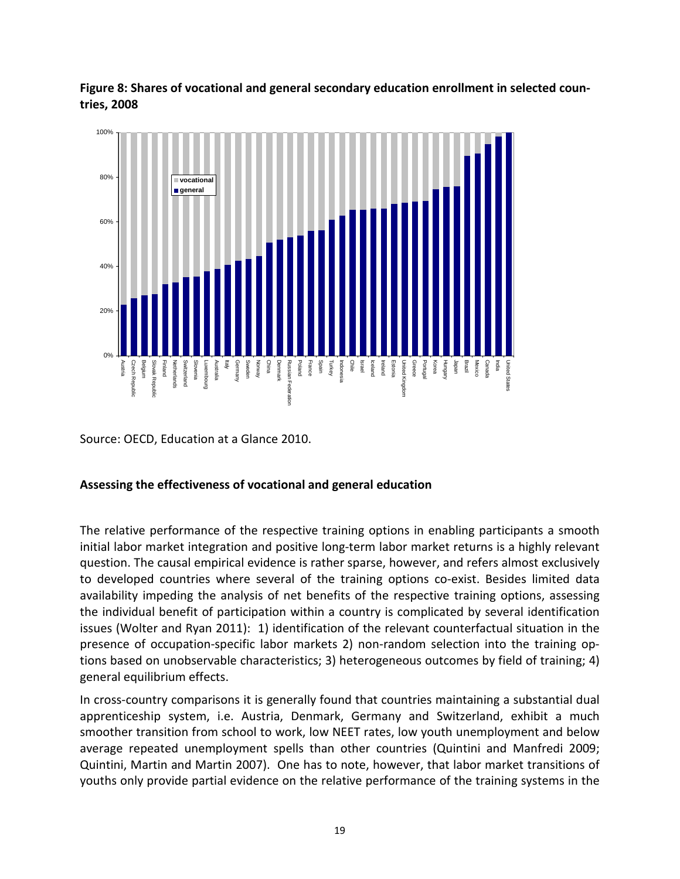<span id="page-19-0"></span>**Figure 8: Shares of vocational and general secondary education enrollment in selected countries, 2008**



Source: OECD, Education at a Glance 2010.

#### **Assessing the effectiveness of vocational and general education**

The relative performance of the respective training options in enabling participants a smooth initial labor market integration and positive long-term labor market returns is a highly relevant question. The causal empirical evidence is rather sparse, however, and refers almost exclusively to developed countries where several of the training options co-exist. Besides limited data availability impeding the analysis of net benefits of the respective training options, assessing the individual benefit of participation within a country is complicated by several identification issues (Wolter and Ryan 2011): 1) identification of the relevant counterfactual situation in the presence of occupation-specific labor markets 2) non-random selection into the training options based on unobservable characteristics; 3) heterogeneous outcomes by field of training; 4) general equilibrium effects.

In cross-country comparisons it is generally found that countries maintaining a substantial dual apprenticeship system, i.e. Austria, Denmark, Germany and Switzerland, exhibit a much smoother transition from school to work, low NEET rates, low youth unemployment and below average repeated unemployment spells than other countries (Quintini and Manfredi 2009; Quintini, Martin and Martin 2007). One has to note, however, that labor market transitions of youths only provide partial evidence on the relative performance of the training systems in the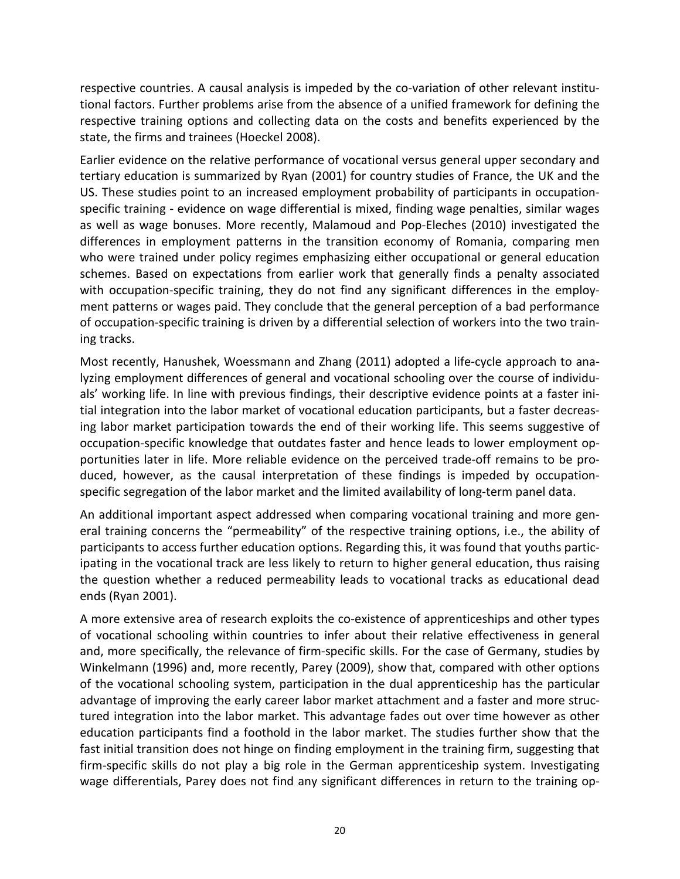respective countries. A causal analysis is impeded by the co-variation of other relevant institutional factors. Further problems arise from the absence of a unified framework for defining the respective training options and collecting data on the costs and benefits experienced by the state, the firms and trainees (Hoeckel 2008).

Earlier evidence on the relative performance of vocational versus general upper secondary and tertiary education is summarized by Ryan (2001) for country studies of France, the UK and the US. These studies point to an increased employment probability of participants in occupationspecific training - evidence on wage differential is mixed, finding wage penalties, similar wages as well as wage bonuses. More recently, Malamoud and Pop-Eleches (2010) investigated the differences in employment patterns in the transition economy of Romania, comparing men who were trained under policy regimes emphasizing either occupational or general education schemes. Based on expectations from earlier work that generally finds a penalty associated with occupation-specific training, they do not find any significant differences in the employment patterns or wages paid. They conclude that the general perception of a bad performance of occupation-specific training is driven by a differential selection of workers into the two training tracks.

Most recently, Hanushek, Woessmann and Zhang (2011) adopted a life-cycle approach to analyzing employment differences of general and vocational schooling over the course of individuals' working life. In line with previous findings, their descriptive evidence points at a faster initial integration into the labor market of vocational education participants, but a faster decreasing labor market participation towards the end of their working life. This seems suggestive of occupation-specific knowledge that outdates faster and hence leads to lower employment opportunities later in life. More reliable evidence on the perceived trade-off remains to be produced, however, as the causal interpretation of these findings is impeded by occupationspecific segregation of the labor market and the limited availability of long-term panel data.

An additional important aspect addressed when comparing vocational training and more general training concerns the "permeability" of the respective training options, i.e., the ability of participants to access further education options. Regarding this, it was found that youths participating in the vocational track are less likely to return to higher general education, thus raising the question whether a reduced permeability leads to vocational tracks as educational dead ends (Ryan 2001).

A more extensive area of research exploits the co-existence of apprenticeships and other types of vocational schooling within countries to infer about their relative effectiveness in general and, more specifically, the relevance of firm-specific skills. For the case of Germany, studies by Winkelmann (1996) and, more recently, Parey (2009), show that, compared with other options of the vocational schooling system, participation in the dual apprenticeship has the particular advantage of improving the early career labor market attachment and a faster and more structured integration into the labor market. This advantage fades out over time however as other education participants find a foothold in the labor market. The studies further show that the fast initial transition does not hinge on finding employment in the training firm, suggesting that firm-specific skills do not play a big role in the German apprenticeship system. Investigating wage differentials, Parey does not find any significant differences in return to the training op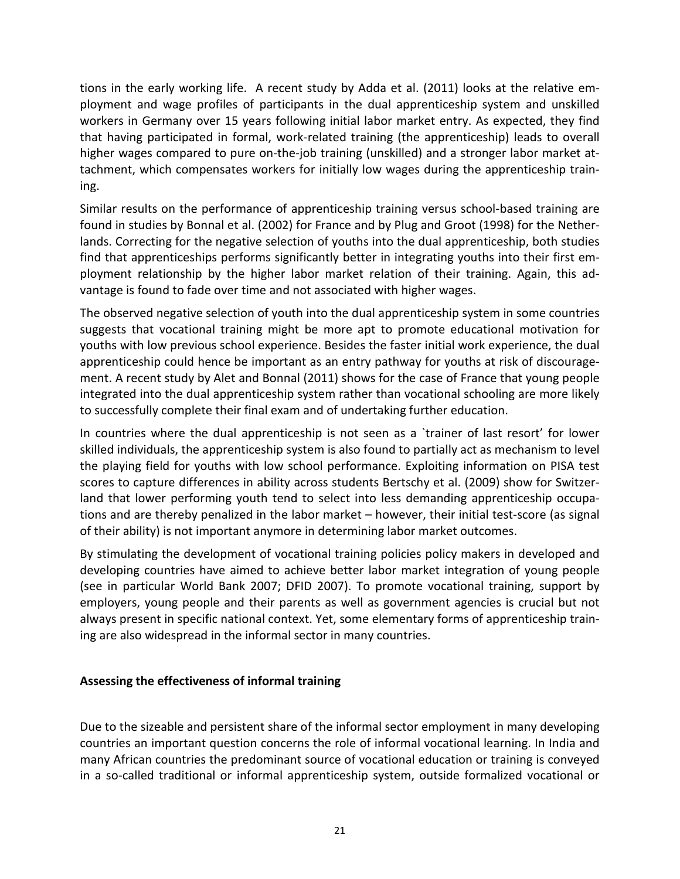tions in the early working life. A recent study by Adda et al. (2011) looks at the relative employment and wage profiles of participants in the dual apprenticeship system and unskilled workers in Germany over 15 years following initial labor market entry. As expected, they find that having participated in formal, work-related training (the apprenticeship) leads to overall higher wages compared to pure on-the-job training (unskilled) and a stronger labor market attachment, which compensates workers for initially low wages during the apprenticeship training.

Similar results on the performance of apprenticeship training versus school-based training are found in studies by Bonnal et al. (2002) for France and by Plug and Groot (1998) for the Netherlands. Correcting for the negative selection of youths into the dual apprenticeship, both studies find that apprenticeships performs significantly better in integrating youths into their first employment relationship by the higher labor market relation of their training. Again, this advantage is found to fade over time and not associated with higher wages.

The observed negative selection of youth into the dual apprenticeship system in some countries suggests that vocational training might be more apt to promote educational motivation for youths with low previous school experience. Besides the faster initial work experience, the dual apprenticeship could hence be important as an entry pathway for youths at risk of discouragement. A recent study by Alet and Bonnal (2011) shows for the case of France that young people integrated into the dual apprenticeship system rather than vocational schooling are more likely to successfully complete their final exam and of undertaking further education.

In countries where the dual apprenticeship is not seen as a `trainer of last resort' for lower skilled individuals, the apprenticeship system is also found to partially act as mechanism to level the playing field for youths with low school performance. Exploiting information on PISA test scores to capture differences in ability across students Bertschy et al. (2009) show for Switzerland that lower performing youth tend to select into less demanding apprenticeship occupations and are thereby penalized in the labor market – however, their initial test-score (as signal of their ability) is not important anymore in determining labor market outcomes.

By stimulating the development of vocational training policies policy makers in developed and developing countries have aimed to achieve better labor market integration of young people (see in particular World Bank 2007; DFID 2007). To promote vocational training, support by employers, young people and their parents as well as government agencies is crucial but not always present in specific national context. Yet, some elementary forms of apprenticeship training are also widespread in the informal sector in many countries.

#### **Assessing the effectiveness of informal training**

Due to the sizeable and persistent share of the informal sector employment in many developing countries an important question concerns the role of informal vocational learning. In India and many African countries the predominant source of vocational education or training is conveyed in a so-called traditional or informal apprenticeship system, outside formalized vocational or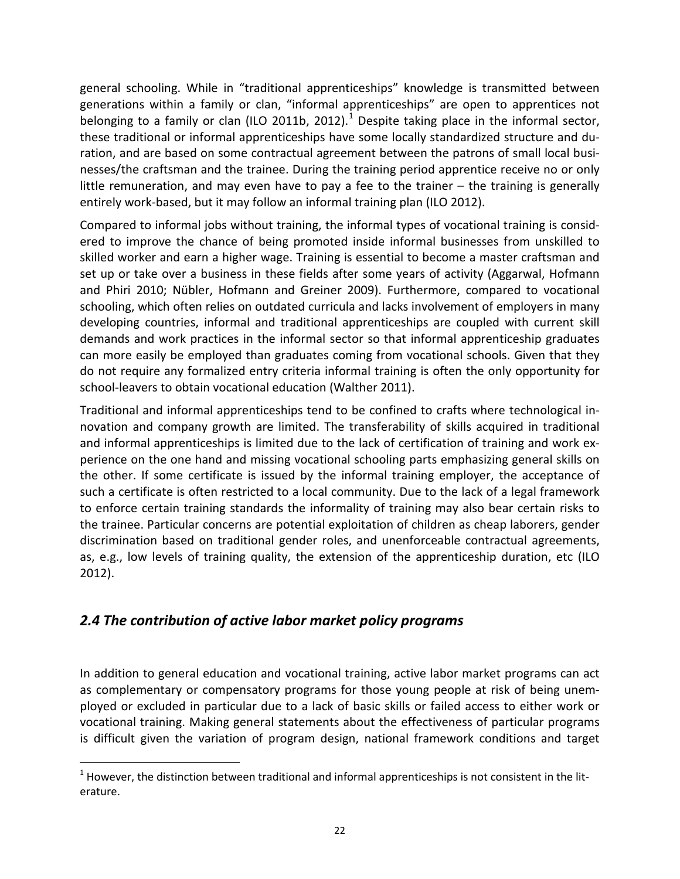general schooling. While in "traditional apprenticeships" knowledge is transmitted between generations within a family or clan, "informal apprenticeships" are open to apprentices not belonging to a family or clan (ILO 20[1](#page-0-0)1b, 2012).<sup>1</sup> Despite taking place in the informal sector, these traditional or informal apprenticeships have some locally standardized structure and duration, and are based on some contractual agreement between the patrons of small local businesses/the craftsman and the trainee. During the training period apprentice receive no or only little remuneration, and may even have to pay a fee to the trainer – the training is generally entirely work-based, but it may follow an informal training plan (ILO 2012).

Compared to informal jobs without training, the informal types of vocational training is considered to improve the chance of being promoted inside informal businesses from unskilled to skilled worker and earn a higher wage. Training is essential to become a master craftsman and set up or take over a business in these fields after some years of activity (Aggarwal, Hofmann and Phiri 2010; Nübler, Hofmann and Greiner 2009). Furthermore, compared to vocational schooling, which often relies on outdated curricula and lacks involvement of employers in many developing countries, informal and traditional apprenticeships are coupled with current skill demands and work practices in the informal sector so that informal apprenticeship graduates can more easily be employed than graduates coming from vocational schools. Given that they do not require any formalized entry criteria informal training is often the only opportunity for school-leavers to obtain vocational education (Walther 2011).

Traditional and informal apprenticeships tend to be confined to crafts where technological innovation and company growth are limited. The transferability of skills acquired in traditional and informal apprenticeships is limited due to the lack of certification of training and work experience on the one hand and missing vocational schooling parts emphasizing general skills on the other. If some certificate is issued by the informal training employer, the acceptance of such a certificate is often restricted to a local community. Due to the lack of a legal framework to enforce certain training standards the informality of training may also bear certain risks to the trainee. Particular concerns are potential exploitation of children as cheap laborers, gender discrimination based on traditional gender roles, and unenforceable contractual agreements, as, e.g., low levels of training quality, the extension of the apprenticeship duration, etc (ILO 2012).

## <span id="page-22-0"></span>*2.4 The contribution of active labor market policy programs*

 $\overline{a}$ 

In addition to general education and vocational training, active labor market programs can act as complementary or compensatory programs for those young people at risk of being unemployed or excluded in particular due to a lack of basic skills or failed access to either work or vocational training. Making general statements about the effectiveness of particular programs is difficult given the variation of program design, national framework conditions and target

 $1$  However, the distinction between traditional and informal apprenticeships is not consistent in the literature.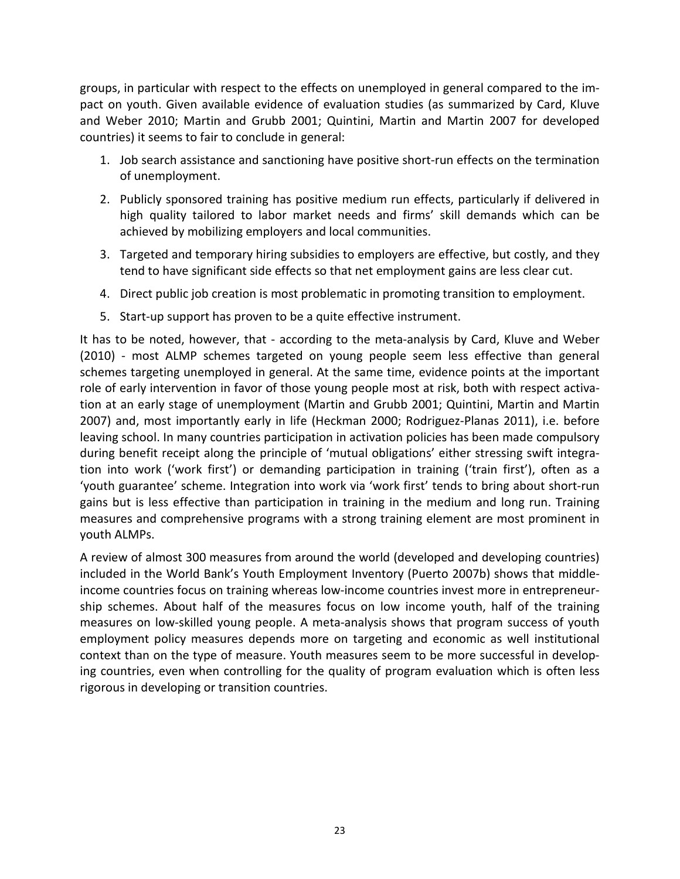groups, in particular with respect to the effects on unemployed in general compared to the impact on youth. Given available evidence of evaluation studies (as summarized by Card, Kluve and Weber 2010; Martin and Grubb 2001; Quintini, Martin and Martin 2007 for developed countries) it seems to fair to conclude in general:

- 1. Job search assistance and sanctioning have positive short-run effects on the termination of unemployment.
- 2. Publicly sponsored training has positive medium run effects, particularly if delivered in high quality tailored to labor market needs and firms' skill demands which can be achieved by mobilizing employers and local communities.
- 3. Targeted and temporary hiring subsidies to employers are effective, but costly, and they tend to have significant side effects so that net employment gains are less clear cut.
- 4. Direct public job creation is most problematic in promoting transition to employment.
- 5. Start-up support has proven to be a quite effective instrument.

It has to be noted, however, that - according to the meta-analysis by Card, Kluve and Weber (2010) - most ALMP schemes targeted on young people seem less effective than general schemes targeting unemployed in general. At the same time, evidence points at the important role of early intervention in favor of those young people most at risk, both with respect activation at an early stage of unemployment (Martin and Grubb 2001; Quintini, Martin and Martin 2007) and, most importantly early in life (Heckman 2000; Rodriguez-Planas 2011), i.e. before leaving school. In many countries participation in activation policies has been made compulsory during benefit receipt along the principle of 'mutual obligations' either stressing swift integration into work ('work first') or demanding participation in training ('train first'), often as a 'youth guarantee' scheme. Integration into work via 'work first' tends to bring about short-run gains but is less effective than participation in training in the medium and long run. Training measures and comprehensive programs with a strong training element are most prominent in youth ALMPs.

A review of almost 300 measures from around the world (developed and developing countries) included in the World Bank's Youth Employment Inventory (Puerto 2007b) shows that middleincome countries focus on training whereas low-income countries invest more in entrepreneurship schemes. About half of the measures focus on low income youth, half of the training measures on low-skilled young people. A meta-analysis shows that program success of youth employment policy measures depends more on targeting and economic as well institutional context than on the type of measure. Youth measures seem to be more successful in developing countries, even when controlling for the quality of program evaluation which is often less rigorous in developing or transition countries.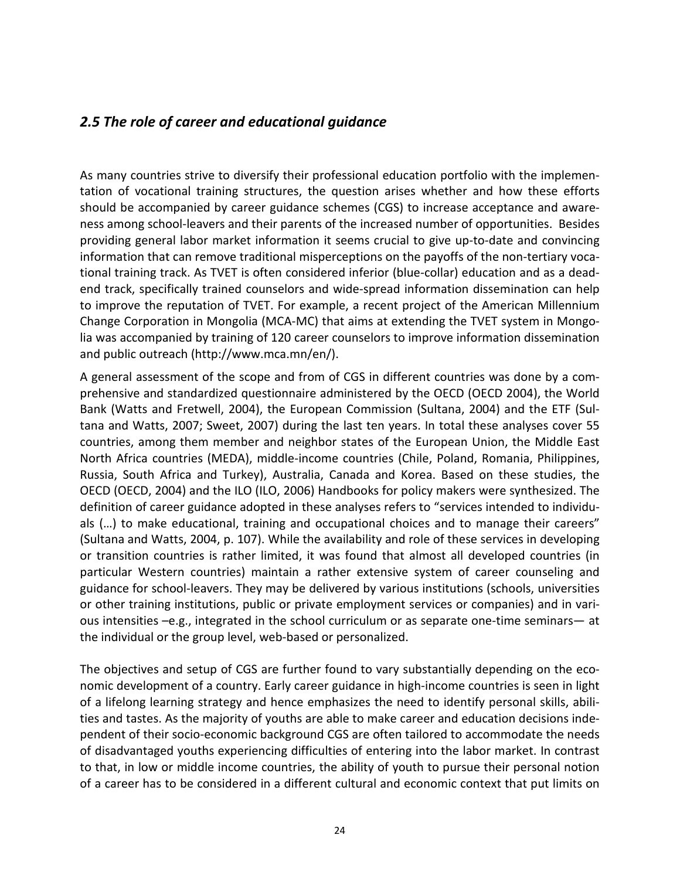### <span id="page-24-0"></span>*2.5 The role of career and educational guidance*

As many countries strive to diversify their professional education portfolio with the implementation of vocational training structures, the question arises whether and how these efforts should be accompanied by career guidance schemes (CGS) to increase acceptance and awareness among school-leavers and their parents of the increased number of opportunities. Besides providing general labor market information it seems crucial to give up-to-date and convincing information that can remove traditional misperceptions on the payoffs of the non-tertiary vocational training track. As TVET is often considered inferior (blue-collar) education and as a deadend track, specifically trained counselors and wide-spread information dissemination can help to improve the reputation of TVET. For example, a recent project of the American Millennium Change Corporation in Mongolia (MCA-MC) that aims at extending the TVET system in Mongolia was accompanied by training of 120 career counselors to improve information dissemination and public outreach (http://www.mca.mn/en/).

A general assessment of the scope and from of CGS in different countries was done by a comprehensive and standardized questionnaire administered by the OECD (OECD 2004), the World Bank (Watts and Fretwell, 2004), the European Commission (Sultana, 2004) and the ETF (Sultana and Watts, 2007; Sweet, 2007) during the last ten years. In total these analyses cover 55 countries, among them member and neighbor states of the European Union, the Middle East North Africa countries (MEDA), middle-income countries (Chile, Poland, Romania, Philippines, Russia, South Africa and Turkey), Australia, Canada and Korea. Based on these studies, the OECD (OECD, 2004) and the ILO (ILO, 2006) Handbooks for policy makers were synthesized. The definition of career guidance adopted in these analyses refers to "services intended to individuals (…) to make educational, training and occupational choices and to manage their careers" (Sultana and Watts, 2004, p. 107). While the availability and role of these services in developing or transition countries is rather limited, it was found that almost all developed countries (in particular Western countries) maintain a rather extensive system of career counseling and guidance for school-leavers. They may be delivered by various institutions (schools, universities or other training institutions, public or private employment services or companies) and in various intensities –e.g., integrated in the school curriculum or as separate one-time seminars— at the individual or the group level, web-based or personalized.

The objectives and setup of CGS are further found to vary substantially depending on the economic development of a country. Early career guidance in high-income countries is seen in light of a lifelong learning strategy and hence emphasizes the need to identify personal skills, abilities and tastes. As the majority of youths are able to make career and education decisions independent of their socio-economic background CGS are often tailored to accommodate the needs of disadvantaged youths experiencing difficulties of entering into the labor market. In contrast to that, in low or middle income countries, the ability of youth to pursue their personal notion of a career has to be considered in a different cultural and economic context that put limits on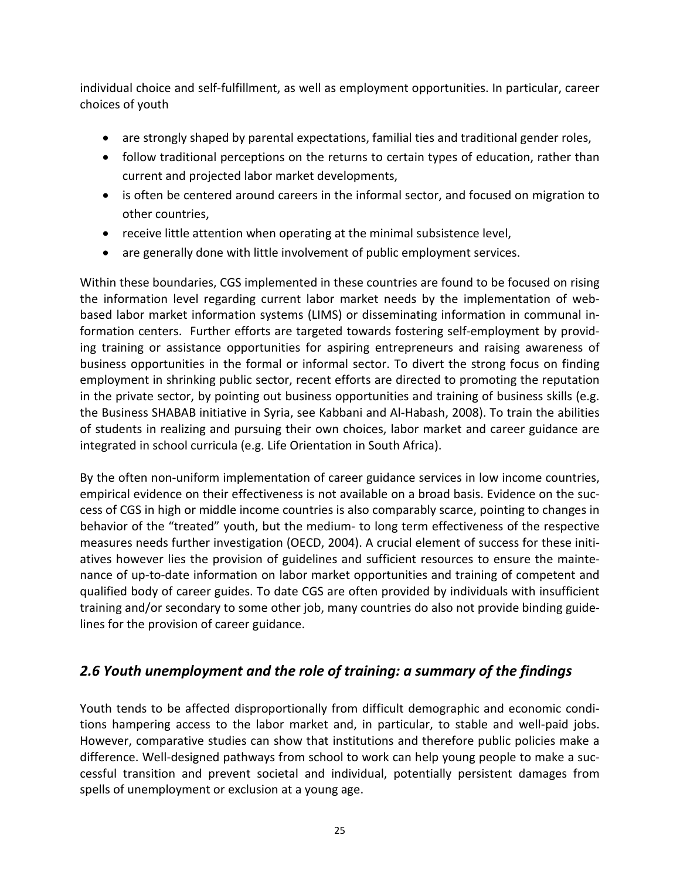individual choice and self-fulfillment, as well as employment opportunities. In particular, career choices of youth

- are strongly shaped by parental expectations, familial ties and traditional gender roles,
- follow traditional perceptions on the returns to certain types of education, rather than current and projected labor market developments,
- is often be centered around careers in the informal sector, and focused on migration to other countries,
- receive little attention when operating at the minimal subsistence level,
- are generally done with little involvement of public employment services.

Within these boundaries, CGS implemented in these countries are found to be focused on rising the information level regarding current labor market needs by the implementation of webbased labor market information systems (LIMS) or disseminating information in communal information centers. Further efforts are targeted towards fostering self-employment by providing training or assistance opportunities for aspiring entrepreneurs and raising awareness of business opportunities in the formal or informal sector. To divert the strong focus on finding employment in shrinking public sector, recent efforts are directed to promoting the reputation in the private sector, by pointing out business opportunities and training of business skills (e.g. the Business SHABAB initiative in Syria, see Kabbani and Al-Habash, 2008). To train the abilities of students in realizing and pursuing their own choices, labor market and career guidance are integrated in school curricula (e.g. Life Orientation in South Africa).

By the often non-uniform implementation of career guidance services in low income countries, empirical evidence on their effectiveness is not available on a broad basis. Evidence on the success of CGS in high or middle income countries is also comparably scarce, pointing to changes in behavior of the "treated" youth, but the medium- to long term effectiveness of the respective measures needs further investigation (OECD, 2004). A crucial element of success for these initiatives however lies the provision of guidelines and sufficient resources to ensure the maintenance of up-to-date information on labor market opportunities and training of competent and qualified body of career guides. To date CGS are often provided by individuals with insufficient training and/or secondary to some other job, many countries do also not provide binding guidelines for the provision of career guidance.

## <span id="page-25-0"></span>*2.6 Youth unemployment and the role of training: a summary of the findings*

Youth tends to be affected disproportionally from difficult demographic and economic conditions hampering access to the labor market and, in particular, to stable and well-paid jobs. However, comparative studies can show that institutions and therefore public policies make a difference. Well-designed pathways from school to work can help young people to make a successful transition and prevent societal and individual, potentially persistent damages from spells of unemployment or exclusion at a young age.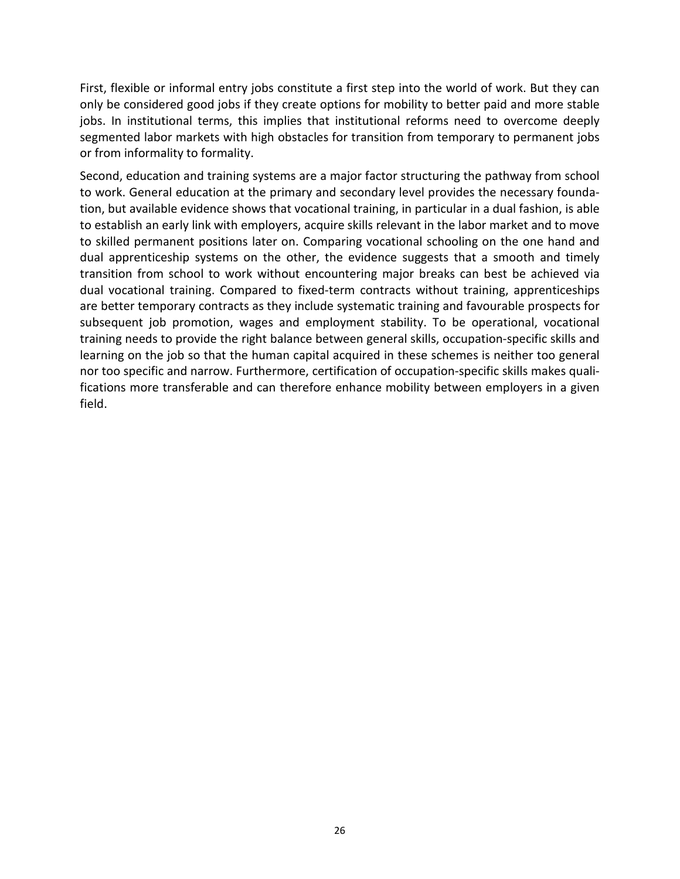First, flexible or informal entry jobs constitute a first step into the world of work. But they can only be considered good jobs if they create options for mobility to better paid and more stable jobs. In institutional terms, this implies that institutional reforms need to overcome deeply segmented labor markets with high obstacles for transition from temporary to permanent jobs or from informality to formality.

Second, education and training systems are a major factor structuring the pathway from school to work. General education at the primary and secondary level provides the necessary foundation, but available evidence shows that vocational training, in particular in a dual fashion, is able to establish an early link with employers, acquire skills relevant in the labor market and to move to skilled permanent positions later on. Comparing vocational schooling on the one hand and dual apprenticeship systems on the other, the evidence suggests that a smooth and timely transition from school to work without encountering major breaks can best be achieved via dual vocational training. Compared to fixed-term contracts without training, apprenticeships are better temporary contracts as they include systematic training and favourable prospects for subsequent job promotion, wages and employment stability. To be operational, vocational training needs to provide the right balance between general skills, occupation-specific skills and learning on the job so that the human capital acquired in these schemes is neither too general nor too specific and narrow. Furthermore, certification of occupation-specific skills makes qualifications more transferable and can therefore enhance mobility between employers in a given field.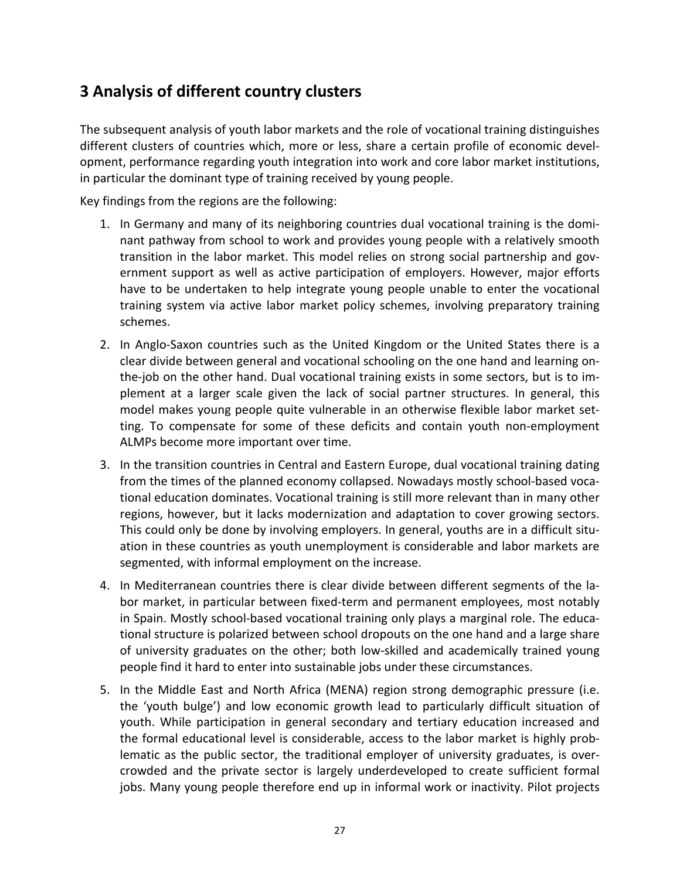# <span id="page-27-0"></span>**3 Analysis of different country clusters**

The subsequent analysis of youth labor markets and the role of vocational training distinguishes different clusters of countries which, more or less, share a certain profile of economic development, performance regarding youth integration into work and core labor market institutions, in particular the dominant type of training received by young people.

Key findings from the regions are the following:

- 1. In Germany and many of its neighboring countries dual vocational training is the dominant pathway from school to work and provides young people with a relatively smooth transition in the labor market. This model relies on strong social partnership and government support as well as active participation of employers. However, major efforts have to be undertaken to help integrate young people unable to enter the vocational training system via active labor market policy schemes, involving preparatory training schemes.
- 2. In Anglo-Saxon countries such as the United Kingdom or the United States there is a clear divide between general and vocational schooling on the one hand and learning onthe-job on the other hand. Dual vocational training exists in some sectors, but is to implement at a larger scale given the lack of social partner structures. In general, this model makes young people quite vulnerable in an otherwise flexible labor market setting. To compensate for some of these deficits and contain youth non-employment ALMPs become more important over time.
- 3. In the transition countries in Central and Eastern Europe, dual vocational training dating from the times of the planned economy collapsed. Nowadays mostly school-based vocational education dominates. Vocational training is still more relevant than in many other regions, however, but it lacks modernization and adaptation to cover growing sectors. This could only be done by involving employers. In general, youths are in a difficult situation in these countries as youth unemployment is considerable and labor markets are segmented, with informal employment on the increase.
- 4. In Mediterranean countries there is clear divide between different segments of the labor market, in particular between fixed-term and permanent employees, most notably in Spain. Mostly school-based vocational training only plays a marginal role. The educational structure is polarized between school dropouts on the one hand and a large share of university graduates on the other; both low-skilled and academically trained young people find it hard to enter into sustainable jobs under these circumstances.
- 5. In the Middle East and North Africa (MENA) region strong demographic pressure (i.e. the 'youth bulge') and low economic growth lead to particularly difficult situation of youth. While participation in general secondary and tertiary education increased and the formal educational level is considerable, access to the labor market is highly problematic as the public sector, the traditional employer of university graduates, is overcrowded and the private sector is largely underdeveloped to create sufficient formal jobs. Many young people therefore end up in informal work or inactivity. Pilot projects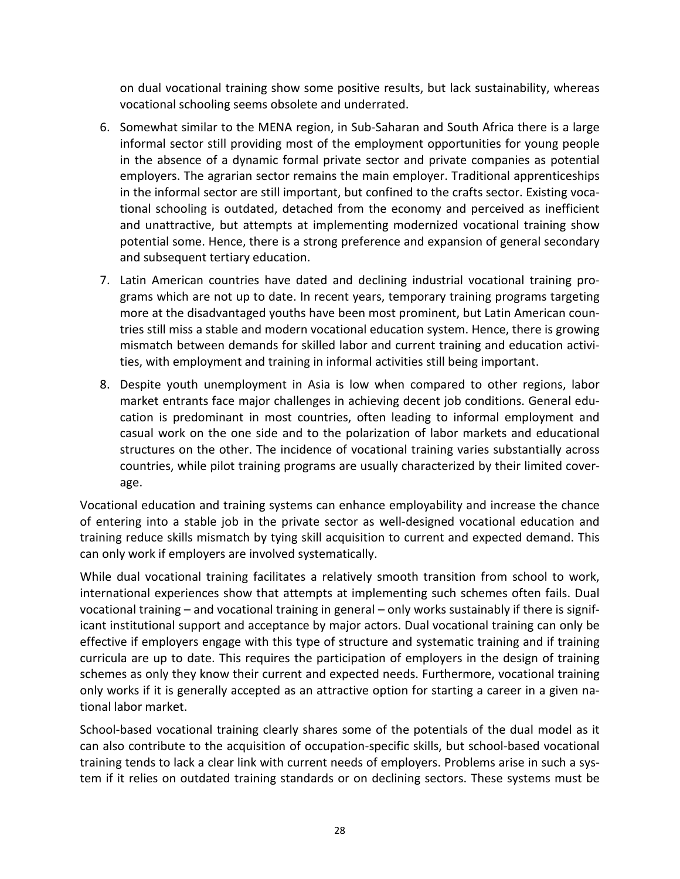on dual vocational training show some positive results, but lack sustainability, whereas vocational schooling seems obsolete and underrated.

- 6. Somewhat similar to the MENA region, in Sub-Saharan and South Africa there is a large informal sector still providing most of the employment opportunities for young people in the absence of a dynamic formal private sector and private companies as potential employers. The agrarian sector remains the main employer. Traditional apprenticeships in the informal sector are still important, but confined to the crafts sector. Existing vocational schooling is outdated, detached from the economy and perceived as inefficient and unattractive, but attempts at implementing modernized vocational training show potential some. Hence, there is a strong preference and expansion of general secondary and subsequent tertiary education.
- 7. Latin American countries have dated and declining industrial vocational training programs which are not up to date. In recent years, temporary training programs targeting more at the disadvantaged youths have been most prominent, but Latin American countries still miss a stable and modern vocational education system. Hence, there is growing mismatch between demands for skilled labor and current training and education activities, with employment and training in informal activities still being important.
- 8. Despite youth unemployment in Asia is low when compared to other regions, labor market entrants face major challenges in achieving decent job conditions. General education is predominant in most countries, often leading to informal employment and casual work on the one side and to the polarization of labor markets and educational structures on the other. The incidence of vocational training varies substantially across countries, while pilot training programs are usually characterized by their limited coverage.

Vocational education and training systems can enhance employability and increase the chance of entering into a stable job in the private sector as well-designed vocational education and training reduce skills mismatch by tying skill acquisition to current and expected demand. This can only work if employers are involved systematically.

While dual vocational training facilitates a relatively smooth transition from school to work, international experiences show that attempts at implementing such schemes often fails. Dual vocational training – and vocational training in general – only works sustainably if there is significant institutional support and acceptance by major actors. Dual vocational training can only be effective if employers engage with this type of structure and systematic training and if training curricula are up to date. This requires the participation of employers in the design of training schemes as only they know their current and expected needs. Furthermore, vocational training only works if it is generally accepted as an attractive option for starting a career in a given national labor market.

School-based vocational training clearly shares some of the potentials of the dual model as it can also contribute to the acquisition of occupation-specific skills, but school-based vocational training tends to lack a clear link with current needs of employers. Problems arise in such a system if it relies on outdated training standards or on declining sectors. These systems must be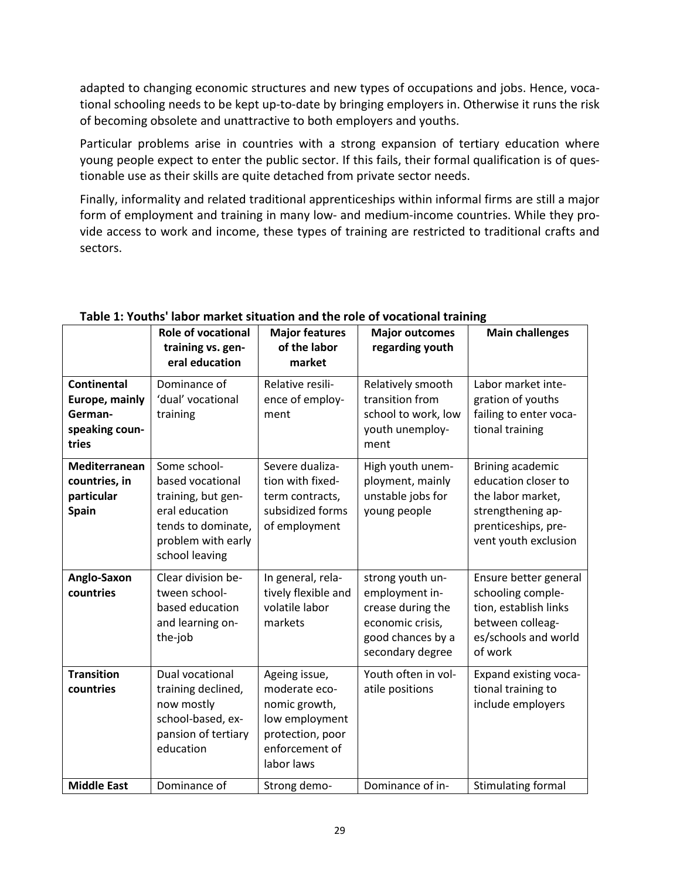adapted to changing economic structures and new types of occupations and jobs. Hence, vocational schooling needs to be kept up-to-date by bringing employers in. Otherwise it runs the risk of becoming obsolete and unattractive to both employers and youths.

Particular problems arise in countries with a strong expansion of tertiary education where young people expect to enter the public sector. If this fails, their formal qualification is of questionable use as their skills are quite detached from private sector needs.

Finally, informality and related traditional apprenticeships within informal firms are still a major form of employment and training in many low- and medium-income countries. While they provide access to work and income, these types of training are restricted to traditional crafts and sectors.

|                                                                            | <b>Role of vocational</b><br>training vs. gen-                                                                                         | <b>Major features</b><br>of the labor                                                                                 | <b>Major outcomes</b><br>regarding youth                                                                             | <b>Main challenges</b>                                                                                                           |
|----------------------------------------------------------------------------|----------------------------------------------------------------------------------------------------------------------------------------|-----------------------------------------------------------------------------------------------------------------------|----------------------------------------------------------------------------------------------------------------------|----------------------------------------------------------------------------------------------------------------------------------|
|                                                                            | eral education                                                                                                                         | market                                                                                                                |                                                                                                                      |                                                                                                                                  |
| <b>Continental</b><br>Europe, mainly<br>German-<br>speaking coun-<br>tries | Dominance of<br>'dual' vocational<br>training                                                                                          | Relative resili-<br>ence of employ-<br>ment                                                                           | Relatively smooth<br>transition from<br>school to work, low<br>youth unemploy-<br>ment                               | Labor market inte-<br>gration of youths<br>failing to enter voca-<br>tional training                                             |
| <b>Mediterranean</b><br>countries, in<br>particular<br>Spain               | Some school-<br>based vocational<br>training, but gen-<br>eral education<br>tends to dominate,<br>problem with early<br>school leaving | Severe dualiza-<br>tion with fixed-<br>term contracts,<br>subsidized forms<br>of employment                           | High youth unem-<br>ployment, mainly<br>unstable jobs for<br>young people                                            | Brining academic<br>education closer to<br>the labor market,<br>strengthening ap-<br>prenticeships, pre-<br>vent youth exclusion |
| Anglo-Saxon<br>countries                                                   | Clear division be-<br>tween school-<br>based education<br>and learning on-<br>the-job                                                  | In general, rela-<br>tively flexible and<br>volatile labor<br>markets                                                 | strong youth un-<br>employment in-<br>crease during the<br>economic crisis,<br>good chances by a<br>secondary degree | Ensure better general<br>schooling comple-<br>tion, establish links<br>between colleag-<br>es/schools and world<br>of work       |
| <b>Transition</b><br>countries                                             | Dual vocational<br>training declined,<br>now mostly<br>school-based, ex-<br>pansion of tertiary<br>education                           | Ageing issue,<br>moderate eco-<br>nomic growth,<br>low employment<br>protection, poor<br>enforcement of<br>labor laws | Youth often in vol-<br>atile positions                                                                               | Expand existing voca-<br>tional training to<br>include employers                                                                 |
| <b>Middle East</b>                                                         | Dominance of                                                                                                                           | Strong demo-                                                                                                          | Dominance of in-                                                                                                     | Stimulating formal                                                                                                               |

#### <span id="page-29-0"></span>**Table 1: Youths' labor market situation and the role of vocational training**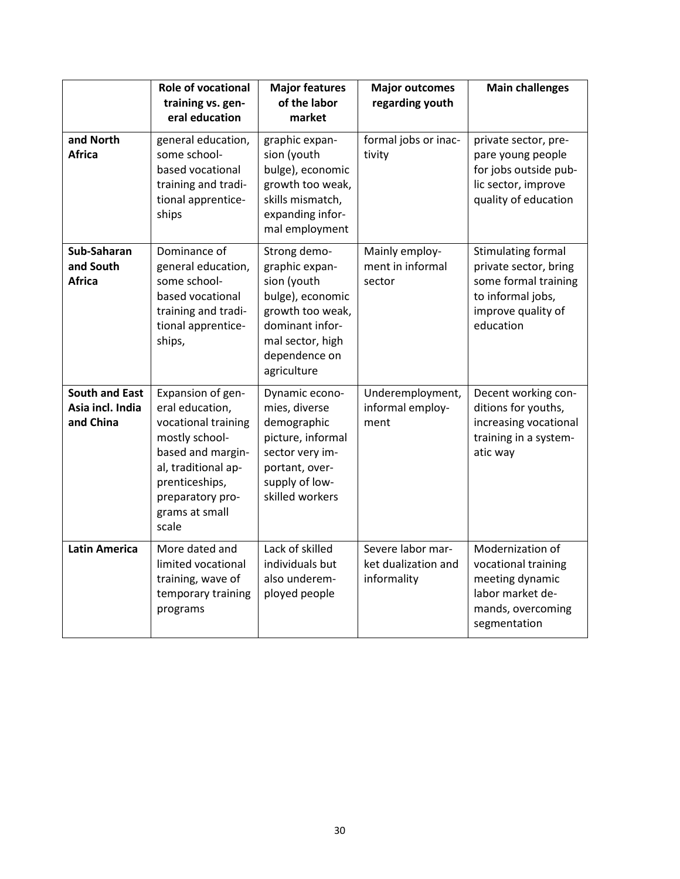|                                                        | <b>Role of vocational</b><br>training vs. gen-<br>eral education                                                                                                                           | <b>Major features</b><br>of the labor<br>market                                                                                                              | <b>Major outcomes</b><br>regarding youth                | <b>Main challenges</b>                                                                                                             |
|--------------------------------------------------------|--------------------------------------------------------------------------------------------------------------------------------------------------------------------------------------------|--------------------------------------------------------------------------------------------------------------------------------------------------------------|---------------------------------------------------------|------------------------------------------------------------------------------------------------------------------------------------|
| and North<br><b>Africa</b>                             | general education,<br>some school-<br>based vocational<br>training and tradi-<br>tional apprentice-<br>ships                                                                               | graphic expan-<br>sion (youth<br>bulge), economic<br>growth too weak,<br>skills mismatch,<br>expanding infor-<br>mal employment                              | formal jobs or inac-<br>tivity                          | private sector, pre-<br>pare young people<br>for jobs outside pub-<br>lic sector, improve<br>quality of education                  |
| Sub-Saharan<br>and South<br>Africa                     | Dominance of<br>general education,<br>some school-<br>based vocational<br>training and tradi-<br>tional apprentice-<br>ships,                                                              | Strong demo-<br>graphic expan-<br>sion (youth<br>bulge), economic<br>growth too weak,<br>dominant infor-<br>mal sector, high<br>dependence on<br>agriculture | Mainly employ-<br>ment in informal<br>sector            | <b>Stimulating formal</b><br>private sector, bring<br>some formal training<br>to informal jobs,<br>improve quality of<br>education |
| <b>South and East</b><br>Asia incl. India<br>and China | Expansion of gen-<br>eral education,<br>vocational training<br>mostly school-<br>based and margin-<br>al, traditional ap-<br>prenticeships,<br>preparatory pro-<br>grams at small<br>scale | Dynamic econo-<br>mies, diverse<br>demographic<br>picture, informal<br>sector very im-<br>portant, over-<br>supply of low-<br>skilled workers                | Underemployment,<br>informal employ-<br>ment            | Decent working con-<br>ditions for youths,<br>increasing vocational<br>training in a system-<br>atic way                           |
| <b>Latin America</b>                                   | More dated and<br>limited vocational<br>training, wave of<br>temporary training<br>programs                                                                                                | Lack of skilled<br>individuals but<br>also underem-<br>ployed people                                                                                         | Severe labor mar-<br>ket dualization and<br>informality | Modernization of<br>vocational training<br>meeting dynamic<br>labor market de-<br>mands, overcoming<br>segmentation                |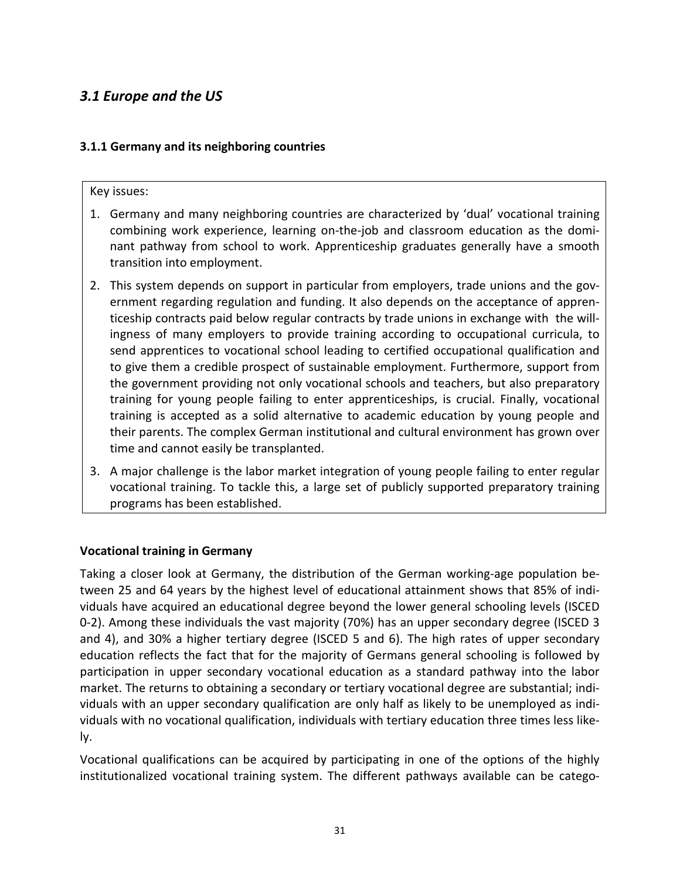# <span id="page-31-0"></span>*3.1 Europe and the US*

#### <span id="page-31-1"></span>**3.1.1 Germany and its neighboring countries**

#### Key issues:

- 1. Germany and many neighboring countries are characterized by 'dual' vocational training combining work experience, learning on-the-job and classroom education as the dominant pathway from school to work. Apprenticeship graduates generally have a smooth transition into employment.
- 2. This system depends on support in particular from employers, trade unions and the government regarding regulation and funding. It also depends on the acceptance of apprenticeship contracts paid below regular contracts by trade unions in exchange with the willingness of many employers to provide training according to occupational curricula, to send apprentices to vocational school leading to certified occupational qualification and to give them a credible prospect of sustainable employment. Furthermore, support from the government providing not only vocational schools and teachers, but also preparatory training for young people failing to enter apprenticeships, is crucial. Finally, vocational training is accepted as a solid alternative to academic education by young people and their parents. The complex German institutional and cultural environment has grown over time and cannot easily be transplanted.
- 3. A major challenge is the labor market integration of young people failing to enter regular vocational training. To tackle this, a large set of publicly supported preparatory training programs has been established.

#### **Vocational training in Germany**

Taking a closer look at Germany, the distribution of the German working-age population between 25 and 64 years by the highest level of educational attainment shows that 85% of individuals have acquired an educational degree beyond the lower general schooling levels (ISCED 0-2). Among these individuals the vast majority (70%) has an upper secondary degree (ISCED 3 and 4), and 30% a higher tertiary degree (ISCED 5 and 6). The high rates of upper secondary education reflects the fact that for the majority of Germans general schooling is followed by participation in upper secondary vocational education as a standard pathway into the labor market. The returns to obtaining a secondary or tertiary vocational degree are substantial; individuals with an upper secondary qualification are only half as likely to be unemployed as individuals with no vocational qualification, individuals with tertiary education three times less likely.

Vocational qualifications can be acquired by participating in one of the options of the highly institutionalized vocational training system. The different pathways available can be catego-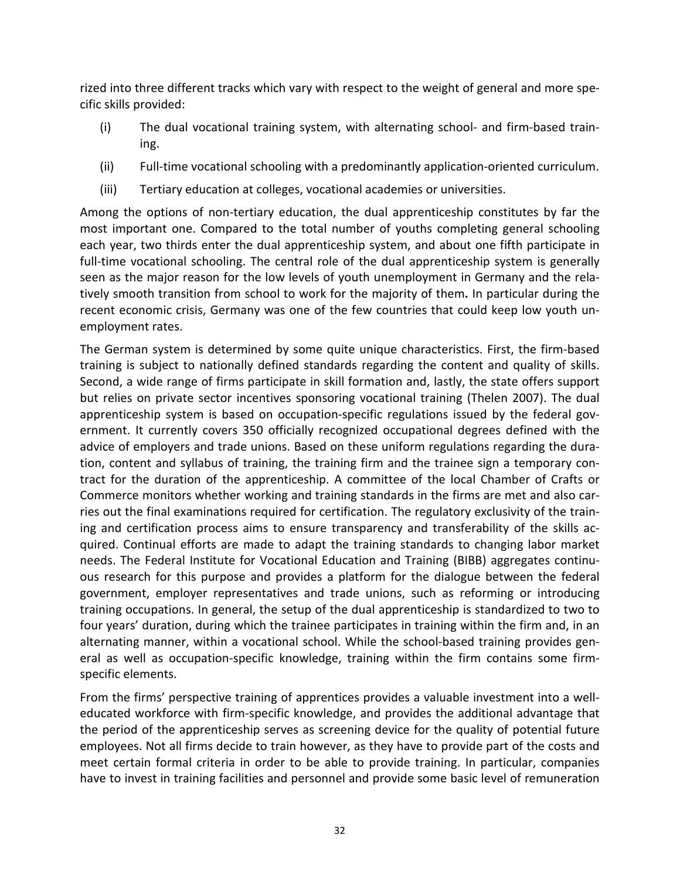rized into three different tracks which vary with respect to the weight of general and more specific skills provided:

- (i) The dual vocational training system, with alternating school- and firm-based training.
- (ii) Full-time vocational schooling with a predominantly application-oriented curriculum.
- (iii) Tertiary education at colleges, vocational academies or universities.

Among the options of non-tertiary education, the dual apprenticeship constitutes by far the most important one. Compared to the total number of youths completing general schooling each year, two thirds enter the dual apprenticeship system, and about one fifth participate in full-time vocational schooling. The central role of the dual apprenticeship system is generally seen as the major reason for the low levels of youth unemployment in Germany and the relatively smooth transition from school to work for the majority of them**.** In particular during the recent economic crisis, Germany was one of the few countries that could keep low youth unemployment rates.

The German system is determined by some quite unique characteristics. First, the firm-based training is subject to nationally defined standards regarding the content and quality of skills. Second, a wide range of firms participate in skill formation and, lastly, the state offers support but relies on private sector incentives sponsoring vocational training (Thelen 2007). The dual apprenticeship system is based on occupation-specific regulations issued by the federal government. It currently covers 350 officially recognized occupational degrees defined with the advice of employers and trade unions. Based on these uniform regulations regarding the duration, content and syllabus of training, the training firm and the trainee sign a temporary contract for the duration of the apprenticeship. A committee of the local Chamber of Crafts or Commerce monitors whether working and training standards in the firms are met and also carries out the final examinations required for certification. The regulatory exclusivity of the training and certification process aims to ensure transparency and transferability of the skills acquired. Continual efforts are made to adapt the training standards to changing labor market needs. The Federal Institute for Vocational Education and Training (BIBB) aggregates continuous research for this purpose and provides a platform for the dialogue between the federal government, employer representatives and trade unions, such as reforming or introducing training occupations. In general, the setup of the dual apprenticeship is standardized to two to four years' duration, during which the trainee participates in training within the firm and, in an alternating manner, within a vocational school. While the school-based training provides general as well as occupation-specific knowledge, training within the firm contains some firmspecific elements.

From the firms' perspective training of apprentices provides a valuable investment into a welleducated workforce with firm-specific knowledge, and provides the additional advantage that the period of the apprenticeship serves as screening device for the quality of potential future employees. Not all firms decide to train however, as they have to provide part of the costs and meet certain formal criteria in order to be able to provide training. In particular, companies have to invest in training facilities and personnel and provide some basic level of remuneration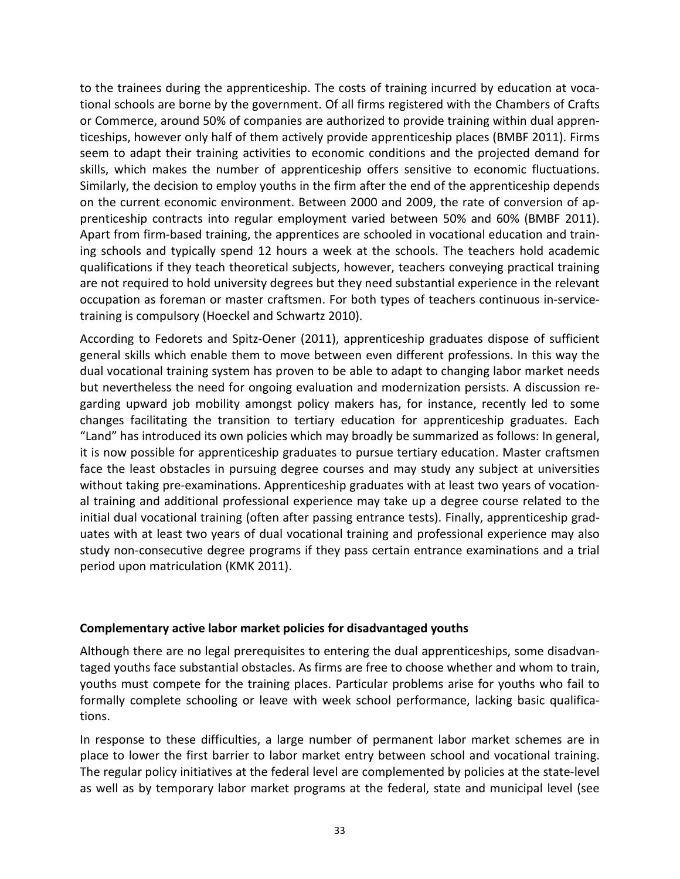to the trainees during the apprenticeship. The costs of training incurred by education at vocational schools are borne by the government. Of all firms registered with the Chambers of Crafts or Commerce, around 50% of companies are authorized to provide training within dual apprenticeships, however only half of them actively provide apprenticeship places (BMBF 2011). Firms seem to adapt their training activities to economic conditions and the projected demand for skills, which makes the number of apprenticeship offers sensitive to economic fluctuations. Similarly, the decision to employ youths in the firm after the end of the apprenticeship depends on the current economic environment. Between 2000 and 2009, the rate of conversion of apprenticeship contracts into regular employment varied between 50% and 60% (BMBF 2011). Apart from firm-based training, the apprentices are schooled in vocational education and training schools and typically spend 12 hours a week at the schools. The teachers hold academic qualifications if they teach theoretical subjects, however, teachers conveying practical training are not required to hold university degrees but they need substantial experience in the relevant occupation as foreman or master craftsmen. For both types of teachers continuous in-servicetraining is compulsory (Hoeckel and Schwartz 2010).

According to Fedorets and Spitz-Oener (2011), apprenticeship graduates dispose of sufficient general skills which enable them to move between even different professions. In this way the dual vocational training system has proven to be able to adapt to changing labor market needs but nevertheless the need for ongoing evaluation and modernization persists. A discussion regarding upward job mobility amongst policy makers has, for instance, recently led to some changes facilitating the transition to tertiary education for apprenticeship graduates. Each "Land" has introduced its own policies which may broadly be summarized as follows: In general, it is now possible for apprenticeship graduates to pursue tertiary education. Master craftsmen face the least obstacles in pursuing degree courses and may study any subject at universities without taking pre-examinations. Apprenticeship graduates with at least two years of vocational training and additional professional experience may take up a degree course related to the initial dual vocational training (often after passing entrance tests). Finally, apprenticeship graduates with at least two years of dual vocational training and professional experience may also study non-consecutive degree programs if they pass certain entrance examinations and a trial period upon matriculation (KMK 2011).

#### **Complementary active labor market policies for disadvantaged youths**

Although there are no legal prerequisites to entering the dual apprenticeships, some disadvantaged youths face substantial obstacles. As firms are free to choose whether and whom to train, youths must compete for the training places. Particular problems arise for youths who fail to formally complete schooling or leave with week school performance, lacking basic qualifications.

In response to these difficulties, a large number of permanent labor market schemes are in place to lower the first barrier to labor market entry between school and vocational training. The regular policy initiatives at the federal level are complemented by policies at the state-level as well as by temporary labor market programs at the federal, state and municipal level (see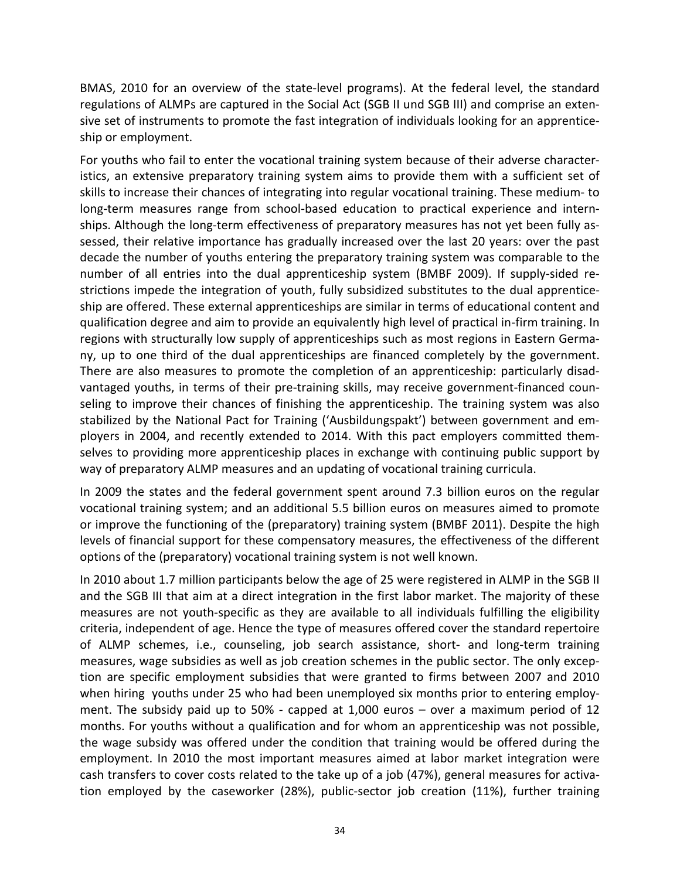BMAS, 2010 for an overview of the state-level programs). At the federal level, the standard regulations of ALMPs are captured in the Social Act (SGB II und SGB III) and comprise an extensive set of instruments to promote the fast integration of individuals looking for an apprenticeship or employment.

For youths who fail to enter the vocational training system because of their adverse characteristics, an extensive preparatory training system aims to provide them with a sufficient set of skills to increase their chances of integrating into regular vocational training. These medium- to long-term measures range from school-based education to practical experience and internships. Although the long-term effectiveness of preparatory measures has not yet been fully assessed, their relative importance has gradually increased over the last 20 years: over the past decade the number of youths entering the preparatory training system was comparable to the number of all entries into the dual apprenticeship system (BMBF 2009). If supply-sided restrictions impede the integration of youth, fully subsidized substitutes to the dual apprenticeship are offered. These external apprenticeships are similar in terms of educational content and qualification degree and aim to provide an equivalently high level of practical in-firm training. In regions with structurally low supply of apprenticeships such as most regions in Eastern Germany, up to one third of the dual apprenticeships are financed completely by the government. There are also measures to promote the completion of an apprenticeship: particularly disadvantaged youths, in terms of their pre-training skills, may receive government-financed counseling to improve their chances of finishing the apprenticeship. The training system was also stabilized by the National Pact for Training ('Ausbildungspakt') between government and employers in 2004, and recently extended to 2014. With this pact employers committed themselves to providing more apprenticeship places in exchange with continuing public support by way of preparatory ALMP measures and an updating of vocational training curricula.

In 2009 the states and the federal government spent around 7.3 billion euros on the regular vocational training system; and an additional 5.5 billion euros on measures aimed to promote or improve the functioning of the (preparatory) training system (BMBF 2011). Despite the high levels of financial support for these compensatory measures, the effectiveness of the different options of the (preparatory) vocational training system is not well known.

In 2010 about 1.7 million participants below the age of 25 were registered in ALMP in the SGB II and the SGB III that aim at a direct integration in the first labor market. The majority of these measures are not youth-specific as they are available to all individuals fulfilling the eligibility criteria, independent of age. Hence the type of measures offered cover the standard repertoire of ALMP schemes, i.e., counseling, job search assistance, short- and long-term training measures, wage subsidies as well as job creation schemes in the public sector. The only exception are specific employment subsidies that were granted to firms between 2007 and 2010 when hiring youths under 25 who had been unemployed six months prior to entering employment. The subsidy paid up to 50% - capped at 1,000 euros – over a maximum period of 12 months. For youths without a qualification and for whom an apprenticeship was not possible, the wage subsidy was offered under the condition that training would be offered during the employment. In 2010 the most important measures aimed at labor market integration were cash transfers to cover costs related to the take up of a job (47%), general measures for activation employed by the caseworker (28%), public-sector job creation (11%), further training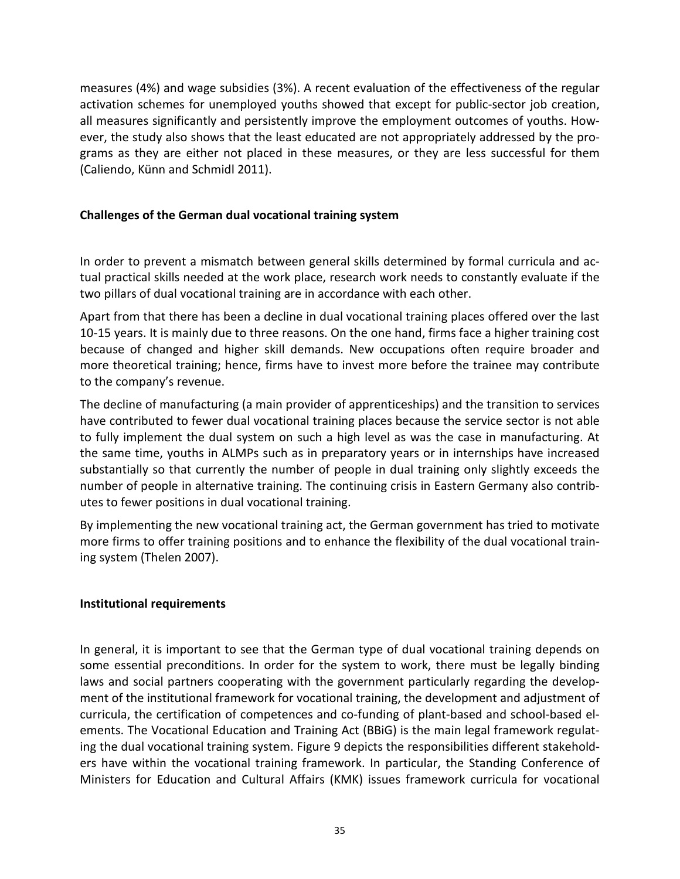measures (4%) and wage subsidies (3%). A recent evaluation of the effectiveness of the regular activation schemes for unemployed youths showed that except for public-sector job creation, all measures significantly and persistently improve the employment outcomes of youths. However, the study also shows that the least educated are not appropriately addressed by the programs as they are either not placed in these measures, or they are less successful for them (Caliendo, Künn and Schmidl 2011).

#### **Challenges of the German dual vocational training system**

In order to prevent a mismatch between general skills determined by formal curricula and actual practical skills needed at the work place, research work needs to constantly evaluate if the two pillars of dual vocational training are in accordance with each other.

Apart from that there has been a decline in dual vocational training places offered over the last 10-15 years. It is mainly due to three reasons. On the one hand, firms face a higher training cost because of changed and higher skill demands. New occupations often require broader and more theoretical training; hence, firms have to invest more before the trainee may contribute to the company's revenue.

The decline of manufacturing (a main provider of apprenticeships) and the transition to services have contributed to fewer dual vocational training places because the service sector is not able to fully implement the dual system on such a high level as was the case in manufacturing. At the same time, youths in ALMPs such as in preparatory years or in internships have increased substantially so that currently the number of people in dual training only slightly exceeds the number of people in alternative training. The continuing crisis in Eastern Germany also contributes to fewer positions in dual vocational training.

By implementing the new vocational training act, the German government has tried to motivate more firms to offer training positions and to enhance the flexibility of the dual vocational training system (Thelen 2007).

#### **Institutional requirements**

In general, it is important to see that the German type of dual vocational training depends on some essential preconditions. In order for the system to work, there must be legally binding laws and social partners cooperating with the government particularly regarding the development of the institutional framework for vocational training, the development and adjustment of curricula, the certification of competences and co-funding of plant-based and school-based elements. The Vocational Education and Training Act (BBiG) is the main legal framework regulating the dual vocational training system. Figure 9 depicts the responsibilities different stakeholders have within the vocational training framework. In particular, the Standing Conference of Ministers for Education and Cultural Affairs (KMK) issues framework curricula for vocational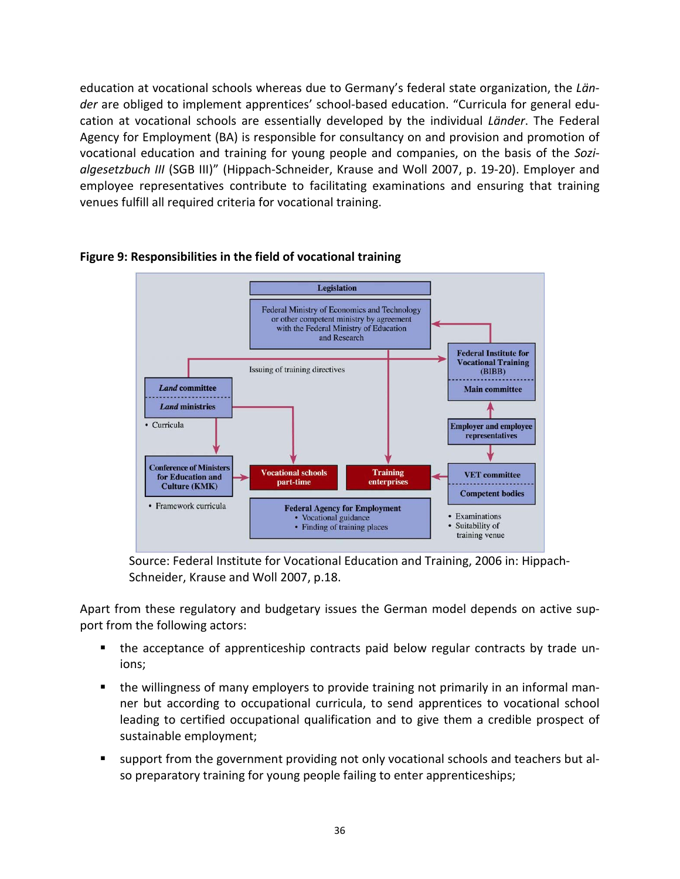education at vocational schools whereas due to Germany's federal state organization, the *Länder* are obliged to implement apprentices' school-based education. "Curricula for general education at vocational schools are essentially developed by the individual *Länder*. The Federal Agency for Employment (BA) is responsible for consultancy on and provision and promotion of vocational education and training for young people and companies, on the basis of the *Sozialgesetzbuch III* (SGB III)" (Hippach-Schneider, Krause and Woll 2007, p. 19-20). Employer and employee representatives contribute to facilitating examinations and ensuring that training venues fulfill all required criteria for vocational training.



## **Figure 9: Responsibilities in the field of vocational training**

Source: Federal Institute for Vocational Education and Training, 2006 in: Hippach-Schneider, Krause and Woll 2007, p.18.

Apart from these regulatory and budgetary issues the German model depends on active support from the following actors:

- the acceptance of apprenticeship contracts paid below regular contracts by trade unions;
- the willingness of many employers to provide training not primarily in an informal manner but according to occupational curricula, to send apprentices to vocational school leading to certified occupational qualification and to give them a credible prospect of sustainable employment;
- support from the government providing not only vocational schools and teachers but also preparatory training for young people failing to enter apprenticeships;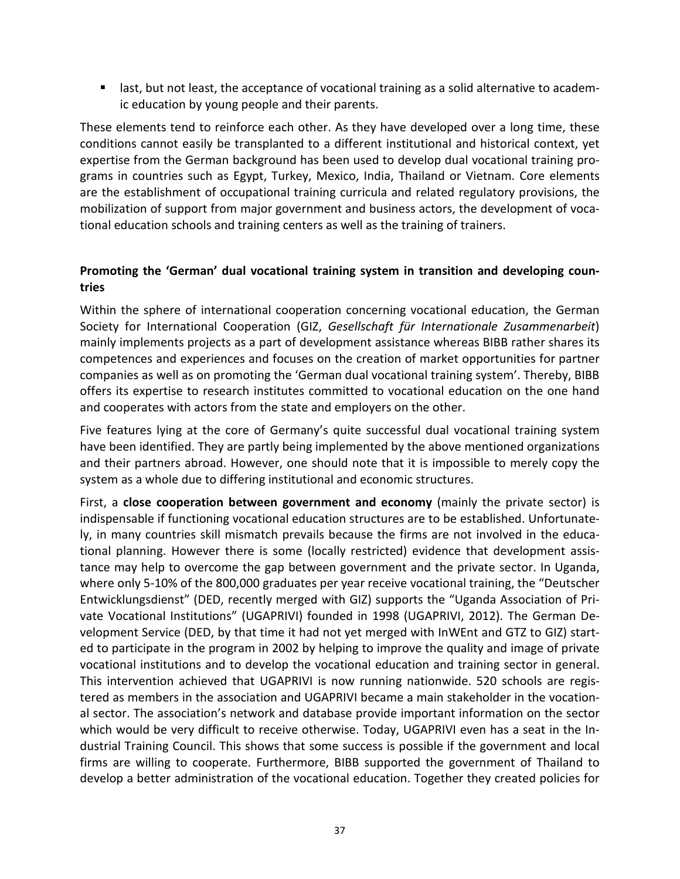**If all as a last, the acceptance of vocational training as a solid alternative to academ**ic education by young people and their parents.

These elements tend to reinforce each other. As they have developed over a long time, these conditions cannot easily be transplanted to a different institutional and historical context, yet expertise from the German background has been used to develop dual vocational training programs in countries such as Egypt, Turkey, Mexico, India, Thailand or Vietnam. Core elements are the establishment of occupational training curricula and related regulatory provisions, the mobilization of support from major government and business actors, the development of vocational education schools and training centers as well as the training of trainers.

# **Promoting the 'German' dual vocational training system in transition and developing countries**

Within the sphere of international cooperation concerning vocational education, the German Society for International Cooperation (GIZ, *Gesellschaft für Internationale Zusammenarbeit*) mainly implements projects as a part of development assistance whereas BIBB rather shares its competences and experiences and focuses on the creation of market opportunities for partner companies as well as on promoting the 'German dual vocational training system'. Thereby, BIBB offers its expertise to research institutes committed to vocational education on the one hand and cooperates with actors from the state and employers on the other.

Five features lying at the core of Germany's quite successful dual vocational training system have been identified. They are partly being implemented by the above mentioned organizations and their partners abroad. However, one should note that it is impossible to merely copy the system as a whole due to differing institutional and economic structures.

First, a **close cooperation between government and economy** (mainly the private sector) is indispensable if functioning vocational education structures are to be established. Unfortunately, in many countries skill mismatch prevails because the firms are not involved in the educational planning. However there is some (locally restricted) evidence that development assistance may help to overcome the gap between government and the private sector. In Uganda, where only 5-10% of the 800,000 graduates per year receive vocational training, the "Deutscher Entwicklungsdienst" (DED, recently merged with GIZ) supports the "Uganda Association of Private Vocational Institutions" (UGAPRIVI) founded in 1998 (UGAPRIVI, 2012). The German Development Service (DED, by that time it had not yet merged with InWEnt and GTZ to GIZ) started to participate in the program in 2002 by helping to improve the quality and image of private vocational institutions and to develop the vocational education and training sector in general. This intervention achieved that UGAPRIVI is now running nationwide. 520 schools are registered as members in the association and UGAPRIVI became a main stakeholder in the vocational sector. The association's network and database provide important information on the sector which would be very difficult to receive otherwise. Today, UGAPRIVI even has a seat in the Industrial Training Council. This shows that some success is possible if the government and local firms are willing to cooperate. Furthermore, BIBB supported the government of Thailand to develop a better administration of the vocational education. Together they created policies for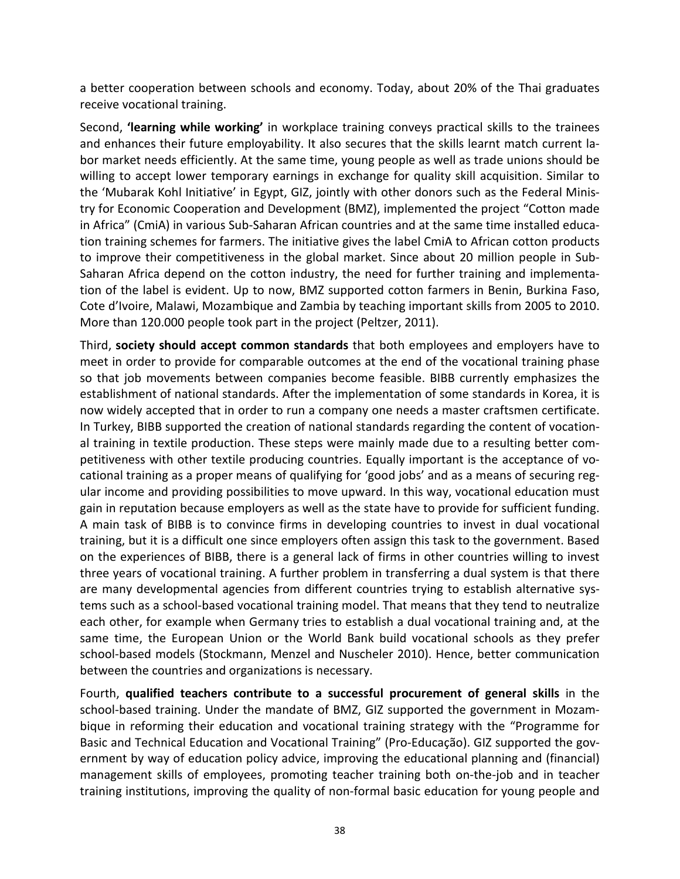a better cooperation between schools and economy. Today, about 20% of the Thai graduates receive vocational training.

Second, **'learning while working'** in workplace training conveys practical skills to the trainees and enhances their future employability. It also secures that the skills learnt match current labor market needs efficiently. At the same time, young people as well as trade unions should be willing to accept lower temporary earnings in exchange for quality skill acquisition. Similar to the 'Mubarak Kohl Initiative' in Egypt, GIZ, jointly with other donors such as the Federal Ministry for Economic Cooperation and Development (BMZ), implemented the project "Cotton made in Africa" (CmiA) in various Sub-Saharan African countries and at the same time installed education training schemes for farmers. The initiative gives the label CmiA to African cotton products to improve their [competitiveness](http://dict.leo.org/ende?lp=ende&p=ziiQA&search=competitiveness&trestr=0x8001) in the global market. Since about 20 million people in Sub-Saharan Africa depend on the cotton industry, the need for further training and implementation of the label is evident. Up to now, BMZ supported cotton farmers in Benin, Burkina Faso, Cote d'Ivoire, Malawi, Mozambique and Zambia by teaching important skills from 2005 to 2010. More than 120.000 people took part in the project (Peltzer, 2011).

Third, **society should accept common standards** that both employees and employers have to meet in order to provide for comparable outcomes at the end of the vocational training phase so that job movements between companies become feasible. BIBB currently emphasizes the establishment of national standards. After the implementation of some standards in Korea, it is now widely accepted that in order to run a company one needs a master craftsmen certificate. In Turkey, BIBB supported the creation of national standards regarding the content of vocational training in textile production. These steps were mainly made due to a resulting better competitiveness with other textile producing countries. Equally important is the acceptance of vocational training as a proper means of qualifying for 'good jobs' and as a means of securing regular income and providing possibilities to move upward. In this way, vocational education must gain in reputation because employers as well as the state have to provide for sufficient funding. A main task of BIBB is to convince firms in developing countries to invest in dual vocational training, but it is a difficult one since employers often assign this task to the government. Based on the experiences of BIBB, there is a general lack of firms in other countries willing to invest three years of vocational training. A further problem in transferring a dual system is that there are many developmental agencies from different countries trying to establish alternative systems such as a school-based vocational training model. That means that they tend to neutralize each other, for example when Germany tries to establish a dual vocational training and, at the same time, the European Union or the World Bank build vocational schools as they prefer school-based models (Stockmann, Menzel and Nuscheler 2010). Hence, better communication between the countries and organizations is necessary.

Fourth, **qualified teachers contribute to a successful procurement of general skills** in the school-based training. Under the mandate of BMZ, GIZ supported the government in Mozambique in reforming their education and vocational training strategy with the "Programme for Basic and Technical Education and Vocational Training" (Pro-Educação). GIZ supported the government by way of education policy advice, improving the educational planning and (financial) management skills of employees, promoting teacher training both on-the-job and in teacher training institutions, improving the quality of non-formal basic education for young people and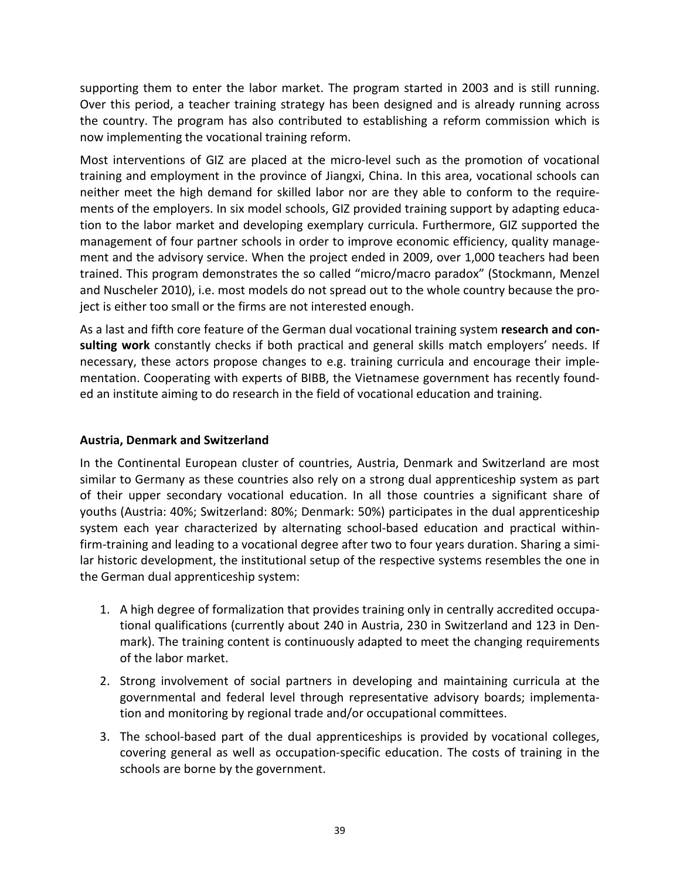supporting them to enter the labor market. The program started in 2003 and is still running. Over this period, a teacher training strategy has been designed and is already running across the country. The program has also contributed to establishing a reform commission which is now implementing the vocational training reform.

Most interventions of GIZ are placed at the micro-level such as the promotion of vocational training and employment in the province of Jiangxi, China. In this area, vocational schools can neither meet the high demand for skilled labor nor are they able to conform to the requirements of the employers. In six model schools, GIZ provided training support by adapting education to the labor market and developing exemplary curricula. Furthermore, GIZ supported the management of four partner schools in order to improve economic efficiency, quality management and the advisory service. When the project ended in 2009, over 1,000 teachers had been trained. This program demonstrates the so called "micro/macro paradox" (Stockmann, Menzel and Nuscheler 2010), i.e. most models do not spread out to the whole country because the project is either too small or the firms are not interested enough.

As a last and fifth core feature of the German dual vocational training system **research and consulting work** constantly checks if both practical and general skills match employers' needs. If necessary, these actors propose changes to e.g. training curricula and encourage their implementation. Cooperating with experts of BIBB, the Vietnamese government has recently founded an institute aiming to do research in the field of vocational education and training.

# **Austria, Denmark and Switzerland**

In the Continental European cluster of countries, Austria, Denmark and Switzerland are most similar to Germany as these countries also rely on a strong dual apprenticeship system as part of their upper secondary vocational education. In all those countries a significant share of youths (Austria: 40%; Switzerland: 80%; Denmark: 50%) participates in the dual apprenticeship system each year characterized by alternating school-based education and practical withinfirm-training and leading to a vocational degree after two to four years duration. Sharing a similar historic development, the institutional setup of the respective systems resembles the one in the German dual apprenticeship system:

- 1. A high degree of formalization that provides training only in centrally accredited occupational qualifications (currently about 240 in Austria, 230 in Switzerland and 123 in Denmark). The training content is continuously adapted to meet the changing requirements of the labor market.
- 2. Strong involvement of social partners in developing and maintaining curricula at the governmental and federal level through representative advisory boards; implementation and monitoring by regional trade and/or occupational committees.
- 3. The school-based part of the dual apprenticeships is provided by vocational colleges, covering general as well as occupation-specific education. The costs of training in the schools are borne by the government.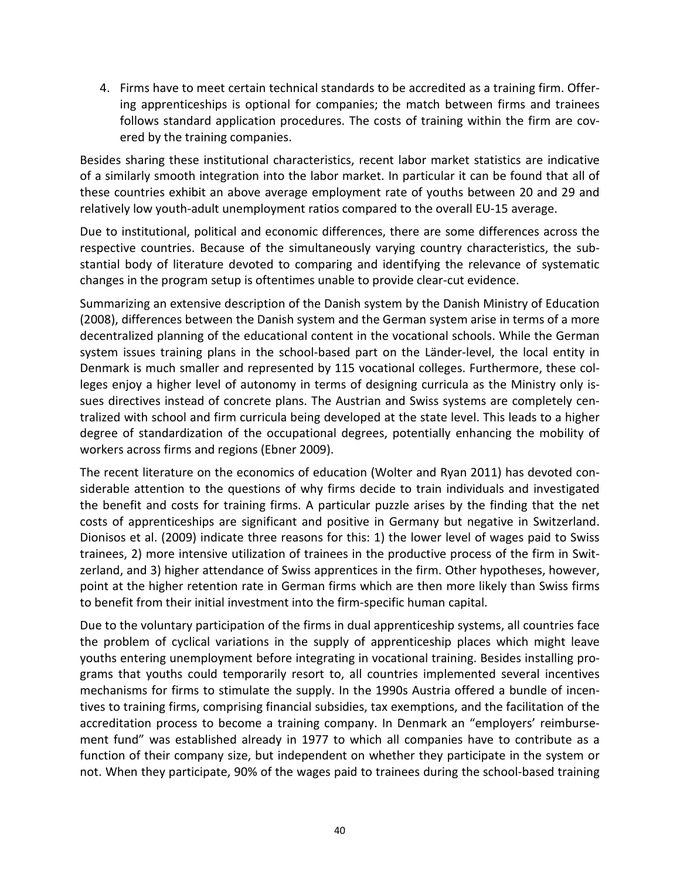4. Firms have to meet certain technical standards to be accredited as a training firm. Offering apprenticeships is optional for companies; the match between firms and trainees follows standard application procedures. The costs of training within the firm are covered by the training companies.

Besides sharing these institutional characteristics, recent labor market statistics are indicative of a similarly smooth integration into the labor market. In particular it can be found that all of these countries exhibit an above average employment rate of youths between 20 and 29 and relatively low youth-adult unemployment ratios compared to the overall EU-15 average.

Due to institutional, political and economic differences, there are some differences across the respective countries. Because of the simultaneously varying country characteristics, the substantial body of literature devoted to comparing and identifying the relevance of systematic changes in the program setup is oftentimes unable to provide clear-cut evidence.

Summarizing an extensive description of the Danish system by the Danish Ministry of Education (2008), differences between the Danish system and the German system arise in terms of a more decentralized planning of the educational content in the vocational schools. While the German system issues training plans in the school-based part on the Länder-level, the local entity in Denmark is much smaller and represented by 115 vocational colleges. Furthermore, these colleges enjoy a higher level of autonomy in terms of designing curricula as the Ministry only issues directives instead of concrete plans. The Austrian and Swiss systems are completely centralized with school and firm curricula being developed at the state level. This leads to a higher degree of standardization of the occupational degrees, potentially enhancing the mobility of workers across firms and regions (Ebner 2009).

The recent literature on the economics of education (Wolter and Ryan 2011) has devoted considerable attention to the questions of why firms decide to train individuals and investigated the benefit and costs for training firms. A particular puzzle arises by the finding that the net costs of apprenticeships are significant and positive in Germany but negative in Switzerland. Dionisos et al. (2009) indicate three reasons for this: 1) the lower level of wages paid to Swiss trainees, 2) more intensive utilization of trainees in the productive process of the firm in Switzerland, and 3) higher attendance of Swiss apprentices in the firm. Other hypotheses, however, point at the higher retention rate in German firms which are then more likely than Swiss firms to benefit from their initial investment into the firm-specific human capital.

Due to the voluntary participation of the firms in dual apprenticeship systems, all countries face the problem of cyclical variations in the supply of apprenticeship places which might leave youths entering unemployment before integrating in vocational training. Besides installing programs that youths could temporarily resort to, all countries implemented several incentives mechanisms for firms to stimulate the supply. In the 1990s Austria offered a bundle of incentives to training firms, comprising financial subsidies, tax exemptions, and the facilitation of the accreditation process to become a training company. In Denmark an "employers' reimbursement fund" was established already in 1977 to which all companies have to contribute as a function of their company size, but independent on whether they participate in the system or not. When they participate, 90% of the wages paid to trainees during the school-based training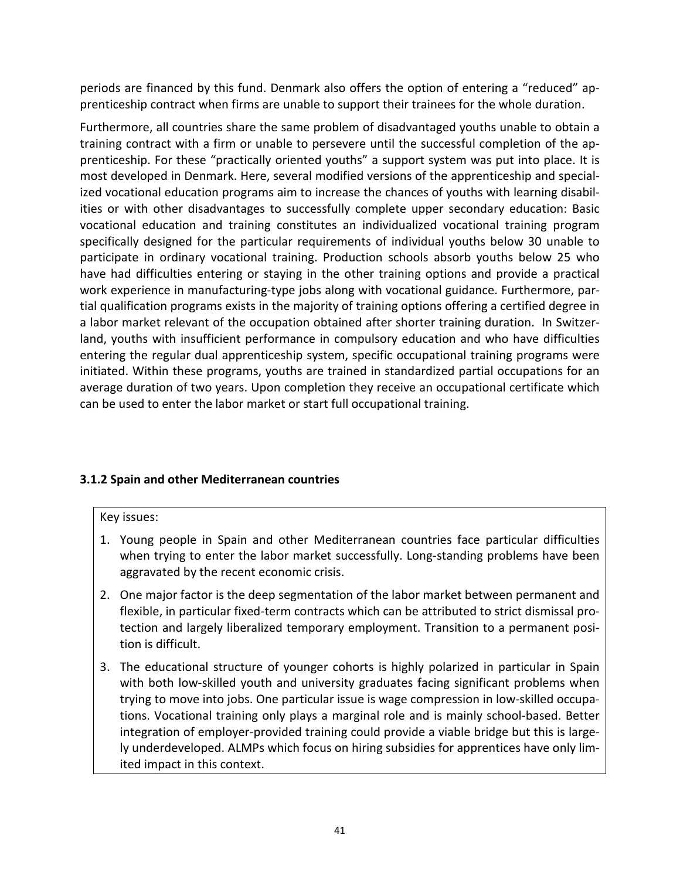periods are financed by this fund. Denmark also offers the option of entering a "reduced" apprenticeship contract when firms are unable to support their trainees for the whole duration.

Furthermore, all countries share the same problem of disadvantaged youths unable to obtain a training contract with a firm or unable to persevere until the successful completion of the apprenticeship. For these "practically oriented youths" a support system was put into place. It is most developed in Denmark. Here, several modified versions of the apprenticeship and specialized vocational education programs aim to increase the chances of youths with learning disabilities or with other disadvantages to successfully complete upper secondary education: Basic vocational education and training constitutes an individualized vocational training program specifically designed for the particular requirements of individual youths below 30 unable to participate in ordinary vocational training. Production schools absorb youths below 25 who have had difficulties entering or staying in the other training options and provide a practical work experience in manufacturing-type jobs along with vocational guidance. Furthermore, partial qualification programs exists in the majority of training options offering a certified degree in a labor market relevant of the occupation obtained after shorter training duration. In Switzerland, youths with insufficient performance in compulsory education and who have difficulties entering the regular dual apprenticeship system, specific occupational training programs were initiated. Within these programs, youths are trained in standardized partial occupations for an average duration of two years. Upon completion they receive an occupational certificate which can be used to enter the labor market or start full occupational training.

# **3.1.2 Spain and other Mediterranean countries**

## Key issues:

- 1. Young people in Spain and other Mediterranean countries face particular difficulties when trying to enter the labor market successfully. Long-standing problems have been aggravated by the recent economic crisis.
- 2. One major factor is the deep segmentation of the labor market between permanent and flexible, in particular fixed-term contracts which can be attributed to strict dismissal protection and largely liberalized temporary employment. Transition to a permanent position is difficult.
- 3. The educational structure of younger cohorts is highly polarized in particular in Spain with both low-skilled youth and university graduates facing significant problems when trying to move into jobs. One particular issue is wage compression in low-skilled occupations. Vocational training only plays a marginal role and is mainly school-based. Better integration of employer-provided training could provide a viable bridge but this is largely underdeveloped. ALMPs which focus on hiring subsidies for apprentices have only limited impact in this context.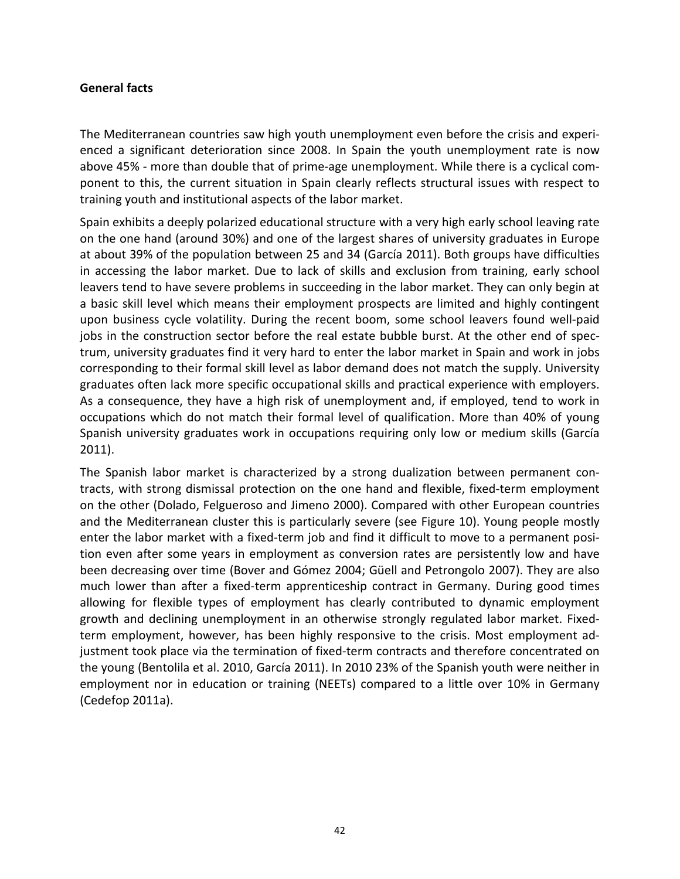#### **General facts**

The Mediterranean countries saw high youth unemployment even before the crisis and experienced a significant deterioration since 2008. In Spain the youth unemployment rate is now above 45% - more than double that of prime-age unemployment. While there is a cyclical component to this, the current situation in Spain clearly reflects structural issues with respect to training youth and institutional aspects of the labor market.

Spain exhibits a deeply polarized educational structure with a very high early school leaving rate on the one hand (around 30%) and one of the largest shares of university graduates in Europe at about 39% of the population between 25 and 34 (García 2011). Both groups have difficulties in accessing the labor market. Due to lack of skills and exclusion from training, early school leavers tend to have severe problems in succeeding in the labor market. They can only begin at a basic skill level which means their employment prospects are limited and highly contingent upon business cycle volatility. During the recent boom, some school leavers found well-paid jobs in the construction sector before the real estate bubble burst. At the other end of spectrum, university graduates find it very hard to enter the labor market in Spain and work in jobs corresponding to their formal skill level as labor demand does not match the supply. University graduates often lack more specific occupational skills and practical experience with employers. As a consequence, they have a high risk of unemployment and, if employed, tend to work in occupations which do not match their formal level of qualification. More than 40% of young Spanish university graduates work in occupations requiring only low or medium skills (García 2011).

The Spanish labor market is characterized by a strong dualization between permanent contracts, with strong dismissal protection on the one hand and flexible, fixed-term employment on the other (Dolado, Felgueroso and Jimeno 2000). Compared with other European countries and the Mediterranean cluster this is particularly severe (see Figure 10). Young people mostly enter the labor market with a fixed-term job and find it difficult to move to a permanent position even after some years in employment as conversion rates are persistently low and have been decreasing over time (Bover and Gómez 2004; Güell and Petrongolo 2007). They are also much lower than after a fixed-term apprenticeship contract in Germany. During good times allowing for flexible types of employment has clearly contributed to dynamic employment growth and declining unemployment in an otherwise strongly regulated labor market. Fixedterm employment, however, has been highly responsive to the crisis. Most employment adjustment took place via the termination of fixed-term contracts and therefore concentrated on the young (Bentolila et al. 2010, García 2011). In 2010 23% of the Spanish youth were neither in employment nor in education or training (NEETs) compared to a little over 10% in Germany (Cedefop 2011a).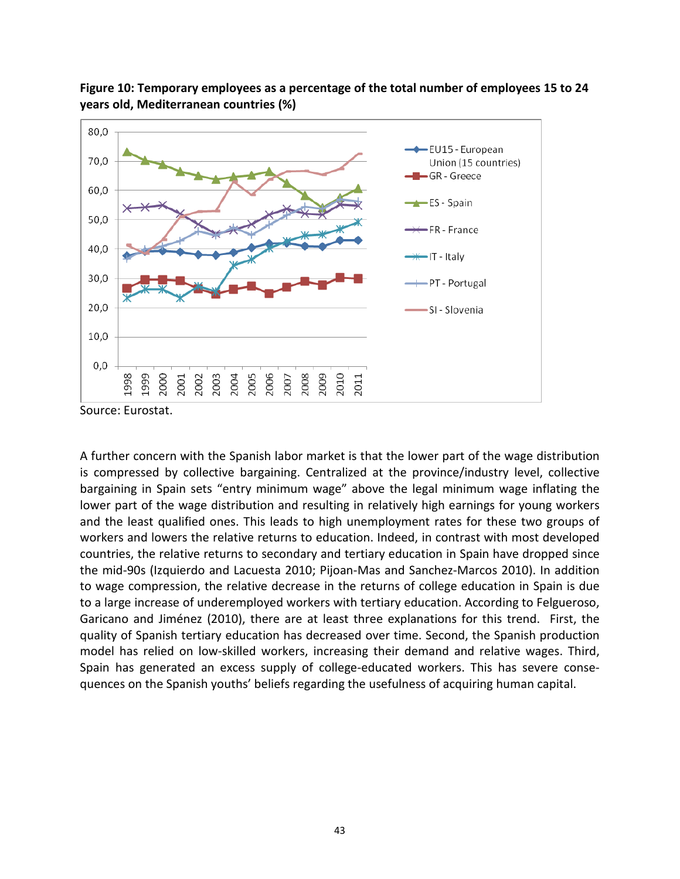

**Figure 10: Temporary employees as a percentage of the total number of employees 15 to 24 years old, Mediterranean countries (%)**

Source: Eurostat.

A further concern with the Spanish labor market is that the lower part of the wage distribution is compressed by collective bargaining. Centralized at the province/industry level, collective bargaining in Spain sets "entry minimum wage" above the legal minimum wage inflating the lower part of the wage distribution and resulting in relatively high earnings for young workers and the least qualified ones. This leads to high unemployment rates for these two groups of workers and lowers the relative returns to education. Indeed, in contrast with most developed countries, the relative returns to secondary and tertiary education in Spain have dropped since the mid-90s (Izquierdo and Lacuesta 2010; Pijoan-Mas and Sanchez-Marcos 2010). In addition to wage compression, the relative decrease in the returns of college education in Spain is due to a large increase of underemployed workers with tertiary education. According to Felgueroso, Garicano and Jiménez (2010), there are at least three explanations for this trend. First, the quality of Spanish tertiary education has decreased over time. Second, the Spanish production model has relied on low-skilled workers, increasing their demand and relative wages. Third, Spain has generated an excess supply of college-educated workers. This has severe consequences on the Spanish youths' beliefs regarding the usefulness of acquiring human capital.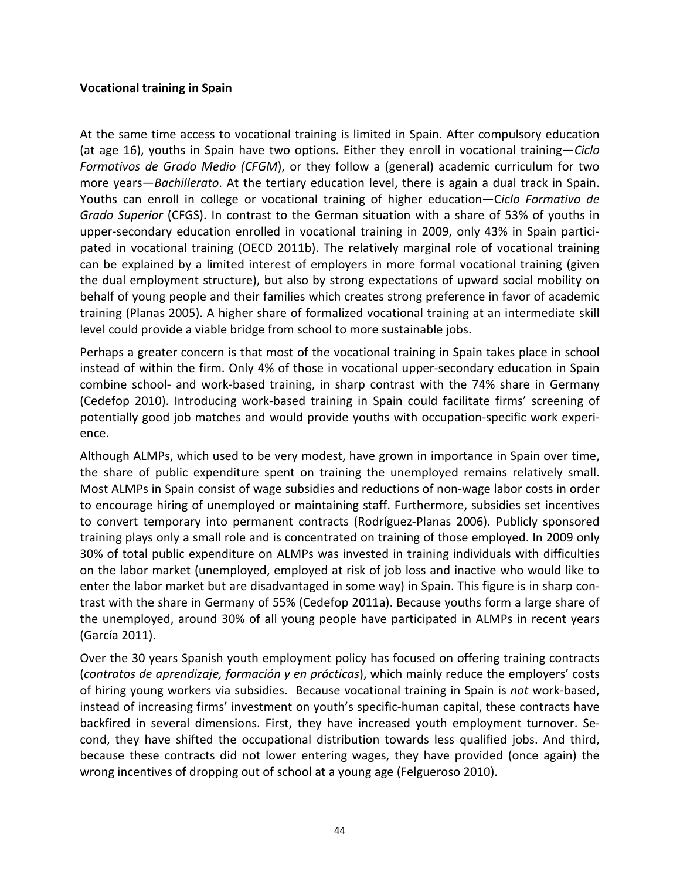## **Vocational training in Spain**

At the same time access to vocational training is limited in Spain. After compulsory education (at age 16), youths in Spain have two options. Either they enroll in vocational training—*Ciclo Formativos de Grado Medio (CFGM*), or they follow a (general) academic curriculum for two more years—*Bachillerato*. At the tertiary education level, there is again a dual track in Spain. Youths can enroll in college or vocational training of higher education—C*iclo Formativo de Grado Superior* (CFGS). In contrast to the German situation with a share of 53% of youths in upper-secondary education enrolled in vocational training in 2009, only 43% in Spain participated in vocational training (OECD 2011b). The relatively marginal role of vocational training can be explained by a limited interest of employers in more formal vocational training (given the dual employment structure), but also by strong expectations of upward social mobility on behalf of young people and their families which creates strong preference in favor of academic training (Planas 2005). A higher share of formalized vocational training at an intermediate skill level could provide a viable bridge from school to more sustainable jobs.

Perhaps a greater concern is that most of the vocational training in Spain takes place in school instead of within the firm. Only 4% of those in vocational upper-secondary education in Spain combine school- and work-based training, in sharp contrast with the 74% share in Germany (Cedefop 2010). Introducing work-based training in Spain could facilitate firms' screening of potentially good job matches and would provide youths with occupation-specific work experience.

Although ALMPs, which used to be very modest, have grown in importance in Spain over time, the share of public expenditure spent on training the unemployed remains relatively small. Most ALMPs in Spain consist of wage subsidies and reductions of non-wage labor costs in order to encourage hiring of unemployed or maintaining staff. Furthermore, subsidies set incentives to convert temporary into permanent contracts (Rodríguez-Planas 2006). Publicly sponsored training plays only a small role and is concentrated on training of those employed. In 2009 only 30% of total public expenditure on ALMPs was invested in training individuals with difficulties on the labor market (unemployed, employed at risk of job loss and inactive who would like to enter the labor market but are disadvantaged in some way) in Spain. This figure is in sharp contrast with the share in Germany of 55% (Cedefop 2011a). Because youths form a large share of the unemployed, around 30% of all young people have participated in ALMPs in recent years (García 2011).

Over the 30 years Spanish youth employment policy has focused on offering training contracts (*contratos de aprendizaje, formación y en prácticas*), which mainly reduce the employers' costs of hiring young workers via subsidies. Because vocational training in Spain is *not* work-based, instead of increasing firms' investment on youth's specific-human capital, these contracts have backfired in several dimensions. First, they have increased youth employment turnover. Second, they have shifted the occupational distribution towards less qualified jobs. And third, because these contracts did not lower entering wages, they have provided (once again) the wrong incentives of dropping out of school at a young age (Felgueroso 2010).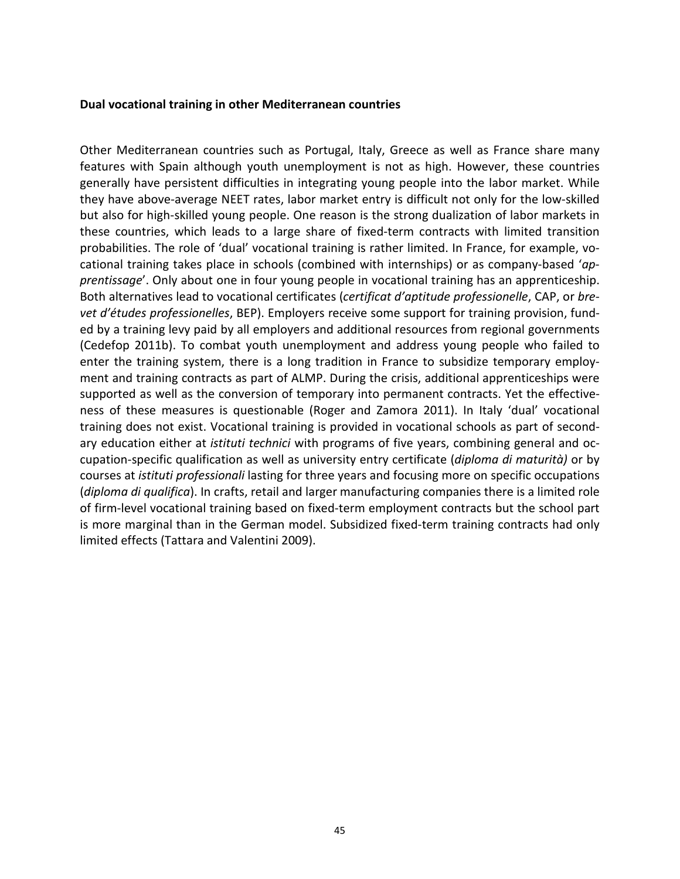#### **Dual vocational training in other Mediterranean countries**

Other Mediterranean countries such as Portugal, Italy, Greece as well as France share many features with Spain although youth unemployment is not as high. However, these countries generally have persistent difficulties in integrating young people into the labor market. While they have above-average NEET rates, labor market entry is difficult not only for the low-skilled but also for high-skilled young people. One reason is the strong dualization of labor markets in these countries, which leads to a large share of fixed-term contracts with limited transition probabilities. The role of 'dual' vocational training is rather limited. In France, for example, vocational training takes place in schools (combined with internships) or as company-based '*apprentissage*'. Only about one in four young people in vocational training has an apprenticeship. Both alternatives lead to vocational certificates (*certificat d'aptitude professionelle*, CAP, or *brevet d'études professionelles*, BEP). Employers receive some support for training provision, funded by a training levy paid by all employers and additional resources from regional governments (Cedefop 2011b). To combat youth unemployment and address young people who failed to enter the training system, there is a long tradition in France to subsidize temporary employment and training contracts as part of ALMP. During the crisis, additional apprenticeships were supported as well as the conversion of temporary into permanent contracts. Yet the effectiveness of these measures is questionable (Roger and Zamora 2011). In Italy 'dual' vocational training does not exist. Vocational training is provided in vocational schools as part of secondary education either at *istituti technici* with programs of five years, combining general and occupation-specific qualification as well as university entry certificate (*diploma di maturità)* or by courses at *istituti professionali* lasting for three years and focusing more on specific occupations (*diploma di qualifica*). In crafts, retail and larger manufacturing companies there is a limited role of firm-level vocational training based on fixed-term employment contracts but the school part is more marginal than in the German model. Subsidized fixed-term training contracts had only limited effects (Tattara and Valentini 2009).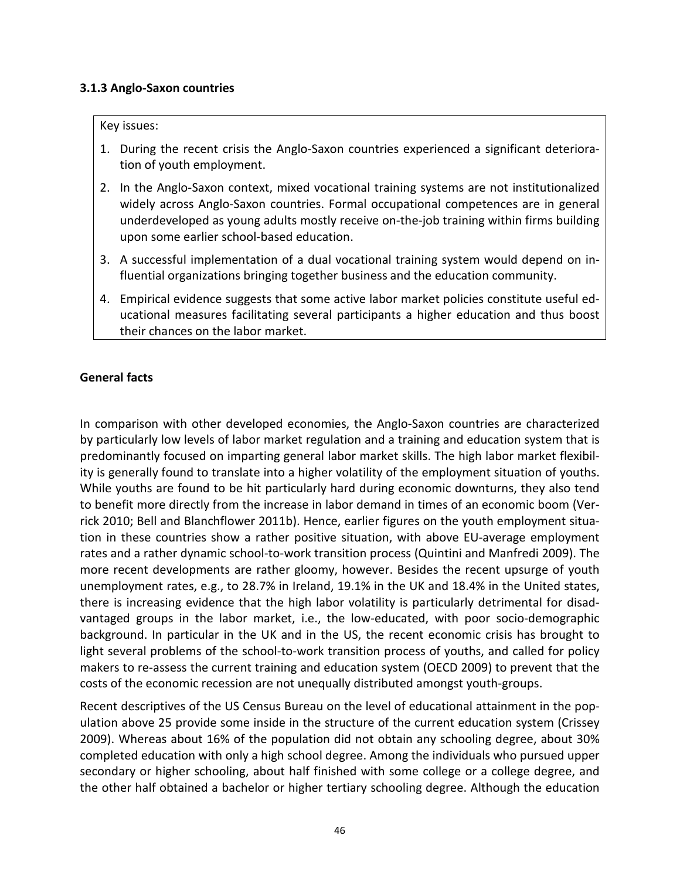## **3.1.3 Anglo-Saxon countries**

#### Key issues:

- 1. During the recent crisis the Anglo-Saxon countries experienced a significant deterioration of youth employment.
- 2. In the Anglo-Saxon context, mixed vocational training systems are not institutionalized widely across Anglo-Saxon countries. Formal occupational competences are in general underdeveloped as young adults mostly receive on-the-job training within firms building upon some earlier school-based education.
- 3. A successful implementation of a dual vocational training system would depend on influential organizations bringing together business and the education community.
- 4. Empirical evidence suggests that some active labor market policies constitute useful educational measures facilitating several participants a higher education and thus boost their chances on the labor market.

## **General facts**

In comparison with other developed economies, the Anglo-Saxon countries are characterized by particularly low levels of labor market regulation and a training and education system that is predominantly focused on imparting general labor market skills. The high labor market flexibility is generally found to translate into a higher volatility of the employment situation of youths. While youths are found to be hit particularly hard during economic downturns, they also tend to benefit more directly from the increase in labor demand in times of an economic boom (Verrick 2010; Bell and Blanchflower 2011b). Hence, earlier figures on the youth employment situation in these countries show a rather positive situation, with above EU-average employment rates and a rather dynamic school-to-work transition process (Quintini and Manfredi 2009). The more recent developments are rather gloomy, however. Besides the recent upsurge of youth unemployment rates, e.g., to 28.7% in Ireland, 19.1% in the UK and 18.4% in the United states, there is increasing evidence that the high labor volatility is particularly detrimental for disadvantaged groups in the labor market, i.e., the low-educated, with poor socio-demographic background. In particular in the UK and in the US, the recent economic crisis has brought to light several problems of the school-to-work transition process of youths, and called for policy makers to re-assess the current training and education system (OECD 2009) to prevent that the costs of the economic recession are not unequally distributed amongst youth-groups.

Recent descriptives of the US Census Bureau on the level of educational attainment in the population above 25 provide some inside in the structure of the current education system (Crissey 2009). Whereas about 16% of the population did not obtain any schooling degree, about 30% completed education with only a high school degree. Among the individuals who pursued upper secondary or higher schooling, about half finished with some college or a college degree, and the other half obtained a bachelor or higher tertiary schooling degree. Although the education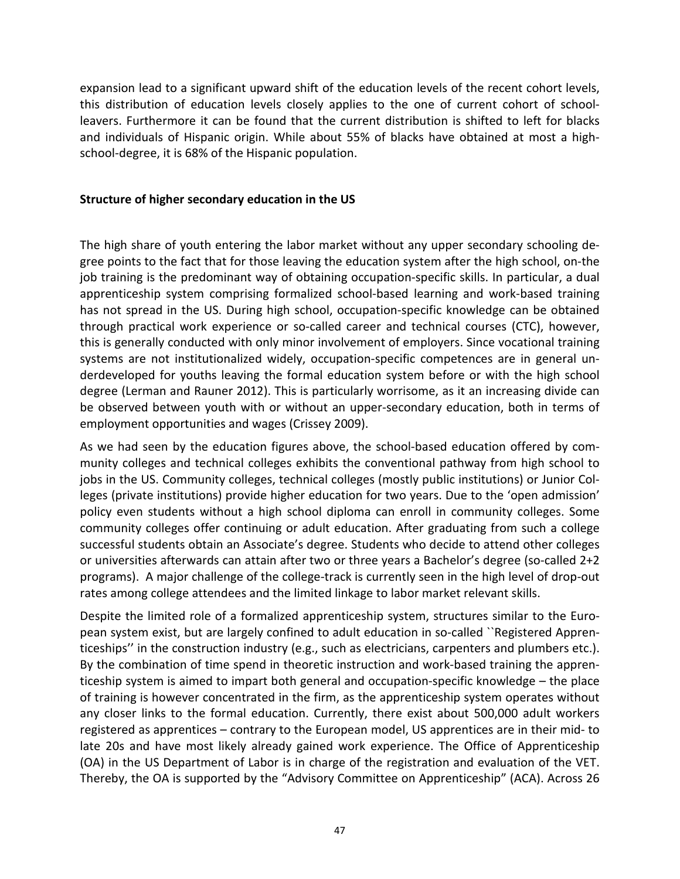expansion lead to a significant upward shift of the education levels of the recent cohort levels, this distribution of education levels closely applies to the one of current cohort of schoolleavers. Furthermore it can be found that the current distribution is shifted to left for blacks and individuals of Hispanic origin. While about 55% of blacks have obtained at most a highschool-degree, it is 68% of the Hispanic population.

## **Structure of higher secondary education in the US**

The high share of youth entering the labor market without any upper secondary schooling degree points to the fact that for those leaving the education system after the high school, on-the job training is the predominant way of obtaining occupation-specific skills. In particular, a dual apprenticeship system comprising formalized school-based learning and work-based training has not spread in the US. During high school, occupation-specific knowledge can be obtained through practical work experience or so-called career and technical courses (CTC), however, this is generally conducted with only minor involvement of employers. Since vocational training systems are not institutionalized widely, occupation-specific competences are in general underdeveloped for youths leaving the formal education system before or with the high school degree (Lerman and Rauner 2012). This is particularly worrisome, as it an increasing divide can be observed between youth with or without an upper-secondary education, both in terms of employment opportunities and wages (Crissey 2009).

As we had seen by the education figures above, the school-based education offered by community colleges and technical colleges exhibits the conventional pathway from high school to jobs in the US. Community colleges, technical colleges (mostly public institutions) or Junior Colleges (private institutions) provide higher education for two years. Due to the 'open admission' policy even students without a high school diploma can enroll in community colleges. Some community colleges offer continuing or adult education. After graduating from such a college successful students obtain an Associate's degree. Students who decide to attend other colleges or universities afterwards can attain after two or three years a Bachelor's degree (so-called 2+2 programs). A major challenge of the college-track is currently seen in the high level of drop-out rates among college attendees and the limited linkage to labor market relevant skills.

Despite the limited role of a formalized apprenticeship system, structures similar to the European system exist, but are largely confined to adult education in so-called ``Registered Apprenticeships'' in the construction industry (e.g., such as electricians, carpenters and plumbers etc.). By the combination of time spend in theoretic instruction and work-based training the apprenticeship system is aimed to impart both general and occupation-specific knowledge – the place of training is however concentrated in the firm, as the apprenticeship system operates without any closer links to the formal education. Currently, there exist about 500,000 adult workers registered as apprentices – contrary to the European model, US apprentices are in their mid- to late 20s and have most likely already gained work experience. The Office of Apprenticeship (OA) in the US Department of Labor is in charge of the registration and evaluation of the VET. Thereby, the OA is supported by the "Advisory Committee on Apprenticeship" (ACA). Across 26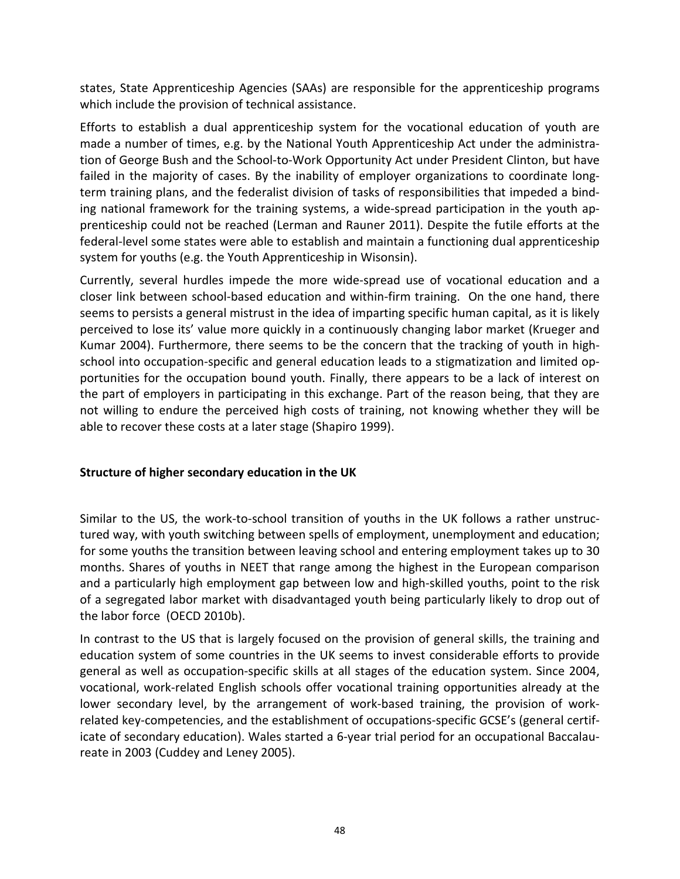states, State Apprenticeship Agencies (SAAs) are responsible for the apprenticeship programs which include the provision of technical assistance.

Efforts to establish a dual apprenticeship system for the vocational education of youth are made a number of times, e.g. by the National Youth Apprenticeship Act under the administration of George Bush and the School-to-Work Opportunity Act under President Clinton, but have failed in the majority of cases. By the inability of employer organizations to coordinate longterm training plans, and the federalist division of tasks of responsibilities that impeded a binding national framework for the training systems, a wide-spread participation in the youth apprenticeship could not be reached (Lerman and Rauner 2011). Despite the futile efforts at the federal-level some states were able to establish and maintain a functioning dual apprenticeship system for youths (e.g. the Youth Apprenticeship in Wisonsin).

Currently, several hurdles impede the more wide-spread use of vocational education and a closer link between school-based education and within-firm training. On the one hand, there seems to persists a general mistrust in the idea of imparting specific human capital, as it is likely perceived to lose its' value more quickly in a continuously changing labor market (Krueger and Kumar 2004). Furthermore, there seems to be the concern that the tracking of youth in highschool into occupation-specific and general education leads to a stigmatization and limited opportunities for the occupation bound youth. Finally, there appears to be a lack of interest on the part of employers in participating in this exchange. Part of the reason being, that they are not willing to endure the perceived high costs of training, not knowing whether they will be able to recover these costs at a later stage (Shapiro 1999).

# **Structure of higher secondary education in the UK**

Similar to the US, the work-to-school transition of youths in the UK follows a rather unstructured way, with youth switching between spells of employment, unemployment and education; for some youths the transition between leaving school and entering employment takes up to 30 months. Shares of youths in NEET that range among the highest in the European comparison and a particularly high employment gap between low and high-skilled youths, point to the risk of a segregated labor market with disadvantaged youth being particularly likely to drop out of the labor force (OECD 2010b).

In contrast to the US that is largely focused on the provision of general skills, the training and education system of some countries in the UK seems to invest considerable efforts to provide general as well as occupation-specific skills at all stages of the education system. Since 2004, vocational, work-related English schools offer vocational training opportunities already at the lower secondary level, by the arrangement of work-based training, the provision of workrelated key-competencies, and the establishment of occupations-specific GCSE's (general certificate of secondary education). Wales started a 6-year trial period for an occupational Baccalaureate in 2003 (Cuddey and Leney 2005).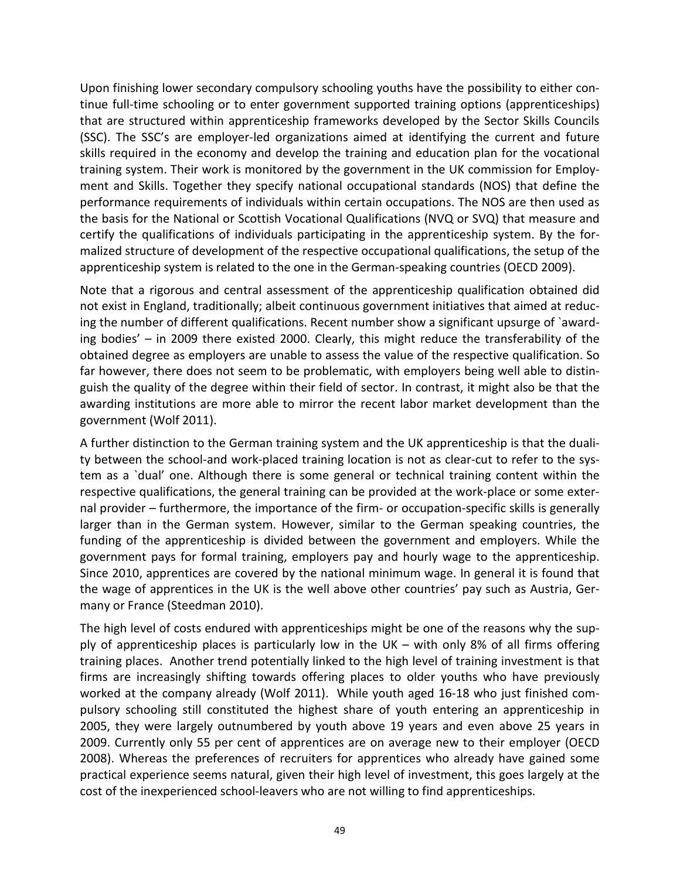Upon finishing lower secondary compulsory schooling youths have the possibility to either continue full-time schooling or to enter government supported training options (apprenticeships) that are structured within apprenticeship frameworks developed by the Sector Skills Councils (SSC). The SSC's are employer-led organizations aimed at identifying the current and future skills required in the economy and develop the training and education plan for the vocational training system. Their work is monitored by the government in the UK commission for Employment and Skills. Together they specify national occupational standards (NOS) that define the performance requirements of individuals within certain occupations. The NOS are then used as the basis for the National or Scottish Vocational Qualifications (NVQ or SVQ) that measure and certify the qualifications of individuals participating in the apprenticeship system. By the formalized structure of development of the respective occupational qualifications, the setup of the apprenticeship system is related to the one in the German-speaking countries (OECD 2009).

Note that a rigorous and central assessment of the apprenticeship qualification obtained did not exist in England, traditionally; albeit continuous government initiatives that aimed at reducing the number of different qualifications. Recent number show a significant upsurge of `awarding bodies' – in 2009 there existed 2000. Clearly, this might reduce the transferability of the obtained degree as employers are unable to assess the value of the respective qualification. So far however, there does not seem to be problematic, with employers being well able to distinguish the quality of the degree within their field of sector. In contrast, it might also be that the awarding institutions are more able to mirror the recent labor market development than the government (Wolf 2011).

A further distinction to the German training system and the UK apprenticeship is that the duality between the school-and work-placed training location is not as clear-cut to refer to the system as a `dual' one. Although there is some general or technical training content within the respective qualifications, the general training can be provided at the work-place or some external provider – furthermore, the importance of the firm- or occupation-specific skills is generally larger than in the German system. However, similar to the German speaking countries, the funding of the apprenticeship is divided between the government and employers. While the government pays for formal training, employers pay and hourly wage to the apprenticeship. Since 2010, apprentices are covered by the national minimum wage. In general it is found that the wage of apprentices in the UK is the well above other countries' pay such as Austria, Germany or France (Steedman 2010).

The high level of costs endured with apprenticeships might be one of the reasons why the supply of apprenticeship places is particularly low in the UK – with only 8% of all firms offering training places. Another trend potentially linked to the high level of training investment is that firms are increasingly shifting towards offering places to older youths who have previously worked at the company already (Wolf 2011). While youth aged 16-18 who just finished compulsory schooling still constituted the highest share of youth entering an apprenticeship in 2005, they were largely outnumbered by youth above 19 years and even above 25 years in 2009. Currently only 55 per cent of apprentices are on average new to their employer (OECD 2008). Whereas the preferences of recruiters for apprentices who already have gained some practical experience seems natural, given their high level of investment, this goes largely at the cost of the inexperienced school-leavers who are not willing to find apprenticeships.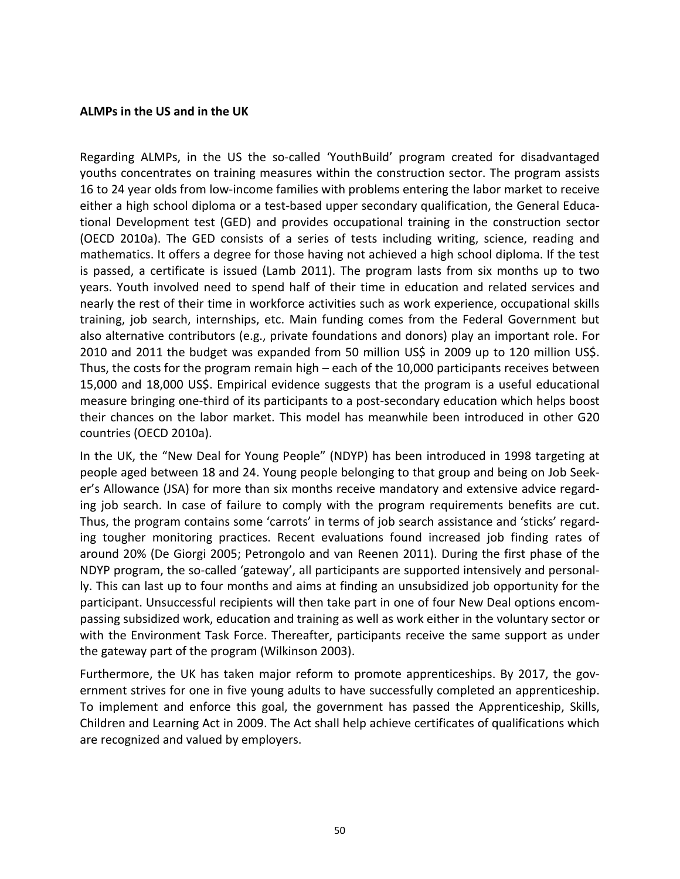#### **ALMPs in the US and in the UK**

Regarding ALMPs, in the US the so-called 'YouthBuild' program created for disadvantaged youths concentrates on training measures within the construction sector. The program assists 16 to 24 year olds from low-income families with problems entering the labor market to receive either a high school diploma or a test-based upper secondary qualification, the General Educational Development test (GED) and provides occupational training in the construction sector (OECD 2010a). The GED consists of a series of tests including writing, science, reading and mathematics. It offers a degree for those having not achieved a high school diploma. If the test is passed, a certificate is issued (Lamb 2011). The program lasts from six months up to two years. Youth involved need to spend half of their time in education and related services and nearly the rest of their time in workforce activities such as work experience, occupational skills training, job search, internships, etc. Main funding comes from the Federal Government but also alternative contributors (e.g., private foundations and donors) play an important role. For 2010 and 2011 the budget was expanded from 50 million US\$ in 2009 up to 120 million US\$. Thus, the costs for the program remain high – each of the 10,000 participants receives between 15,000 and 18,000 US\$. Empirical evidence suggests that the program is a useful educational measure bringing one-third of its participants to a post-secondary education which helps boost their chances on the labor market. This model has meanwhile been introduced in other G20 countries (OECD 2010a).

In the UK, the "New Deal for Young People" (NDYP) has been introduced in 1998 targeting at people aged between 18 and 24. Young people belonging to that group and being on Job Seeker's Allowance (JSA) for more than six months receive mandatory and extensive advice regarding job search. In case of failure to comply with the program requirements benefits are cut. Thus, the program contains some 'carrots' in terms of job search assistance and 'sticks' regarding tougher monitoring practices. Recent evaluations found increased job finding rates of around 20% (De Giorgi 2005; Petrongolo and van Reenen 2011). During the first phase of the NDYP program, the so-called 'gateway', all participants are supported intensively and personally. This can last up to four months and aims at finding an unsubsidized job opportunity for the participant. Unsuccessful recipients will then take part in one of four New Deal options encompassing subsidized work, education and training as well as work either in the voluntary sector or with the Environment Task Force. Thereafter, participants receive the same support as under the gateway part of the program (Wilkinson 2003).

Furthermore, the UK has taken major reform to promote apprenticeships. By 2017, the government strives for one in five young adults to have successfully completed an apprenticeship. To implement and enforce this goal, the government has passed the Apprenticeship, Skills, Children and Learning Act in 2009. The Act shall help achieve certificates of qualifications which are recognized and valued by employers.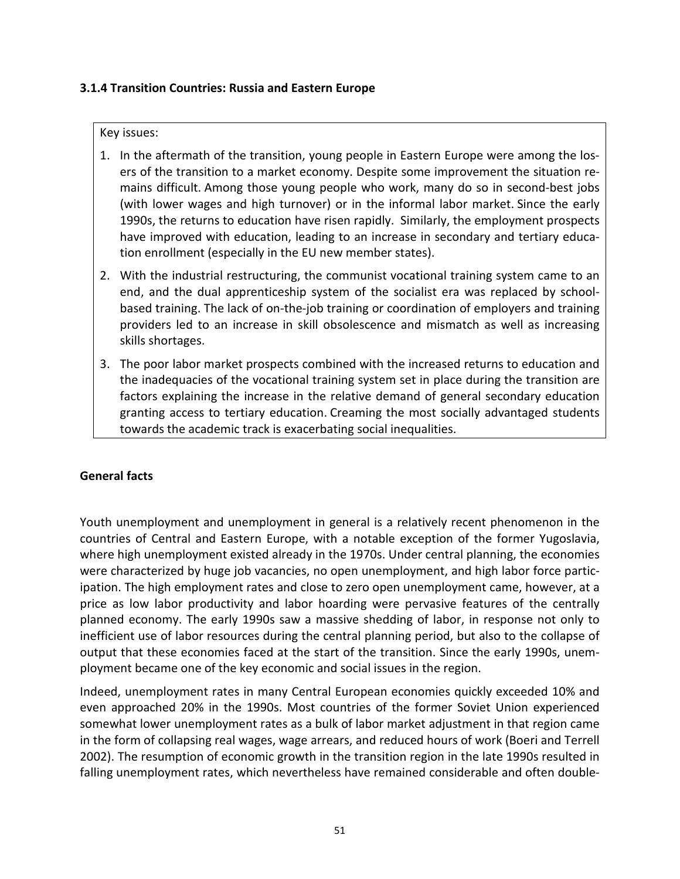## **3.1.4 Transition Countries: Russia and Eastern Europe**

#### Key issues:

- 1. In the aftermath of the transition, young people in Eastern Europe were among the losers of the transition to a market economy. Despite some improvement the situation remains difficult. Among those young people who work, many do so in second-best jobs (with lower wages and high turnover) or in the informal labor market. Since the early 1990s, the returns to education have risen rapidly. Similarly, the employment prospects have improved with education, leading to an increase in secondary and tertiary education enrollment (especially in the EU new member states).
- 2. With the industrial restructuring, the communist vocational training system came to an end, and the dual apprenticeship system of the socialist era was replaced by schoolbased training. The lack of on-the-job training or coordination of employers and training providers led to an increase in skill obsolescence and mismatch as well as increasing skills shortages.
- 3. The poor labor market prospects combined with the increased returns to education and the inadequacies of the vocational training system set in place during the transition are factors explaining the increase in the relative demand of general secondary education granting access to tertiary education. Creaming the most socially advantaged students towards the academic track is exacerbating social inequalities.

# **General facts**

Youth unemployment and unemployment in general is a relatively recent phenomenon in the countries of Central and Eastern Europe, with a notable exception of the former Yugoslavia, where high unemployment existed already in the 1970s. Under central planning, the economies were characterized by huge job vacancies, no open unemployment, and high labor force participation. The high employment rates and close to zero open unemployment came, however, at a price as low labor productivity and labor hoarding were pervasive features of the centrally planned economy. The early 1990s saw a massive shedding of labor, in response not only to inefficient use of labor resources during the central planning period, but also to the collapse of output that these economies faced at the start of the transition. Since the early 1990s, unemployment became one of the key economic and social issues in the region.

Indeed, unemployment rates in many Central European economies quickly exceeded 10% and even approached 20% in the 1990s. Most countries of the former Soviet Union experienced somewhat lower unemployment rates as a bulk of labor market adjustment in that region came in the form of collapsing real wages, wage arrears, and reduced hours of work (Boeri and Terrell 2002). The resumption of economic growth in the transition region in the late 1990s resulted in falling unemployment rates, which nevertheless have remained considerable and often double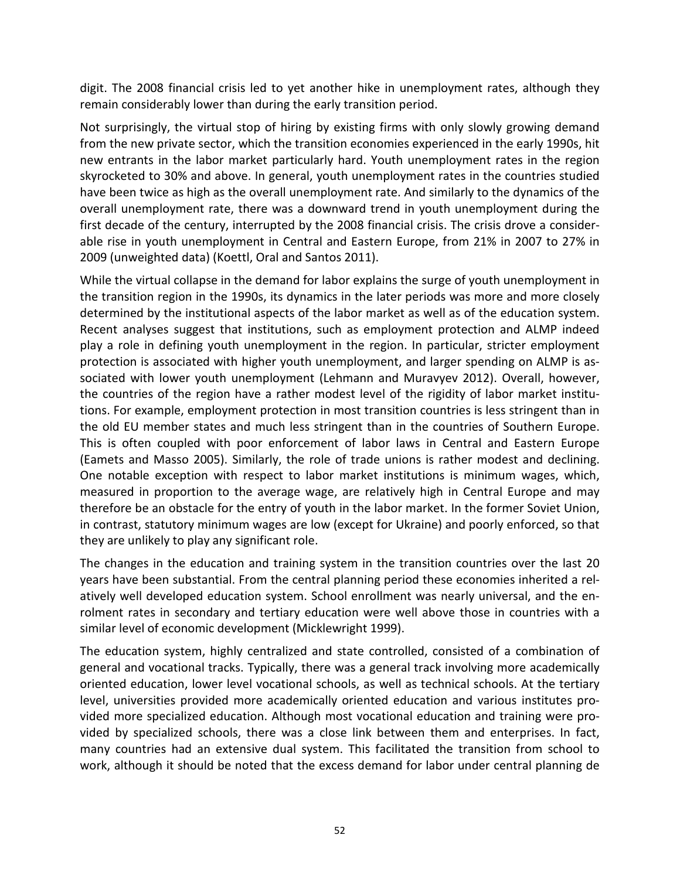digit. The 2008 financial crisis led to yet another hike in unemployment rates, although they remain considerably lower than during the early transition period.

Not surprisingly, the virtual stop of hiring by existing firms with only slowly growing demand from the new private sector, which the transition economies experienced in the early 1990s, hit new entrants in the labor market particularly hard. Youth unemployment rates in the region skyrocketed to 30% and above. In general, youth unemployment rates in the countries studied have been twice as high as the overall unemployment rate. And similarly to the dynamics of the overall unemployment rate, there was a downward trend in youth unemployment during the first decade of the century, interrupted by the 2008 financial crisis. The crisis drove a considerable rise in youth unemployment in Central and Eastern Europe, from 21% in 2007 to 27% in 2009 (unweighted data) (Koettl, Oral and Santos 2011).

While the virtual collapse in the demand for labor explains the surge of youth unemployment in the transition region in the 1990s, its dynamics in the later periods was more and more closely determined by the institutional aspects of the labor market as well as of the education system. Recent analyses suggest that institutions, such as employment protection and ALMP indeed play a role in defining youth unemployment in the region. In particular, stricter employment protection is associated with higher youth unemployment, and larger spending on ALMP is associated with lower youth unemployment (Lehmann and Muravyev 2012). Overall, however, the countries of the region have a rather modest level of the rigidity of labor market institutions. For example, employment protection in most transition countries is less stringent than in the old EU member states and much less stringent than in the countries of Southern Europe. This is often coupled with poor enforcement of labor laws in Central and Eastern Europe (Eamets and Masso 2005). Similarly, the role of trade unions is rather modest and declining. One notable exception with respect to labor market institutions is minimum wages, which, measured in proportion to the average wage, are relatively high in Central Europe and may therefore be an obstacle for the entry of youth in the labor market. In the former Soviet Union, in contrast, statutory minimum wages are low (except for Ukraine) and poorly enforced, so that they are unlikely to play any significant role.

The changes in the education and training system in the transition countries over the last 20 years have been substantial. From the central planning period these economies inherited a relatively well developed education system. School enrollment was nearly universal, and the enrolment rates in secondary and tertiary education were well above those in countries with a similar level of economic development (Micklewright 1999).

The education system, highly centralized and state controlled, consisted of a combination of general and vocational tracks. Typically, there was a general track involving more academically oriented education, lower level vocational schools, as well as technical schools. At the tertiary level, universities provided more academically oriented education and various institutes provided more specialized education. Although most vocational education and training were provided by specialized schools, there was a close link between them and enterprises. In fact, many countries had an extensive dual system. This facilitated the transition from school to work, although it should be noted that the excess demand for labor under central planning de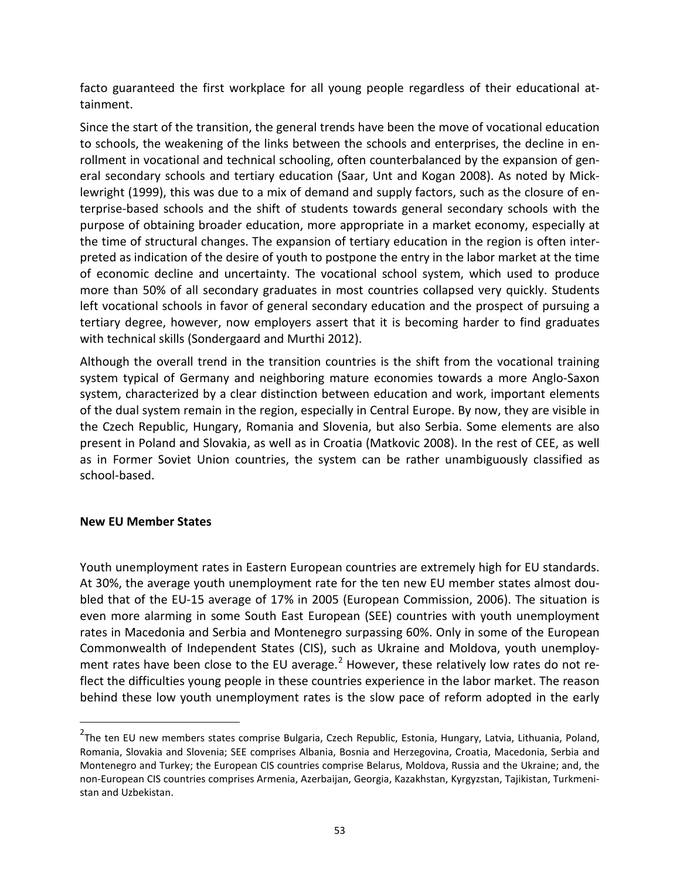facto guaranteed the first workplace for all young people regardless of their educational attainment.

Since the start of the transition, the general trends have been the move of vocational education to schools, the weakening of the links between the schools and enterprises, the decline in enrollment in vocational and technical schooling, often counterbalanced by the expansion of general secondary schools and tertiary education (Saar, Unt and Kogan 2008). As noted by Micklewright (1999), this was due to a mix of demand and supply factors, such as the closure of enterprise-based schools and the shift of students towards general secondary schools with the purpose of obtaining broader education, more appropriate in a market economy, especially at the time of structural changes. The expansion of tertiary education in the region is often interpreted as indication of the desire of youth to postpone the entry in the labor market at the time of economic decline and uncertainty. The vocational school system, which used to produce more than 50% of all secondary graduates in most countries collapsed very quickly. Students left vocational schools in favor of general secondary education and the prospect of pursuing a tertiary degree, however, now employers assert that it is becoming harder to find graduates with technical skills (Sondergaard and Murthi 2012).

Although the overall trend in the transition countries is the shift from the vocational training system typical of Germany and neighboring mature economies towards a more Anglo-Saxon system, characterized by a clear distinction between education and work, important elements of the dual system remain in the region, especially in Central Europe. By now, they are visible in the Czech Republic, Hungary, Romania and Slovenia, but also Serbia. Some elements are also present in Poland and Slovakia, as well as in Croatia (Matkovic 2008). In the rest of CEE, as well as in Former Soviet Union countries, the system can be rather unambiguously classified as school-based.

## **New EU Member States**

Youth unemployment rates in Eastern European countries are extremely high for EU standards. At 30%, the average youth unemployment rate for the ten new EU member states almost doubled that of the EU-15 average of 17% in 2005 (European Commission, 2006). The situation is even more alarming in some South East European (SEE) countries with youth unemployment rates in Macedonia and Serbia and Montenegro surpassing 60%. Only in some of the European Commonwealth of Independent States (CIS), such as Ukraine and Moldova, youth unemploy-ment rates have been close to the EU average.<sup>[2](#page-22-0)</sup> However, these relatively low rates do not reflect the difficulties young people in these countries experience in the labor market. The reason behind these low youth unemployment rates is the slow pace of reform adopted in the early

2 The ten EU new members states comprise Bulgaria, Czech Republic, Estonia, Hungary, Latvia, Lithuania, Poland, Romania, Slovakia and Slovenia; SEE comprises Albania, Bosnia and Herzegovina, Croatia, Macedonia, Serbia and Montenegro and Turkey; the European CIS countries comprise Belarus, Moldova, Russia and the Ukraine; and, the non-European CIS countries comprises Armenia, Azerbaijan, Georgia, Kazakhstan, Kyrgyzstan, Tajikistan, Turkmenistan and Uzbekistan.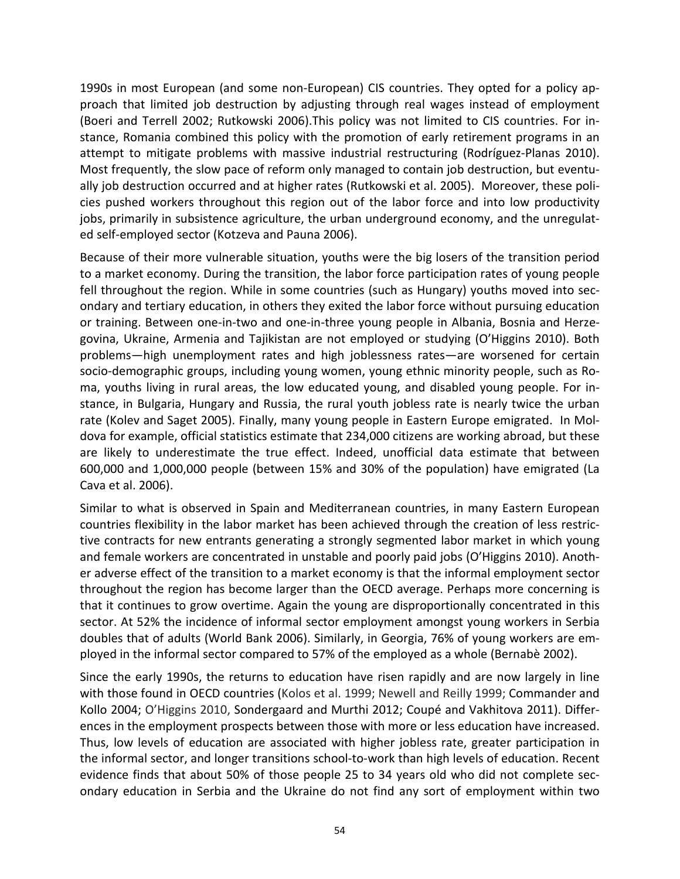1990s in most European (and some non-European) CIS countries. They opted for a policy approach that limited job destruction by adjusting through real wages instead of employment (Boeri and Terrell 2002; Rutkowski 2006).This policy was not limited to CIS countries. For instance, Romania combined this policy with the promotion of early retirement programs in an attempt to mitigate problems with massive industrial restructuring (Rodríguez-Planas 2010). Most frequently, the slow pace of reform only managed to contain job destruction, but eventually job destruction occurred and at higher rates (Rutkowski et al. 2005). Moreover, these policies pushed workers throughout this region out of the labor force and into low productivity jobs, primarily in subsistence agriculture, the urban underground economy, and the unregulated self-employed sector (Kotzeva and Pauna 2006).

Because of their more vulnerable situation, youths were the big losers of the transition period to a market economy. During the transition, the labor force participation rates of young people fell throughout the region. While in some countries (such as Hungary) youths moved into secondary and tertiary education, in others they exited the labor force without pursuing education or training. Between one-in-two and one-in-three young people in Albania, Bosnia and Herzegovina, Ukraine, Armenia and Tajikistan are not employed or studying (O'Higgins 2010). Both problems—high unemployment rates and high joblessness rates—are worsened for certain socio-demographic groups, including young women, young ethnic minority people, such as Roma, youths living in rural areas, the low educated young, and disabled young people. For instance, in Bulgaria, Hungary and Russia, the rural youth jobless rate is nearly twice the urban rate (Kolev and Saget 2005). Finally, many young people in Eastern Europe emigrated. In Moldova for example, official statistics estimate that 234,000 citizens are working abroad, but these are likely to underestimate the true effect. Indeed, unofficial data estimate that between 600,000 and 1,000,000 people (between 15% and 30% of the population) have emigrated (La Cava et al. 2006).

Similar to what is observed in Spain and Mediterranean countries, in many Eastern European countries flexibility in the labor market has been achieved through the creation of less restrictive contracts for new entrants generating a strongly segmented labor market in which young and female workers are concentrated in unstable and poorly paid jobs (O'Higgins 2010). Another adverse effect of the transition to a market economy is that the informal employment sector throughout the region has become larger than the OECD average. Perhaps more concerning is that it continues to grow overtime. Again the young are disproportionally concentrated in this sector. At 52% the incidence of informal sector employment amongst young workers in Serbia doubles that of adults (World Bank 2006). Similarly, in Georgia, 76% of young workers are employed in the informal sector compared to 57% of the employed as a whole (Bernabè 2002).

Since the early 1990s, the returns to education have risen rapidly and are now largely in line with those found in OECD countries (Kolos et al. 1999; Newell and Reilly 1999; Commander and Kollo 2004; O'Higgins 2010, Sondergaard and Murthi 2012; Coupé and Vakhitova 2011). Differences in the employment prospects between those with more or less education have increased. Thus, low levels of education are associated with higher jobless rate, greater participation in the informal sector, and longer transitions school-to-work than high levels of education. Recent evidence finds that about 50% of those people 25 to 34 years old who did not complete secondary education in Serbia and the Ukraine do not find any sort of employment within two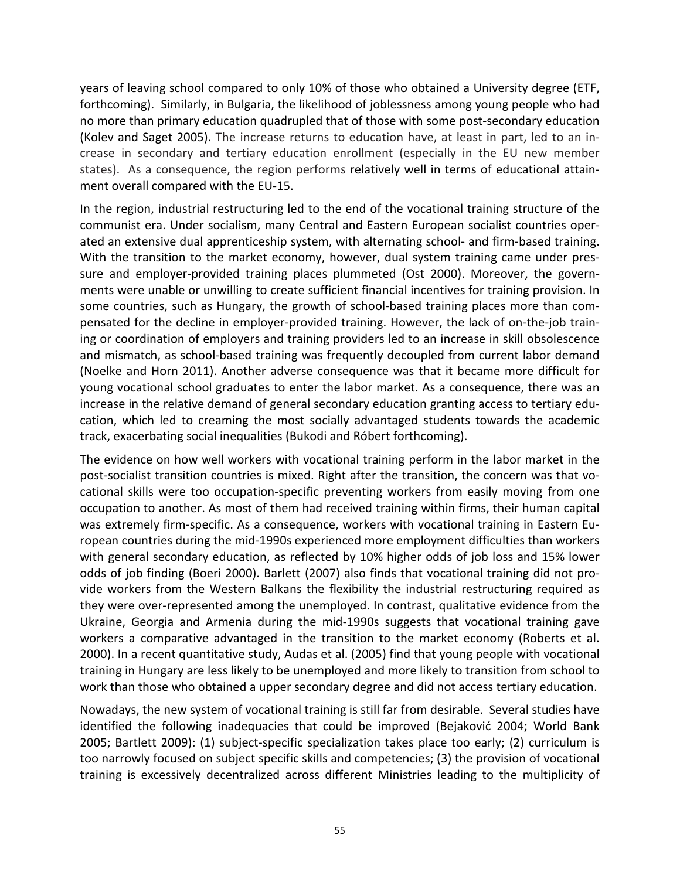years of leaving school compared to only 10% of those who obtained a University degree (ETF, forthcoming). Similarly, in Bulgaria, the likelihood of joblessness among young people who had no more than primary education quadrupled that of those with some post-secondary education (Kolev and Saget 2005). The increase returns to education have, at least in part, led to an increase in secondary and tertiary education enrollment (especially in the EU new member states). As a consequence, the region performs relatively well in terms of educational attainment overall compared with the EU-15.

In the region, industrial restructuring led to the end of the vocational training structure of the communist era. Under socialism, many Central and Eastern European socialist countries operated an extensive dual apprenticeship system, with alternating school- and firm-based training. With the transition to the market economy, however, dual system training came under pressure and employer-provided training places plummeted (Ost 2000). Moreover, the governments were unable or unwilling to create sufficient financial incentives for training provision. In some countries, such as Hungary, the growth of school-based training places more than compensated for the decline in employer-provided training. However, the lack of on-the-job training or coordination of employers and training providers led to an increase in skill obsolescence and mismatch, as school-based training was frequently decoupled from current labor demand (Noelke and Horn 2011). Another adverse consequence was that it became more difficult for young vocational school graduates to enter the labor market. As a consequence, there was an increase in the relative demand of general secondary education granting access to tertiary education, which led to creaming the most socially advantaged students towards the academic track, exacerbating social inequalities (Bukodi and Róbert forthcoming).

The evidence on how well workers with vocational training perform in the labor market in the post-socialist transition countries is mixed. Right after the transition, the concern was that vocational skills were too occupation-specific preventing workers from easily moving from one occupation to another. As most of them had received training within firms, their human capital was extremely firm-specific. As a consequence, workers with vocational training in Eastern European countries during the mid-1990s experienced more employment difficulties than workers with general secondary education, as reflected by 10% higher odds of job loss and 15% lower odds of job finding (Boeri 2000). Barlett (2007) also finds that vocational training did not provide workers from the Western Balkans the flexibility the industrial restructuring required as they were over-represented among the unemployed. In contrast, qualitative evidence from the Ukraine, Georgia and Armenia during the mid-1990s suggests that vocational training gave workers a comparative advantaged in the transition to the market economy (Roberts et al. 2000). In a recent quantitative study, Audas et al. (2005) find that young people with vocational training in Hungary are less likely to be unemployed and more likely to transition from school to work than those who obtained a upper secondary degree and did not access tertiary education.

Nowadays, the new system of vocational training is still far from desirable. Several studies have identified the following inadequacies that could be improved (Bejaković 2004; World Bank 2005; Bartlett 2009): (1) subject-specific specialization takes place too early; (2) curriculum is too narrowly focused on subject specific skills and competencies; (3) the provision of vocational training is excessively decentralized across different Ministries leading to the multiplicity of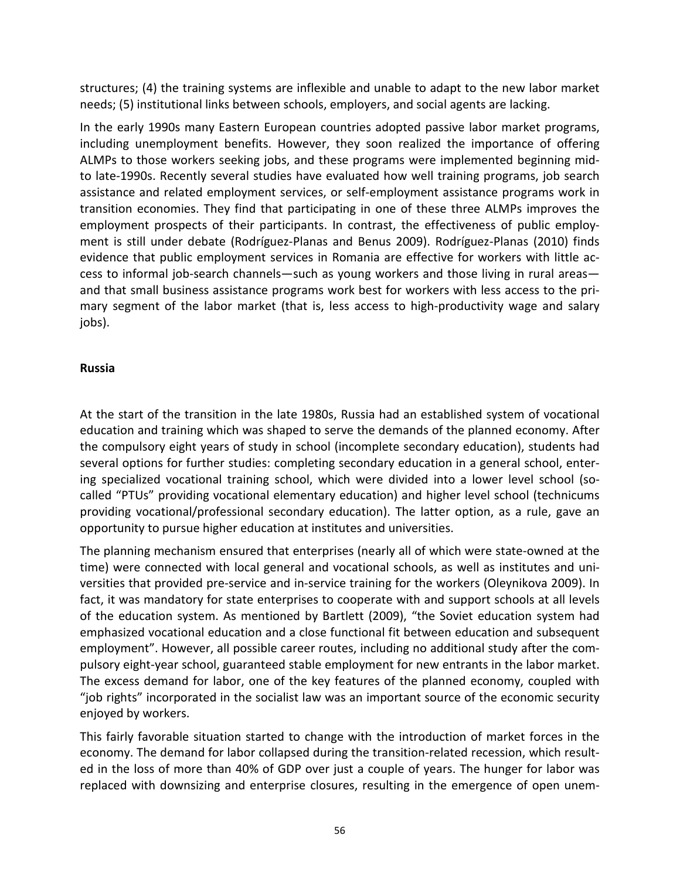structures; (4) the training systems are inflexible and unable to adapt to the new labor market needs; (5) institutional links between schools, employers, and social agents are lacking.

In the early 1990s many Eastern European countries adopted passive labor market programs, including unemployment benefits. However, they soon realized the importance of offering ALMPs to those workers seeking jobs, and these programs were implemented beginning midto late-1990s. Recently several studies have evaluated how well training programs, job search assistance and related employment services, or self-employment assistance programs work in transition economies. They find that participating in one of these three ALMPs improves the employment prospects of their participants. In contrast, the effectiveness of public employment is still under debate (Rodríguez-Planas and Benus 2009). Rodríguez-Planas (2010) finds evidence that public employment services in Romania are effective for workers with little access to informal job-search channels—such as young workers and those living in rural areas and that small business assistance programs work best for workers with less access to the primary segment of the labor market (that is, less access to high-productivity wage and salary jobs).

# **Russia**

At the start of the transition in the late 1980s, Russia had an established system of vocational education and training which was shaped to serve the demands of the planned economy. After the compulsory eight years of study in school (incomplete secondary education), students had several options for further studies: completing secondary education in a general school, entering specialized vocational training school, which were divided into a lower level school (socalled "PTUs" providing vocational elementary education) and higher level school (technicums providing vocational/professional secondary education). The latter option, as a rule, gave an opportunity to pursue higher education at institutes and universities.

The planning mechanism ensured that enterprises (nearly all of which were state-owned at the time) were connected with local general and vocational schools, as well as institutes and universities that provided pre-service and in-service training for the workers (Oleynikova 2009). In fact, it was mandatory for state enterprises to cooperate with and support schools at all levels of the education system. As mentioned by Bartlett (2009), "the Soviet education system had emphasized vocational education and a close functional fit between education and subsequent employment". However, all possible career routes, including no additional study after the compulsory eight-year school, guaranteed stable employment for new entrants in the labor market. The excess demand for labor, one of the key features of the planned economy, coupled with "job rights" incorporated in the socialist law was an important source of the economic security enjoyed by workers.

This fairly favorable situation started to change with the introduction of market forces in the economy. The demand for labor collapsed during the transition-related recession, which resulted in the loss of more than 40% of GDP over just a couple of years. The hunger for labor was replaced with downsizing and enterprise closures, resulting in the emergence of open unem-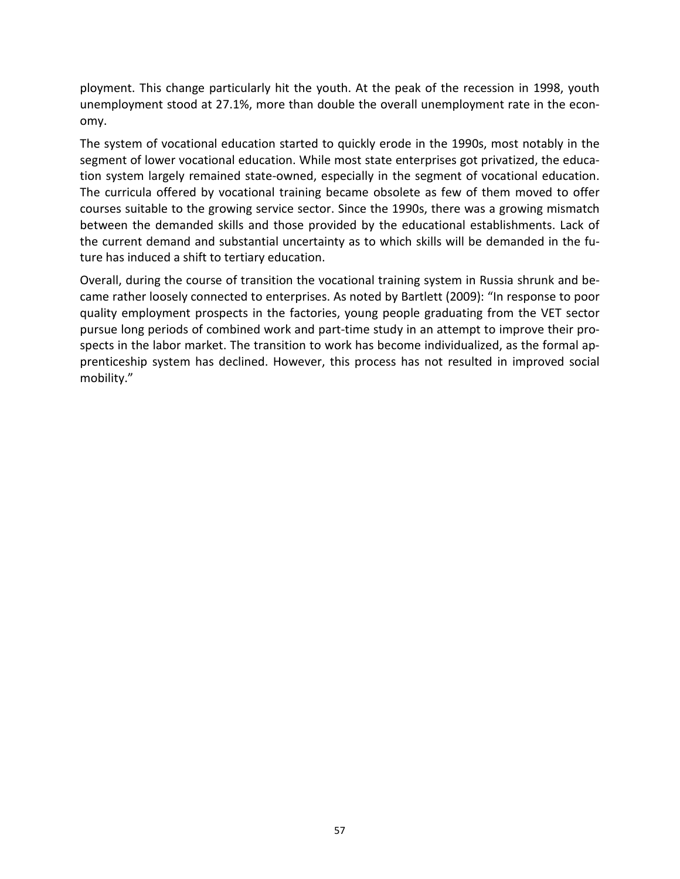ployment. This change particularly hit the youth. At the peak of the recession in 1998, youth unemployment stood at 27.1%, more than double the overall unemployment rate in the economy.

The system of vocational education started to quickly erode in the 1990s, most notably in the segment of lower vocational education. While most state enterprises got privatized, the education system largely remained state-owned, especially in the segment of vocational education. The curricula offered by vocational training became obsolete as few of them moved to offer courses suitable to the growing service sector. Since the 1990s, there was a growing mismatch between the demanded skills and those provided by the educational establishments. Lack of the current demand and substantial uncertainty as to which skills will be demanded in the future has induced a shift to tertiary education.

Overall, during the course of transition the vocational training system in Russia shrunk and became rather loosely connected to enterprises. As noted by Bartlett (2009): "In response to poor quality employment prospects in the factories, young people graduating from the VET sector pursue long periods of combined work and part-time study in an attempt to improve their prospects in the labor market. The transition to work has become individualized, as the formal apprenticeship system has declined. However, this process has not resulted in improved social mobility."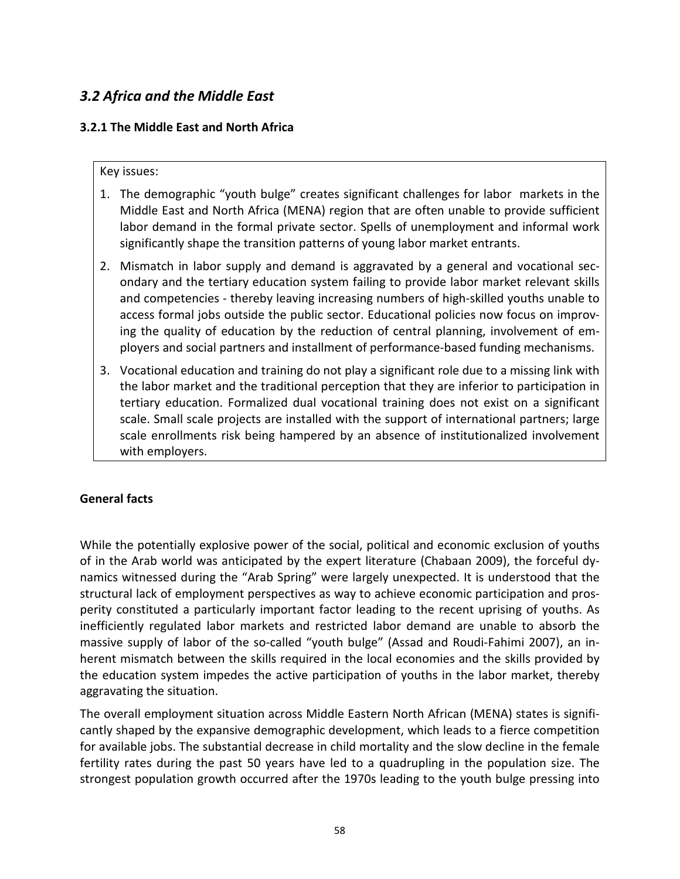# *3.2 Africa and the Middle East*

# **3.2.1 The Middle East and North Africa**

Key issues:

- 1. The demographic "youth bulge" creates significant challenges for labor markets in the Middle East and North Africa (MENA) region that are often unable to provide sufficient labor demand in the formal private sector. Spells of unemployment and informal work significantly shape the transition patterns of young labor market entrants.
- 2. Mismatch in labor supply and demand is aggravated by a general and vocational secondary and the tertiary education system failing to provide labor market relevant skills and competencies - thereby leaving increasing numbers of high-skilled youths unable to access formal jobs outside the public sector. Educational policies now focus on improving the quality of education by the reduction of central planning, involvement of employers and social partners and installment of performance-based funding mechanisms.
- 3. Vocational education and training do not play a significant role due to a missing link with the labor market and the traditional perception that they are inferior to participation in tertiary education. Formalized dual vocational training does not exist on a significant scale. Small scale projects are installed with the support of international partners; large scale enrollments risk being hampered by an absence of institutionalized involvement with employers.

# **General facts**

While the potentially explosive power of the social, political and economic exclusion of youths of in the Arab world was anticipated by the expert literature (Chabaan 2009), the forceful dynamics witnessed during the "Arab Spring" were largely unexpected. It is understood that the structural lack of employment perspectives as way to achieve economic participation and prosperity constituted a particularly important factor leading to the recent uprising of youths. As inefficiently regulated labor markets and restricted labor demand are unable to absorb the massive supply of labor of the so-called "youth bulge" (Assad and Roudi-Fahimi 2007), an inherent mismatch between the skills required in the local economies and the skills provided by the education system impedes the active participation of youths in the labor market, thereby aggravating the situation.

The overall employment situation across Middle Eastern North African (MENA) states is significantly shaped by the expansive demographic development, which leads to a fierce competition for available jobs. The substantial decrease in child mortality and the slow decline in the female fertility rates during the past 50 years have led to a quadrupling in the population size. The strongest population growth occurred after the 1970s leading to the youth bulge pressing into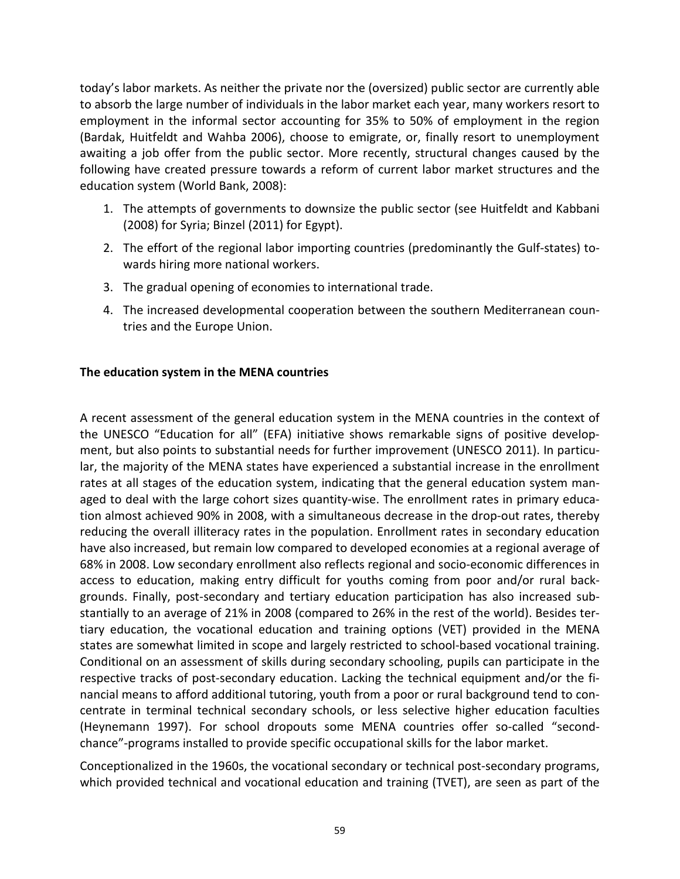today's labor markets. As neither the private nor the (oversized) public sector are currently able to absorb the large number of individuals in the labor market each year, many workers resort to employment in the informal sector accounting for 35% to 50% of employment in the region (Bardak, Huitfeldt and Wahba 2006), choose to emigrate, or, finally resort to unemployment awaiting a job offer from the public sector. More recently, structural changes caused by the following have created pressure towards a reform of current labor market structures and the education system (World Bank, 2008):

- 1. The attempts of governments to downsize the public sector (see Huitfeldt and Kabbani (2008) for Syria; Binzel (2011) for Egypt).
- 2. The effort of the regional labor importing countries (predominantly the Gulf-states) towards hiring more national workers.
- 3. The gradual opening of economies to international trade.
- 4. The increased developmental cooperation between the southern Mediterranean countries and the Europe Union.

# **The education system in the MENA countries**

A recent assessment of the general education system in the MENA countries in the context of the UNESCO "Education for all" (EFA) initiative shows remarkable signs of positive development, but also points to substantial needs for further improvement (UNESCO 2011). In particular, the majority of the MENA states have experienced a substantial increase in the enrollment rates at all stages of the education system, indicating that the general education system managed to deal with the large cohort sizes quantity-wise. The enrollment rates in primary education almost achieved 90% in 2008, with a simultaneous decrease in the drop-out rates, thereby reducing the overall illiteracy rates in the population. Enrollment rates in secondary education have also increased, but remain low compared to developed economies at a regional average of 68% in 2008. Low secondary enrollment also reflects regional and socio-economic differences in access to education, making entry difficult for youths coming from poor and/or rural backgrounds. Finally, post-secondary and tertiary education participation has also increased substantially to an average of 21% in 2008 (compared to 26% in the rest of the world). Besides tertiary education, the vocational education and training options (VET) provided in the MENA states are somewhat limited in scope and largely restricted to school-based vocational training. Conditional on an assessment of skills during secondary schooling, pupils can participate in the respective tracks of post-secondary education. Lacking the technical equipment and/or the financial means to afford additional tutoring, youth from a poor or rural background tend to concentrate in terminal technical secondary schools, or less selective higher education faculties (Heynemann 1997). For school dropouts some MENA countries offer so-called "secondchance"-programs installed to provide specific occupational skills for the labor market.

Conceptionalized in the 1960s, the vocational secondary or technical post-secondary programs, which provided technical and vocational education and training (TVET), are seen as part of the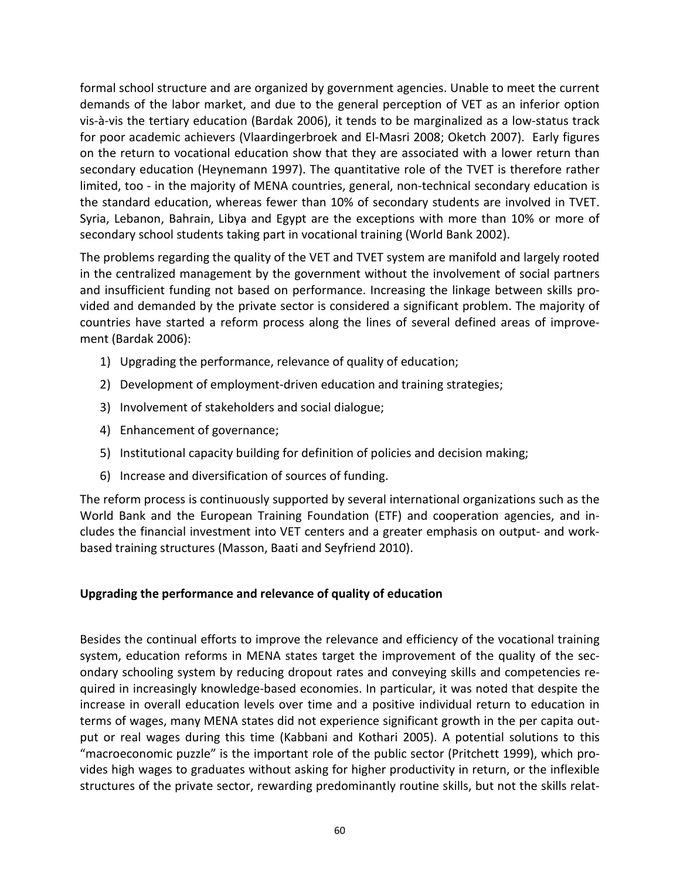formal school structure and are organized by government agencies. Unable to meet the current demands of the labor market, and due to the general perception of VET as an inferior option vis-à-vis the tertiary education (Bardak 2006), it tends to be marginalized as a low-status track for poor academic achievers (Vlaardingerbroek and El-Masri 2008; Oketch 2007). Early figures on the return to vocational education show that they are associated with a lower return than secondary education (Heynemann 1997). The quantitative role of the TVET is therefore rather limited, too - in the majority of MENA countries, general, non-technical secondary education is the standard education, whereas fewer than 10% of secondary students are involved in TVET. Syria, Lebanon, Bahrain, Libya and Egypt are the exceptions with more than 10% or more of secondary school students taking part in vocational training (World Bank 2002).

The problems regarding the quality of the VET and TVET system are manifold and largely rooted in the centralized management by the government without the involvement of social partners and insufficient funding not based on performance. Increasing the linkage between skills provided and demanded by the private sector is considered a significant problem. The majority of countries have started a reform process along the lines of several defined areas of improvement (Bardak 2006):

- 1) Upgrading the performance, relevance of quality of education;
- 2) Development of employment-driven education and training strategies;
- 3) Involvement of stakeholders and social dialogue;
- 4) Enhancement of governance;
- 5) Institutional capacity building for definition of policies and decision making;
- 6) Increase and diversification of sources of funding.

The reform process is continuously supported by several international organizations such as the World Bank and the European Training Foundation (ETF) and cooperation agencies, and includes the financial investment into VET centers and a greater emphasis on output- and workbased training structures (Masson, Baati and Seyfriend 2010).

# **Upgrading the performance and relevance of quality of education**

Besides the continual efforts to improve the relevance and efficiency of the vocational training system, education reforms in MENA states target the improvement of the quality of the secondary schooling system by reducing dropout rates and conveying skills and competencies required in increasingly knowledge-based economies. In particular, it was noted that despite the increase in overall education levels over time and a positive individual return to education in terms of wages, many MENA states did not experience significant growth in the per capita output or real wages during this time (Kabbani and Kothari 2005). A potential solutions to this "macroeconomic puzzle" is the important role of the public sector (Pritchett 1999), which provides high wages to graduates without asking for higher productivity in return, or the inflexible structures of the private sector, rewarding predominantly routine skills, but not the skills relat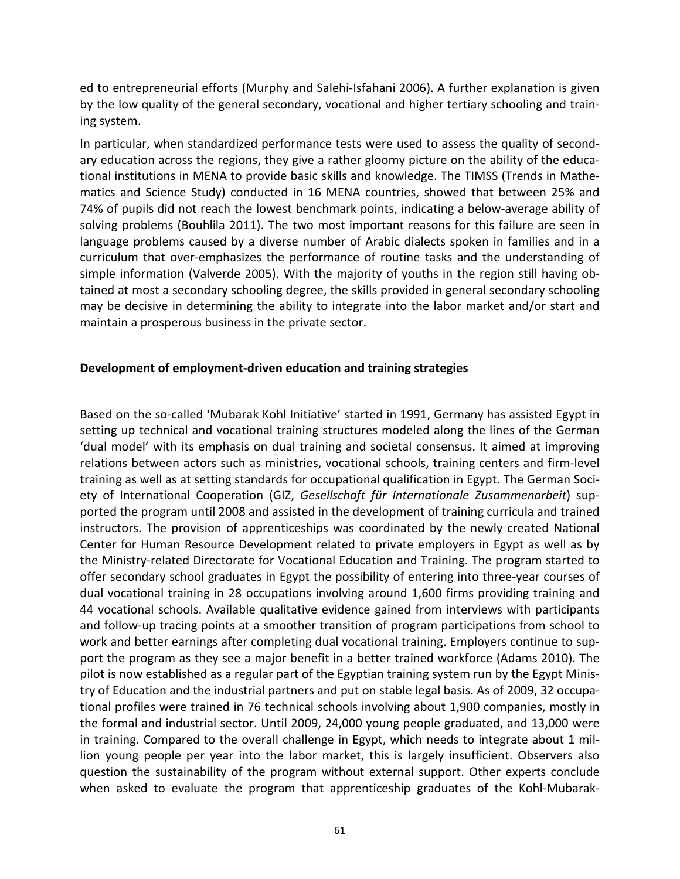ed to entrepreneurial efforts (Murphy and Salehi-Isfahani 2006). A further explanation is given by the low quality of the general secondary, vocational and higher tertiary schooling and training system.

In particular, when standardized performance tests were used to assess the quality of secondary education across the regions, they give a rather gloomy picture on the ability of the educational institutions in MENA to provide basic skills and knowledge. The TIMSS (Trends in Mathematics and Science Study) conducted in 16 MENA countries, showed that between 25% and 74% of pupils did not reach the lowest benchmark points, indicating a below-average ability of solving problems (Bouhlila 2011). The two most important reasons for this failure are seen in language problems caused by a diverse number of Arabic dialects spoken in families and in a curriculum that over-emphasizes the performance of routine tasks and the understanding of simple information (Valverde 2005). With the majority of youths in the region still having obtained at most a secondary schooling degree, the skills provided in general secondary schooling may be decisive in determining the ability to integrate into the labor market and/or start and maintain a prosperous business in the private sector.

## **Development of employment-driven education and training strategies**

Based on the so-called 'Mubarak Kohl Initiative' started in 1991, Germany has assisted Egypt in setting up technical and vocational training structures modeled along the lines of the German 'dual model' with its emphasis on dual training and societal consensus. It aimed at improving relations between actors such as ministries, vocational schools, training centers and firm-level training as well as at setting standards for occupational qualification in Egypt. The German Society of International Cooperation (GIZ, *Gesellschaft für Internationale Zusammenarbeit*) supported the program until 2008 and assisted in the development of training curricula and trained instructors. The provision of apprenticeships was coordinated by the newly created National Center for Human Resource Development related to private employers in Egypt as well as by the Ministry-related Directorate for Vocational Education and Training. The program started to offer secondary school graduates in Egypt the possibility of entering into three-year courses of dual vocational training in 28 occupations involving around 1,600 firms providing training and 44 vocational schools. Available qualitative evidence gained from interviews with participants and follow-up tracing points at a smoother transition of program participations from school to work and better earnings after completing dual vocational training. Employers continue to support the program as they see a major benefit in a better trained workforce (Adams 2010). The pilot is now established as a regular part of the Egyptian training system run by the Egypt Ministry of Education and the industrial partners and put on stable legal basis. As of 2009, 32 occupational profiles were trained in 76 technical schools involving about 1,900 companies, mostly in the formal and industrial sector. Until 2009, 24,000 young people graduated, and 13,000 were in training. Compared to the overall challenge in Egypt, which needs to integrate about 1 million young people per year into the labor market, this is largely insufficient. Observers also question the sustainability of the program without external support. Other experts conclude when asked to evaluate the program that apprenticeship graduates of the Kohl-Mubarak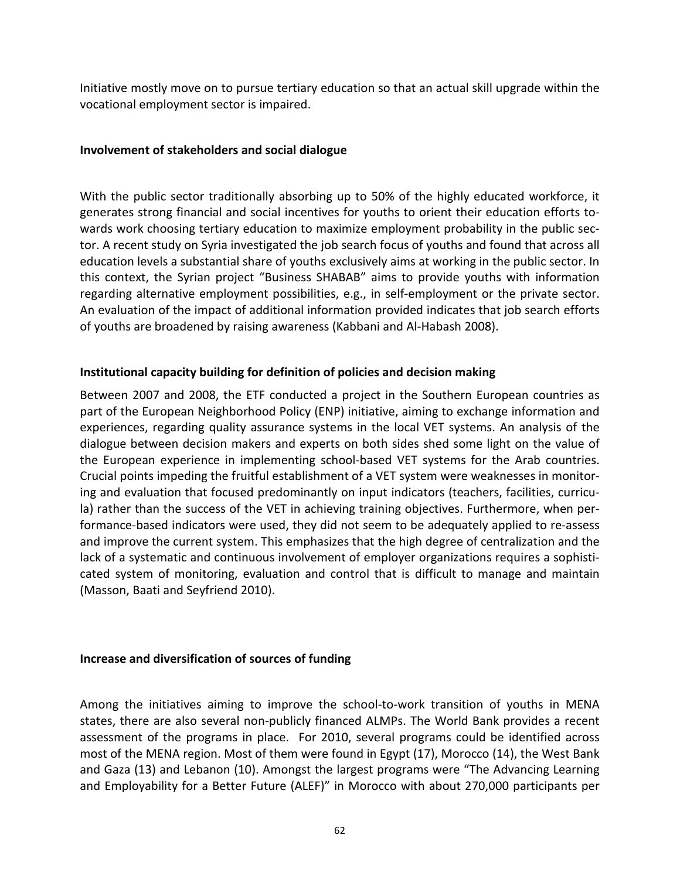Initiative mostly move on to pursue tertiary education so that an actual skill upgrade within the vocational employment sector is impaired.

## **Involvement of stakeholders and social dialogue**

With the public sector traditionally absorbing up to 50% of the highly educated workforce, it generates strong financial and social incentives for youths to orient their education efforts towards work choosing tertiary education to maximize employment probability in the public sector. A recent study on Syria investigated the job search focus of youths and found that across all education levels a substantial share of youths exclusively aims at working in the public sector. In this context, the Syrian project "Business SHABAB" aims to provide youths with information regarding alternative employment possibilities, e.g., in self-employment or the private sector. An evaluation of the impact of additional information provided indicates that job search efforts of youths are broadened by raising awareness (Kabbani and Al-Habash 2008).

## **Institutional capacity building for definition of policies and decision making**

Between 2007 and 2008, the ETF conducted a project in the Southern European countries as part of the European Neighborhood Policy (ENP) initiative, aiming to exchange information and experiences, regarding quality assurance systems in the local VET systems. An analysis of the dialogue between decision makers and experts on both sides shed some light on the value of the European experience in implementing school-based VET systems for the Arab countries. Crucial points impeding the fruitful establishment of a VET system were weaknesses in monitoring and evaluation that focused predominantly on input indicators (teachers, facilities, curricula) rather than the success of the VET in achieving training objectives. Furthermore, when performance-based indicators were used, they did not seem to be adequately applied to re-assess and improve the current system. This emphasizes that the high degree of centralization and the lack of a systematic and continuous involvement of employer organizations requires a sophisticated system of monitoring, evaluation and control that is difficult to manage and maintain (Masson, Baati and Seyfriend 2010).

# **Increase and diversification of sources of funding**

Among the initiatives aiming to improve the school-to-work transition of youths in MENA states, there are also several non-publicly financed ALMPs. The World Bank provides a recent assessment of the programs in place. For 2010, several programs could be identified across most of the MENA region. Most of them were found in Egypt (17), Morocco (14), the West Bank and Gaza (13) and Lebanon (10). Amongst the largest programs were "The Advancing Learning and Employability for a Better Future (ALEF)" in Morocco with about 270,000 participants per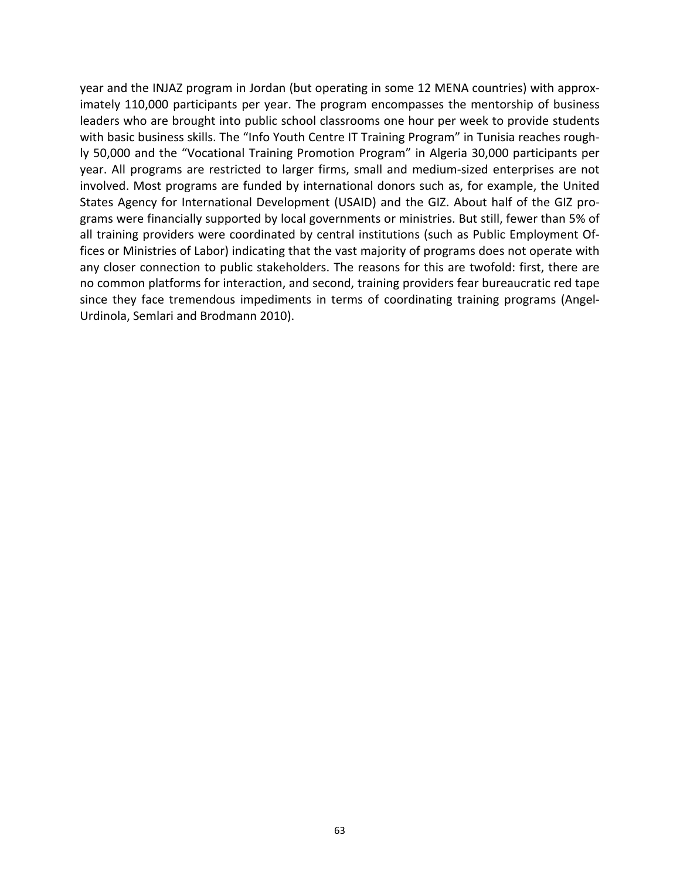year and the INJAZ program in Jordan (but operating in some 12 MENA countries) with approximately 110,000 participants per year. The program encompasses the mentorship of business leaders who are brought into public school classrooms one hour per week to provide students with basic business skills. The "Info Youth Centre IT Training Program" in Tunisia reaches roughly 50,000 and the "Vocational Training Promotion Program" in Algeria 30,000 participants per year. All programs are restricted to larger firms, small and medium-sized enterprises are not involved. Most programs are funded by international donors such as, for example, the United States Agency for International Development (USAID) and the GIZ. About half of the GIZ programs were financially supported by local governments or ministries. But still, fewer than 5% of all training providers were coordinated by central institutions (such as Public Employment Offices or Ministries of Labor) indicating that the vast majority of programs does not operate with any closer connection to public stakeholders. The reasons for this are twofold: first, there are no common platforms for interaction, and second, training providers fear bureaucratic red tape since they face tremendous impediments in terms of coordinating training programs (Angel-Urdinola, Semlari and Brodmann 2010).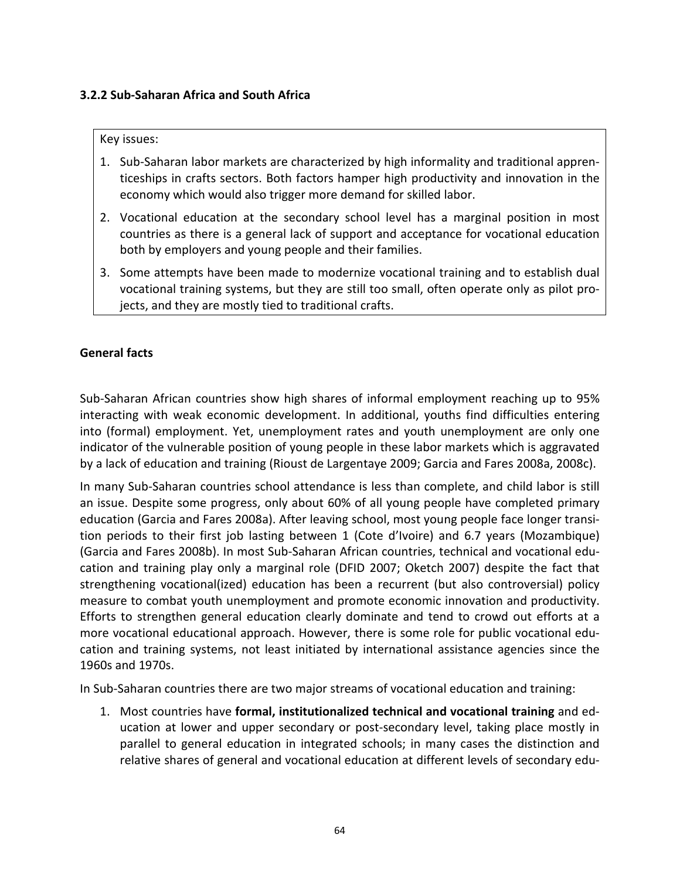# **3.2.2 Sub-Saharan Africa and South Africa**

#### Key issues:

- 1. Sub-Saharan labor markets are characterized by high informality and traditional apprenticeships in crafts sectors. Both factors hamper high productivity and innovation in the economy which would also trigger more demand for skilled labor.
- 2. Vocational education at the secondary school level has a marginal position in most countries as there is a general lack of support and acceptance for vocational education both by employers and young people and their families.
- 3. Some attempts have been made to modernize vocational training and to establish dual vocational training systems, but they are still too small, often operate only as pilot projects, and they are mostly tied to traditional crafts.

## **General facts**

Sub-Saharan African countries show high shares of informal employment reaching up to 95% interacting with weak economic development. In additional, youths find difficulties entering into (formal) employment. Yet, unemployment rates and youth unemployment are only one indicator of the vulnerable position of young people in these labor markets which is aggravated by a lack of education and training (Rioust de Largentaye 2009; Garcia and Fares 2008a, 2008c).

In many Sub-Saharan countries school attendance is less than complete, and child labor is still an issue. Despite some progress, only about 60% of all young people have completed primary education (Garcia and Fares 2008a). After leaving school, most young people face longer transition periods to their first job lasting between 1 (Cote d'Ivoire) and 6.7 years (Mozambique) (Garcia and Fares 2008b). In most Sub-Saharan African countries, technical and vocational education and training play only a marginal role (DFID 2007; Oketch 2007) despite the fact that strengthening vocational(ized) education has been a recurrent (but also controversial) policy measure to combat youth unemployment and promote economic innovation and productivity. Efforts to strengthen general education clearly dominate and tend to crowd out efforts at a more vocational educational approach. However, there is some role for public vocational education and training systems, not least initiated by international assistance agencies since the 1960s and 1970s.

In Sub-Saharan countries there are two major streams of vocational education and training:

1. Most countries have **formal, institutionalized technical and vocational training** and education at lower and upper secondary or post-secondary level, taking place mostly in parallel to general education in integrated schools; in many cases the distinction and relative shares of general and vocational education at different levels of secondary edu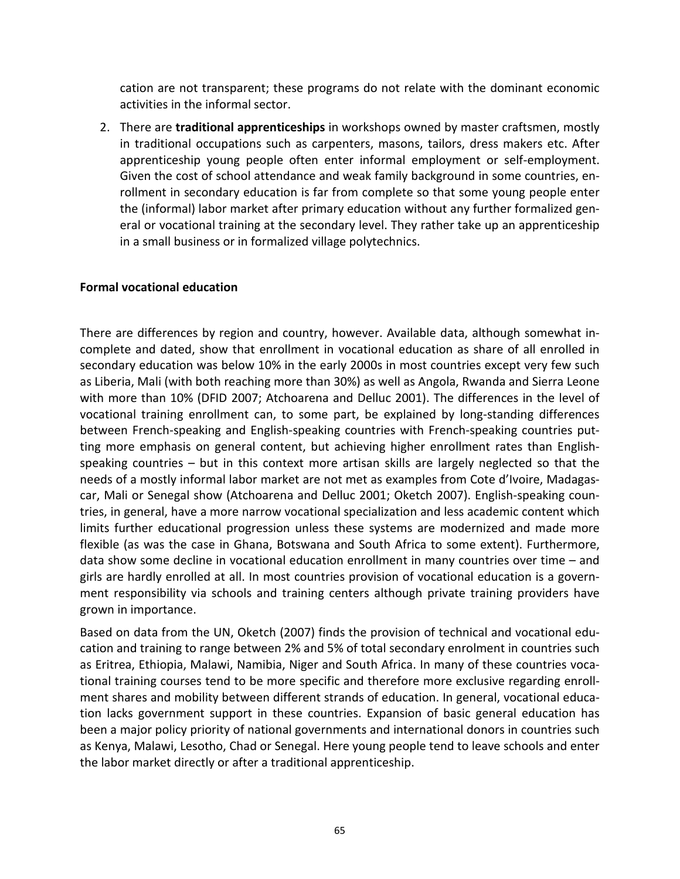cation are not transparent; these programs do not relate with the dominant economic activities in the informal sector.

2. There are **traditional apprenticeships** in workshops owned by master craftsmen, mostly in traditional occupations such as carpenters, masons, tailors, dress makers etc. After apprenticeship young people often enter informal employment or self-employment. Given the cost of school attendance and weak family background in some countries, enrollment in secondary education is far from complete so that some young people enter the (informal) labor market after primary education without any further formalized general or vocational training at the secondary level. They rather take up an apprenticeship in a small business or in formalized village polytechnics.

## **Formal vocational education**

There are differences by region and country, however. Available data, although somewhat incomplete and dated, show that enrollment in vocational education as share of all enrolled in secondary education was below 10% in the early 2000s in most countries except very few such as Liberia, Mali (with both reaching more than 30%) as well as Angola, Rwanda and Sierra Leone with more than 10% (DFID 2007; Atchoarena and Delluc 2001). The differences in the level of vocational training enrollment can, to some part, be explained by long-standing differences between French-speaking and English-speaking countries with French-speaking countries putting more emphasis on general content, but achieving higher enrollment rates than Englishspeaking countries – but in this context more artisan skills are largely neglected so that the needs of a mostly informal labor market are not met as examples from Cote d'Ivoire, Madagascar, Mali or Senegal show (Atchoarena and Delluc 2001; Oketch 2007). English-speaking countries, in general, have a more narrow vocational specialization and less academic content which limits further educational progression unless these systems are modernized and made more flexible (as was the case in Ghana, Botswana and South Africa to some extent). Furthermore, data show some decline in vocational education enrollment in many countries over time – and girls are hardly enrolled at all. In most countries provision of vocational education is a government responsibility via schools and training centers although private training providers have grown in importance.

Based on data from the UN, Oketch (2007) finds the provision of technical and vocational education and training to range between 2% and 5% of total secondary enrolment in countries such as Eritrea, Ethiopia, Malawi, Namibia, Niger and South Africa. In many of these countries vocational training courses tend to be more specific and therefore more exclusive regarding enrollment shares and mobility between different strands of education. In general, vocational education lacks government support in these countries. Expansion of basic general education has been a major policy priority of national governments and international donors in countries such as Kenya, Malawi, Lesotho, Chad or Senegal. Here young people tend to leave schools and enter the labor market directly or after a traditional apprenticeship.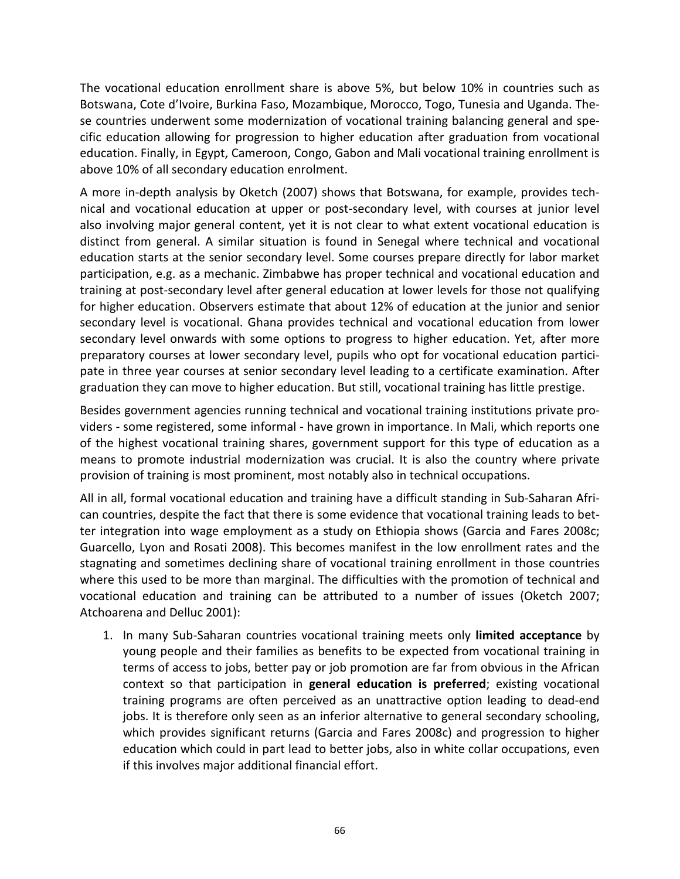The vocational education enrollment share is above 5%, but below 10% in countries such as Botswana, Cote d'Ivoire, Burkina Faso, Mozambique, Morocco, Togo, Tunesia and Uganda. These countries underwent some modernization of vocational training balancing general and specific education allowing for progression to higher education after graduation from vocational education. Finally, in Egypt, Cameroon, Congo, Gabon and Mali vocational training enrollment is above 10% of all secondary education enrolment.

A more in-depth analysis by Oketch (2007) shows that Botswana, for example, provides technical and vocational education at upper or post-secondary level, with courses at junior level also involving major general content, yet it is not clear to what extent vocational education is distinct from general. A similar situation is found in Senegal where technical and vocational education starts at the senior secondary level. Some courses prepare directly for labor market participation, e.g. as a mechanic. Zimbabwe has proper technical and vocational education and training at post-secondary level after general education at lower levels for those not qualifying for higher education. Observers estimate that about 12% of education at the junior and senior secondary level is vocational. Ghana provides technical and vocational education from lower secondary level onwards with some options to progress to higher education. Yet, after more preparatory courses at lower secondary level, pupils who opt for vocational education participate in three year courses at senior secondary level leading to a certificate examination. After graduation they can move to higher education. But still, vocational training has little prestige.

Besides government agencies running technical and vocational training institutions private providers - some registered, some informal - have grown in importance. In Mali, which reports one of the highest vocational training shares, government support for this type of education as a means to promote industrial modernization was crucial. It is also the country where private provision of training is most prominent, most notably also in technical occupations.

All in all, formal vocational education and training have a difficult standing in Sub-Saharan African countries, despite the fact that there is some evidence that vocational training leads to better integration into wage employment as a study on Ethiopia shows (Garcia and Fares 2008c; Guarcello, Lyon and Rosati 2008). This becomes manifest in the low enrollment rates and the stagnating and sometimes declining share of vocational training enrollment in those countries where this used to be more than marginal. The difficulties with the promotion of technical and vocational education and training can be attributed to a number of issues (Oketch 2007; Atchoarena and Delluc 2001):

1. In many Sub-Saharan countries vocational training meets only **limited acceptance** by young people and their families as benefits to be expected from vocational training in terms of access to jobs, better pay or job promotion are far from obvious in the African context so that participation in **general education is preferred**; existing vocational training programs are often perceived as an unattractive option leading to dead-end jobs. It is therefore only seen as an inferior alternative to general secondary schooling, which provides significant returns (Garcia and Fares 2008c) and progression to higher education which could in part lead to better jobs, also in white collar occupations, even if this involves major additional financial effort.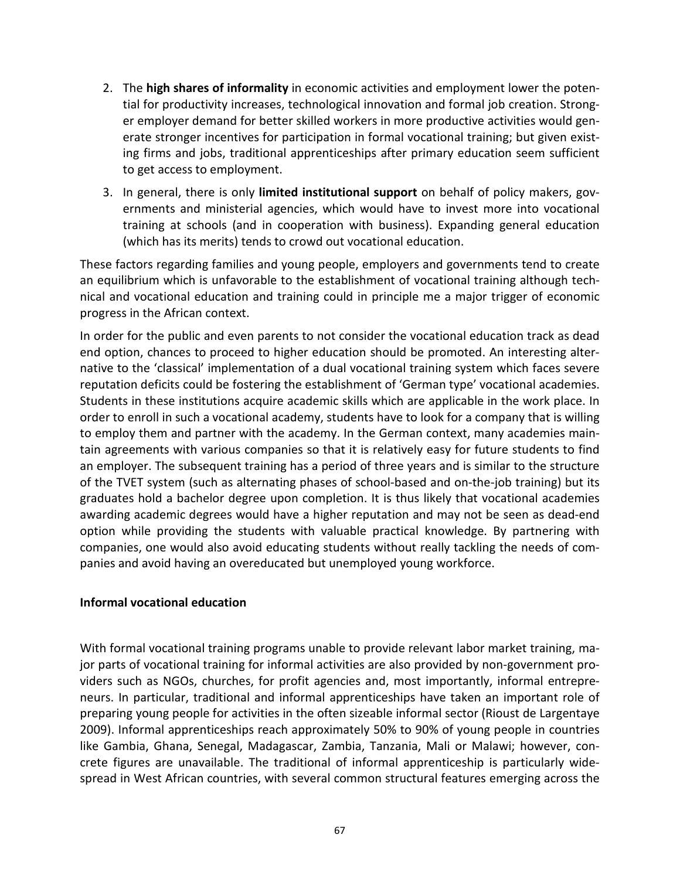- 2. The **high shares of informality** in economic activities and employment lower the potential for productivity increases, technological innovation and formal job creation. Stronger employer demand for better skilled workers in more productive activities would generate stronger incentives for participation in formal vocational training; but given existing firms and jobs, traditional apprenticeships after primary education seem sufficient to get access to employment.
- 3. In general, there is only **limited institutional support** on behalf of policy makers, governments and ministerial agencies, which would have to invest more into vocational training at schools (and in cooperation with business). Expanding general education (which has its merits) tends to crowd out vocational education.

These factors regarding families and young people, employers and governments tend to create an equilibrium which is unfavorable to the establishment of vocational training although technical and vocational education and training could in principle me a major trigger of economic progress in the African context.

In order for the public and even parents to not consider the vocational education track as dead end option, chances to proceed to higher education should be promoted. An interesting alternative to the 'classical' implementation of a dual vocational training system which faces severe reputation deficits could be fostering the establishment of 'German type' vocational academies. Students in these institutions acquire academic skills which are applicable in the work place. In order to enroll in such a vocational academy, students have to look for a company that is willing to employ them and partner with the academy. In the German context, many academies maintain agreements with various companies so that it is relatively easy for future students to find an employer. The subsequent training has a period of three years and is similar to the structure of the TVET system (such as alternating phases of school-based and on-the-job training) but its graduates hold a bachelor degree upon completion. It is thus likely that vocational academies awarding academic degrees would have a higher reputation and may not be seen as dead-end option while providing the students with valuable practical knowledge. By partnering with companies, one would also avoid educating students without really tackling the needs of companies and avoid having an overeducated but unemployed young workforce.

## **Informal vocational education**

With formal vocational training programs unable to provide relevant labor market training, major parts of vocational training for informal activities are also provided by non-government providers such as NGOs, churches, for profit agencies and, most importantly, informal entrepreneurs. In particular, traditional and informal apprenticeships have taken an important role of preparing young people for activities in the often sizeable informal sector (Rioust de Largentaye 2009). Informal apprenticeships reach approximately 50% to 90% of young people in countries like Gambia, Ghana, Senegal, Madagascar, Zambia, Tanzania, Mali or Malawi; however, concrete figures are unavailable. The traditional of informal apprenticeship is particularly widespread in West African countries, with several common structural features emerging across the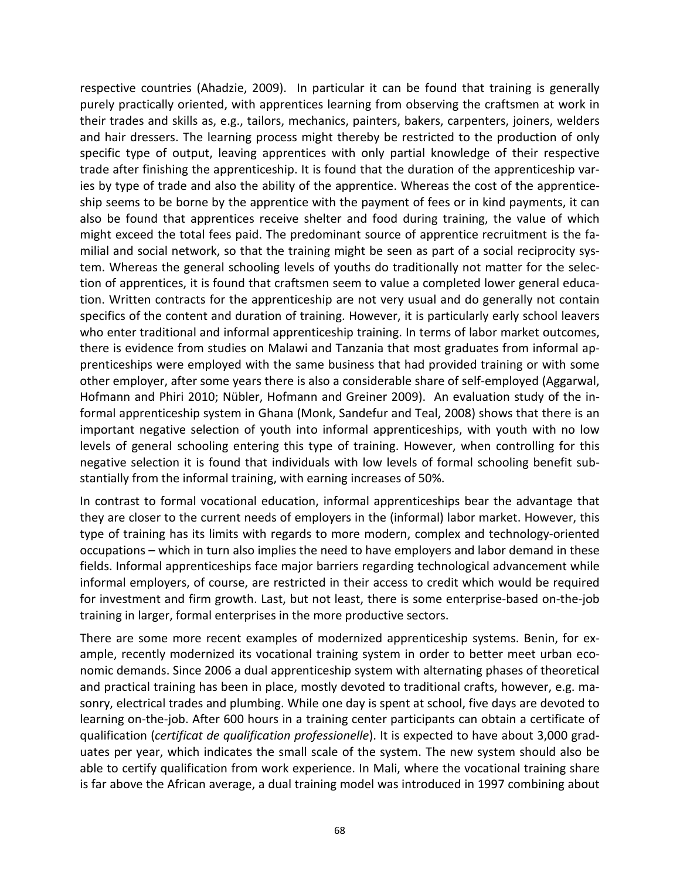respective countries (Ahadzie, 2009). In particular it can be found that training is generally purely practically oriented, with apprentices learning from observing the craftsmen at work in their trades and skills as, e.g., tailors, mechanics, painters, bakers, carpenters, joiners, welders and hair dressers. The learning process might thereby be restricted to the production of only specific type of output, leaving apprentices with only partial knowledge of their respective trade after finishing the apprenticeship. It is found that the duration of the apprenticeship varies by type of trade and also the ability of the apprentice. Whereas the cost of the apprenticeship seems to be borne by the apprentice with the payment of fees or in kind payments, it can also be found that apprentices receive shelter and food during training, the value of which might exceed the total fees paid. The predominant source of apprentice recruitment is the familial and social network, so that the training might be seen as part of a social reciprocity system. Whereas the general schooling levels of youths do traditionally not matter for the selection of apprentices, it is found that craftsmen seem to value a completed lower general education. Written contracts for the apprenticeship are not very usual and do generally not contain specifics of the content and duration of training. However, it is particularly early school leavers who enter traditional and informal apprenticeship training. In terms of labor market outcomes, there is evidence from studies on Malawi and Tanzania that most graduates from informal apprenticeships were employed with the same business that had provided training or with some other employer, after some years there is also a considerable share of self-employed (Aggarwal, Hofmann and Phiri 2010; Nübler, Hofmann and Greiner 2009). An evaluation study of the informal apprenticeship system in Ghana (Monk, Sandefur and Teal, 2008) shows that there is an important negative selection of youth into informal apprenticeships, with youth with no low levels of general schooling entering this type of training. However, when controlling for this negative selection it is found that individuals with low levels of formal schooling benefit substantially from the informal training, with earning increases of 50%.

In contrast to formal vocational education, informal apprenticeships bear the advantage that they are closer to the current needs of employers in the (informal) labor market. However, this type of training has its limits with regards to more modern, complex and technology-oriented occupations – which in turn also implies the need to have employers and labor demand in these fields. Informal apprenticeships face major barriers regarding technological advancement while informal employers, of course, are restricted in their access to credit which would be required for investment and firm growth. Last, but not least, there is some enterprise-based on-the-job training in larger, formal enterprises in the more productive sectors.

There are some more recent examples of modernized apprenticeship systems. Benin, for example, recently modernized its vocational training system in order to better meet urban economic demands. Since 2006 a dual apprenticeship system with alternating phases of theoretical and practical training has been in place, mostly devoted to traditional crafts, however, e.g. masonry, electrical trades and plumbing. While one day is spent at school, five days are devoted to learning on-the-job. After 600 hours in a training center participants can obtain a certificate of qualification (*certificat de qualification professionelle*). It is expected to have about 3,000 graduates per year, which indicates the small scale of the system. The new system should also be able to certify qualification from work experience. In Mali, where the vocational training share is far above the African average, a dual training model was introduced in 1997 combining about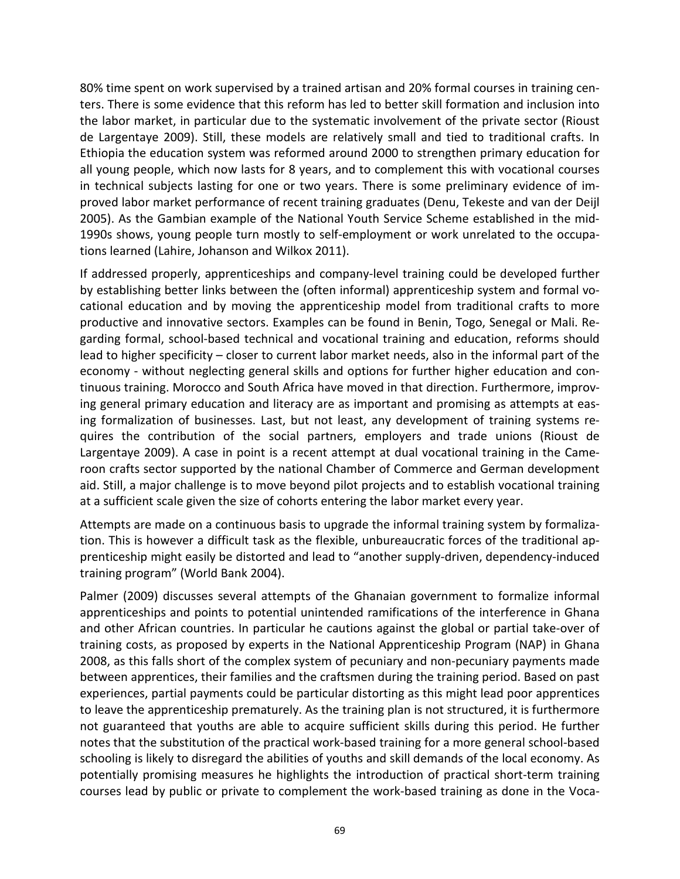80% time spent on work supervised by a trained artisan and 20% formal courses in training centers. There is some evidence that this reform has led to better skill formation and inclusion into the labor market, in particular due to the systematic involvement of the private sector (Rioust de Largentaye 2009). Still, these models are relatively small and tied to traditional crafts. In Ethiopia the education system was reformed around 2000 to strengthen primary education for all young people, which now lasts for 8 years, and to complement this with vocational courses in technical subjects lasting for one or two years. There is some preliminary evidence of improved labor market performance of recent training graduates (Denu, Tekeste and van der Deijl 2005). As the Gambian example of the National Youth Service Scheme established in the mid-1990s shows, young people turn mostly to self-employment or work unrelated to the occupations learned (Lahire, Johanson and Wilkox 2011).

If addressed properly, apprenticeships and company-level training could be developed further by establishing better links between the (often informal) apprenticeship system and formal vocational education and by moving the apprenticeship model from traditional crafts to more productive and innovative sectors. Examples can be found in Benin, Togo, Senegal or Mali. Regarding formal, school-based technical and vocational training and education, reforms should lead to higher specificity – closer to current labor market needs, also in the informal part of the economy - without neglecting general skills and options for further higher education and continuous training. Morocco and South Africa have moved in that direction. Furthermore, improving general primary education and literacy are as important and promising as attempts at easing formalization of businesses. Last, but not least, any development of training systems requires the contribution of the social partners, employers and trade unions (Rioust de Largentaye 2009). A case in point is a recent attempt at dual vocational training in the Cameroon crafts sector supported by the national Chamber of Commerce and German development aid. Still, a major challenge is to move beyond pilot projects and to establish vocational training at a sufficient scale given the size of cohorts entering the labor market every year.

Attempts are made on a continuous basis to upgrade the informal training system by formalization. This is however a difficult task as the flexible, unbureaucratic forces of the traditional apprenticeship might easily be distorted and lead to "another supply-driven, dependency-induced training program" (World Bank 2004).

Palmer (2009) discusses several attempts of the Ghanaian government to formalize informal apprenticeships and points to potential unintended ramifications of the interference in Ghana and other African countries. In particular he cautions against the global or partial take-over of training costs, as proposed by experts in the National Apprenticeship Program (NAP) in Ghana 2008, as this falls short of the complex system of pecuniary and non-pecuniary payments made between apprentices, their families and the craftsmen during the training period. Based on past experiences, partial payments could be particular distorting as this might lead poor apprentices to leave the apprenticeship prematurely. As the training plan is not structured, it is furthermore not guaranteed that youths are able to acquire sufficient skills during this period. He further notes that the substitution of the practical work-based training for a more general school-based schooling is likely to disregard the abilities of youths and skill demands of the local economy. As potentially promising measures he highlights the introduction of practical short-term training courses lead by public or private to complement the work-based training as done in the Voca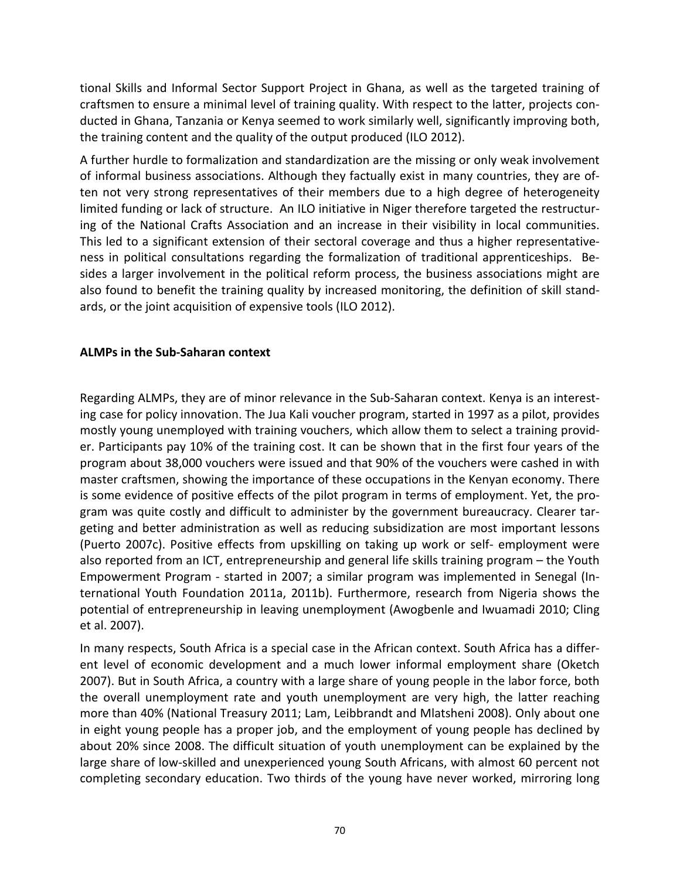tional Skills and Informal Sector Support Project in Ghana, as well as the targeted training of craftsmen to ensure a minimal level of training quality. With respect to the latter, projects conducted in Ghana, Tanzania or Kenya seemed to work similarly well, significantly improving both, the training content and the quality of the output produced (ILO 2012).

A further hurdle to formalization and standardization are the missing or only weak involvement of informal business associations. Although they factually exist in many countries, they are often not very strong representatives of their members due to a high degree of heterogeneity limited funding or lack of structure. An ILO initiative in Niger therefore targeted the restructuring of the National Crafts Association and an increase in their visibility in local communities. This led to a significant extension of their sectoral coverage and thus a higher representativeness in political consultations regarding the formalization of traditional apprenticeships. Besides a larger involvement in the political reform process, the business associations might are also found to benefit the training quality by increased monitoring, the definition of skill standards, or the joint acquisition of expensive tools (ILO 2012).

## **ALMPs in the Sub-Saharan context**

Regarding ALMPs, they are of minor relevance in the Sub-Saharan context. Kenya is an interesting case for policy innovation. The Jua Kali voucher program, started in 1997 as a pilot, provides mostly young unemployed with training vouchers, which allow them to select a training provider. Participants pay 10% of the training cost. It can be shown that in the first four years of the program about 38,000 vouchers were issued and that 90% of the vouchers were cashed in with master craftsmen, showing the importance of these occupations in the Kenyan economy. There is some evidence of positive effects of the pilot program in terms of employment. Yet, the program was quite costly and difficult to administer by the government bureaucracy. Clearer targeting and better administration as well as reducing subsidization are most important lessons (Puerto 2007c). Positive effects from upskilling on taking up work or self- employment were also reported from an ICT, entrepreneurship and general life skills training program – the Youth Empowerment Program - started in 2007; a similar program was implemented in Senegal (International Youth Foundation 2011a, 2011b). Furthermore, research from Nigeria shows the potential of entrepreneurship in leaving unemployment (Awogbenle and Iwuamadi 2010; Cling et al. 2007).

In many respects, South Africa is a special case in the African context. South Africa has a different level of economic development and a much lower informal employment share (Oketch 2007). But in South Africa, a country with a large share of young people in the labor force, both the overall unemployment rate and youth unemployment are very high, the latter reaching more than 40% (National Treasury 2011; Lam, Leibbrandt and Mlatsheni 2008). Only about one in eight young people has a proper job, and the employment of young people has declined by about 20% since 2008. The difficult situation of youth unemployment can be explained by the large share of low-skilled and unexperienced young South Africans, with almost 60 percent not completing secondary education. Two thirds of the young have never worked, mirroring long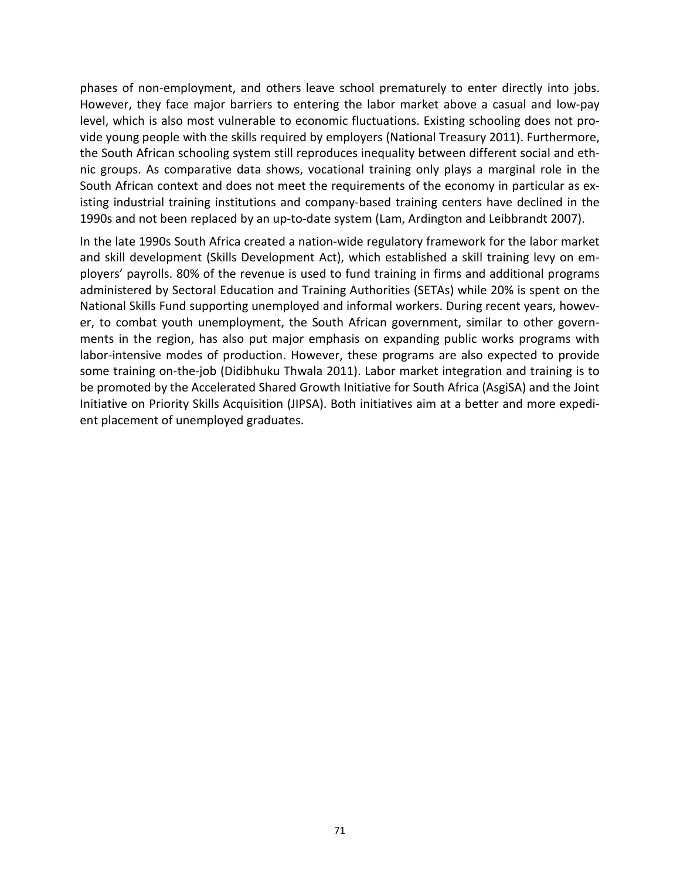phases of non-employment, and others leave school prematurely to enter directly into jobs. However, they face major barriers to entering the labor market above a casual and low-pay level, which is also most vulnerable to economic fluctuations. Existing schooling does not provide young people with the skills required by employers (National Treasury 2011). Furthermore, the South African schooling system still reproduces inequality between different social and ethnic groups. As comparative data shows, vocational training only plays a marginal role in the South African context and does not meet the requirements of the economy in particular as existing industrial training institutions and company-based training centers have declined in the 1990s and not been replaced by an up-to-date system (Lam, Ardington and Leibbrandt 2007).

In the late 1990s South Africa created a nation-wide regulatory framework for the labor market and skill development (Skills Development Act), which established a skill training levy on employers' payrolls. 80% of the revenue is used to fund training in firms and additional programs administered by Sectoral Education and Training Authorities (SETAs) while 20% is spent on the National Skills Fund supporting unemployed and informal workers. During recent years, however, to combat youth unemployment, the South African government, similar to other governments in the region, has also put major emphasis on expanding public works programs with labor-intensive modes of production. However, these programs are also expected to provide some training on-the-job (Didibhuku Thwala 2011). Labor market integration and training is to be promoted by the Accelerated Shared Growth Initiative for South Africa (AsgiSA) and the Joint Initiative on Priority Skills Acquisition (JIPSA). Both initiatives aim at a better and more expedient placement of unemployed graduates.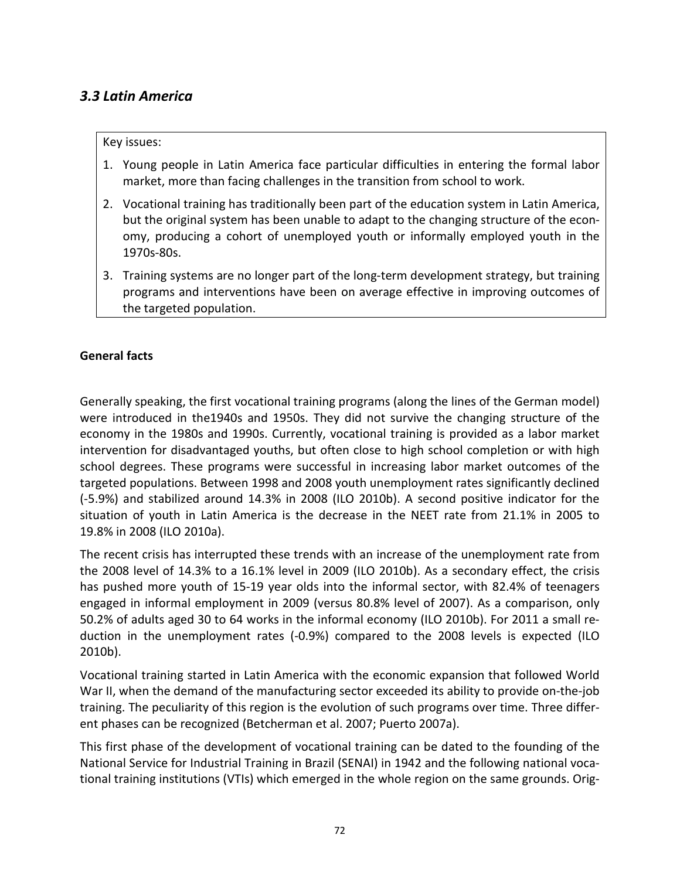# *3.3 Latin America*

#### Key issues:

- 1. Young people in Latin America face particular difficulties in entering the formal labor market, more than facing challenges in the transition from school to work.
- 2. Vocational training has traditionally been part of the education system in Latin America, but the original system has been unable to adapt to the changing structure of the economy, producing a cohort of unemployed youth or informally employed youth in the 1970s-80s.
- 3. Training systems are no longer part of the long-term development strategy, but training programs and interventions have been on average effective in improving outcomes of the targeted population.

#### **General facts**

Generally speaking, the first vocational training programs (along the lines of the German model) were introduced in the1940s and 1950s. They did not survive the changing structure of the economy in the 1980s and 1990s. Currently, vocational training is provided as a labor market intervention for disadvantaged youths, but often close to high school completion or with high school degrees. These programs were successful in increasing labor market outcomes of the targeted populations. Between 1998 and 2008 youth unemployment rates significantly declined (-5.9%) and stabilized around 14.3% in 2008 (ILO 2010b). A second positive indicator for the situation of youth in Latin America is the decrease in the NEET rate from 21.1% in 2005 to 19.8% in 2008 (ILO 2010a).

The recent crisis has interrupted these trends with an increase of the unemployment rate from the 2008 level of 14.3% to a 16.1% level in 2009 (ILO 2010b). As a secondary effect, the crisis has pushed more youth of 15-19 year olds into the informal sector, with 82.4% of teenagers engaged in informal employment in 2009 (versus 80.8% level of 2007). As a comparison, only 50.2% of adults aged 30 to 64 works in the informal economy (ILO 2010b). For 2011 a small reduction in the unemployment rates (-0.9%) compared to the 2008 levels is expected (ILO 2010b).

Vocational training started in Latin America with the economic expansion that followed World War II, when the demand of the manufacturing sector exceeded its ability to provide on-the-job training. The peculiarity of this region is the evolution of such programs over time. Three different phases can be recognized (Betcherman et al. 2007; Puerto 2007a).

This first phase of the development of vocational training can be dated to the founding of the National Service for Industrial Training in Brazil (SENAI) in 1942 and the following national vocational training institutions (VTIs) which emerged in the whole region on the same grounds. Orig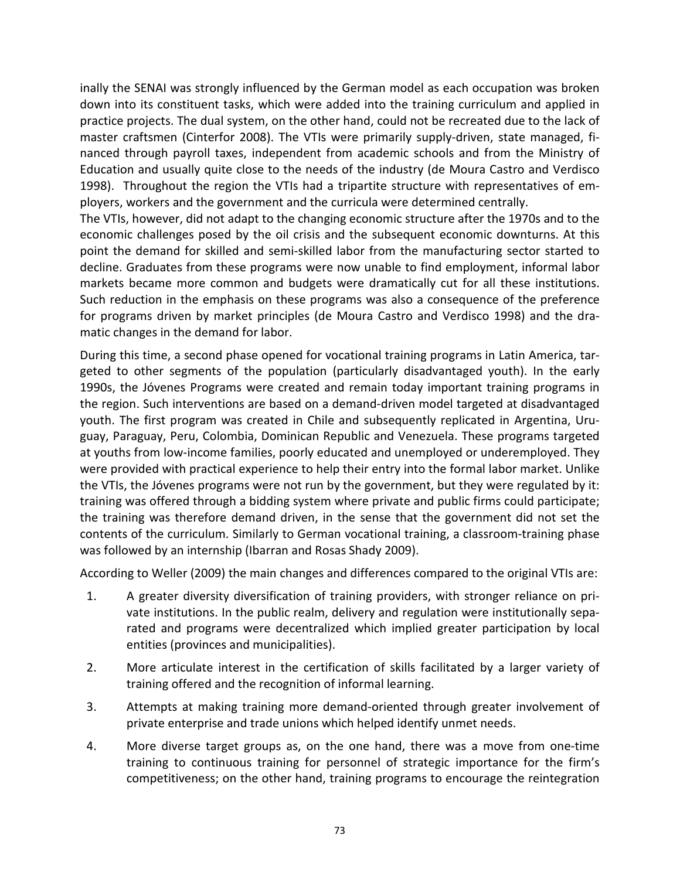inally the SENAI was strongly influenced by the German model as each occupation was broken down into its constituent tasks, which were added into the training curriculum and applied in practice projects. The dual system, on the other hand, could not be recreated due to the lack of master craftsmen (Cinterfor 2008). The VTIs were primarily supply-driven, state managed, financed through payroll taxes, independent from academic schools and from the Ministry of Education and usually quite close to the needs of the industry (de Moura Castro and Verdisco 1998). Throughout the region the VTIs had a tripartite structure with representatives of employers, workers and the government and the curricula were determined centrally.

The VTIs, however, did not adapt to the changing economic structure after the 1970s and to the economic challenges posed by the oil crisis and the subsequent economic downturns. At this point the demand for skilled and semi-skilled labor from the manufacturing sector started to decline. Graduates from these programs were now unable to find employment, informal labor markets became more common and budgets were dramatically cut for all these institutions. Such reduction in the emphasis on these programs was also a consequence of the preference for programs driven by market principles (de Moura Castro and Verdisco 1998) and the dramatic changes in the demand for labor.

During this time, a second phase opened for vocational training programs in Latin America, targeted to other segments of the population (particularly disadvantaged youth). In the early 1990s, the Jóvenes Programs were created and remain today important training programs in the region. Such interventions are based on a demand-driven model targeted at disadvantaged youth. The first program was created in Chile and subsequently replicated in Argentina, Uruguay, Paraguay, Peru, Colombia, Dominican Republic and Venezuela. These programs targeted at youths from low-income families, poorly educated and unemployed or underemployed. They were provided with practical experience to help their entry into the formal labor market. Unlike the VTIs, the Jóvenes programs were not run by the government, but they were regulated by it: training was offered through a bidding system where private and public firms could participate; the training was therefore demand driven, in the sense that the government did not set the contents of the curriculum. Similarly to German vocational training, a classroom-training phase was followed by an internship (Ibarran and Rosas Shady 2009).

According to Weller (2009) the main changes and differences compared to the original VTIs are:

- 1. A greater diversity diversification of training providers, with stronger reliance on private institutions. In the public realm, delivery and regulation were institutionally separated and programs were decentralized which implied greater participation by local entities (provinces and municipalities).
- 2. More articulate interest in the certification of skills facilitated by a larger variety of training offered and the recognition of informal learning.
- 3. Attempts at making training more demand-oriented through greater involvement of private enterprise and trade unions which helped identify unmet needs.
- 4. More diverse target groups as, on the one hand, there was a move from one-time training to continuous training for personnel of strategic importance for the firm's competitiveness; on the other hand, training programs to encourage the reintegration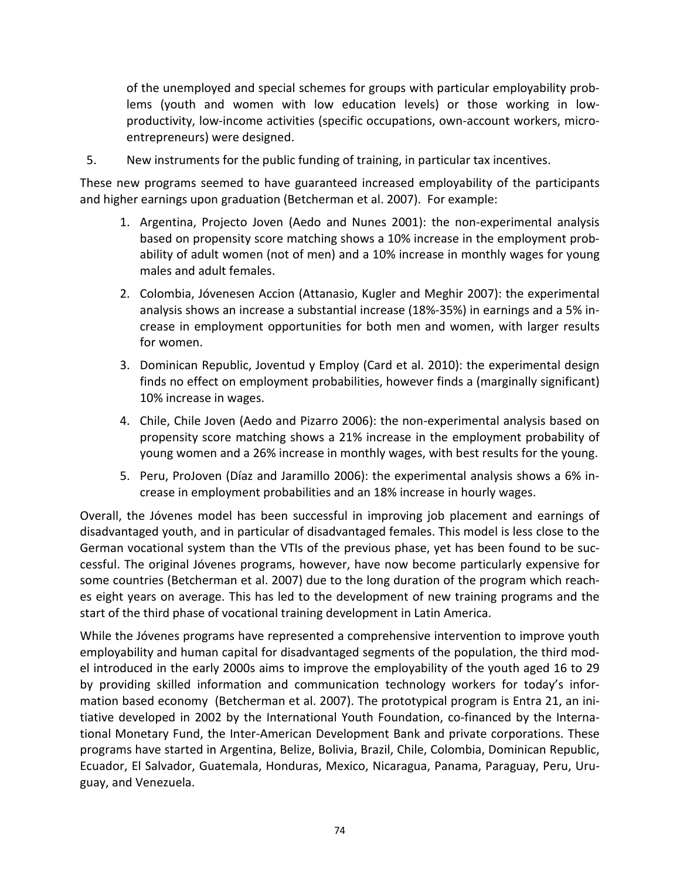of the unemployed and special schemes for groups with particular employability problems (youth and women with low education levels) or those working in lowproductivity, low-income activities (specific occupations, own-account workers, microentrepreneurs) were designed.

5. New instruments for the public funding of training, in particular tax incentives.

These new programs seemed to have guaranteed increased employability of the participants and higher earnings upon graduation (Betcherman et al. 2007). For example:

- 1. Argentina, Projecto Joven (Aedo and Nunes 2001): the non-experimental analysis based on propensity score matching shows a 10% increase in the employment probability of adult women (not of men) and a 10% increase in monthly wages for young males and adult females.
- 2. Colombia, Jóvenesen Accion (Attanasio, Kugler and Meghir 2007): the experimental analysis shows an increase a substantial increase (18%-35%) in earnings and a 5% increase in employment opportunities for both men and women, with larger results for women.
- 3. Dominican Republic, Joventud y Employ (Card et al. 2010): the experimental design finds no effect on employment probabilities, however finds a (marginally significant) 10% increase in wages.
- 4. Chile, Chile Joven (Aedo and Pizarro 2006): the non-experimental analysis based on propensity score matching shows a 21% increase in the employment probability of young women and a 26% increase in monthly wages, with best results for the young.
- 5. Peru, ProJoven (Díaz and Jaramillo 2006): the experimental analysis shows a 6% increase in employment probabilities and an 18% increase in hourly wages.

Overall, the Jóvenes model has been successful in improving job placement and earnings of disadvantaged youth, and in particular of disadvantaged females. This model is less close to the German vocational system than the VTIs of the previous phase, yet has been found to be successful. The original Jóvenes programs, however, have now become particularly expensive for some countries (Betcherman et al. 2007) due to the long duration of the program which reaches eight years on average. This has led to the development of new training programs and the start of the third phase of vocational training development in Latin America.

While the Jóvenes programs have represented a comprehensive intervention to improve youth employability and human capital for disadvantaged segments of the population, the third model introduced in the early 2000s aims to improve the employability of the youth aged 16 to 29 by providing skilled information and communication technology workers for today's information based economy (Betcherman et al. 2007). The prototypical program is Entra 21, an initiative developed in 2002 by the International Youth Foundation, co-financed by the International Monetary Fund, the Inter-American Development Bank and private corporations. These programs have started in Argentina, Belize, Bolivia, Brazil, Chile, Colombia, Dominican Republic, Ecuador, El Salvador, Guatemala, Honduras, Mexico, Nicaragua, Panama, Paraguay, Peru, Uruguay, and Venezuela.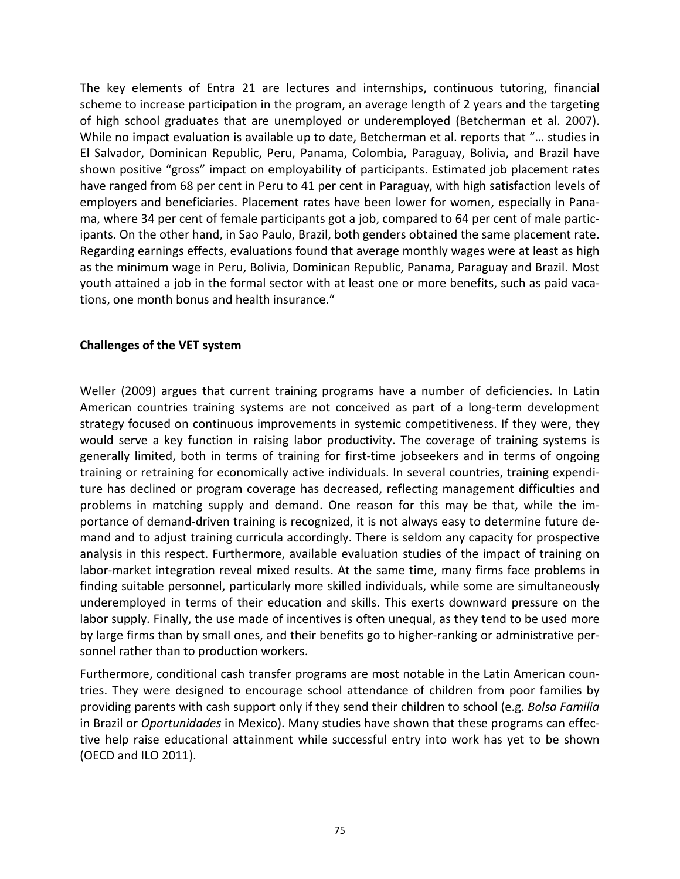The key elements of Entra 21 are lectures and internships, continuous tutoring, financial scheme to increase participation in the program, an average length of 2 years and the targeting of high school graduates that are unemployed or underemployed (Betcherman et al. 2007). While no impact evaluation is available up to date, Betcherman et al. reports that "… studies in El Salvador, Dominican Republic, Peru, Panama, Colombia, Paraguay, Bolivia, and Brazil have shown positive "gross" impact on employability of participants. Estimated job placement rates have ranged from 68 per cent in Peru to 41 per cent in Paraguay, with high satisfaction levels of employers and beneficiaries. Placement rates have been lower for women, especially in Panama, where 34 per cent of female participants got a job, compared to 64 per cent of male participants. On the other hand, in Sao Paulo, Brazil, both genders obtained the same placement rate. Regarding earnings effects, evaluations found that average monthly wages were at least as high as the minimum wage in Peru, Bolivia, Dominican Republic, Panama, Paraguay and Brazil. Most youth attained a job in the formal sector with at least one or more benefits, such as paid vacations, one month bonus and health insurance."

#### **Challenges of the VET system**

Weller (2009) argues that current training programs have a number of deficiencies. In Latin American countries training systems are not conceived as part of a long-term development strategy focused on continuous improvements in systemic competitiveness. If they were, they would serve a key function in raising labor productivity. The coverage of training systems is generally limited, both in terms of training for first-time jobseekers and in terms of ongoing training or retraining for economically active individuals. In several countries, training expenditure has declined or program coverage has decreased, reflecting management difficulties and problems in matching supply and demand. One reason for this may be that, while the importance of demand-driven training is recognized, it is not always easy to determine future demand and to adjust training curricula accordingly. There is seldom any capacity for prospective analysis in this respect. Furthermore, available evaluation studies of the impact of training on labor-market integration reveal mixed results. At the same time, many firms face problems in finding suitable personnel, particularly more skilled individuals, while some are simultaneously underemployed in terms of their education and skills. This exerts downward pressure on the labor supply. Finally, the use made of incentives is often unequal, as they tend to be used more by large firms than by small ones, and their benefits go to higher-ranking or administrative personnel rather than to production workers.

Furthermore, conditional cash transfer programs are most notable in the Latin American countries. They were designed to encourage school attendance of children from poor families by providing parents with cash support only if they send their children to school (e.g. *Bolsa Familia* in Brazil or *Oportunidades* in Mexico). Many studies have shown that these programs can effective help raise educational attainment while successful entry into work has yet to be shown (OECD and ILO 2011).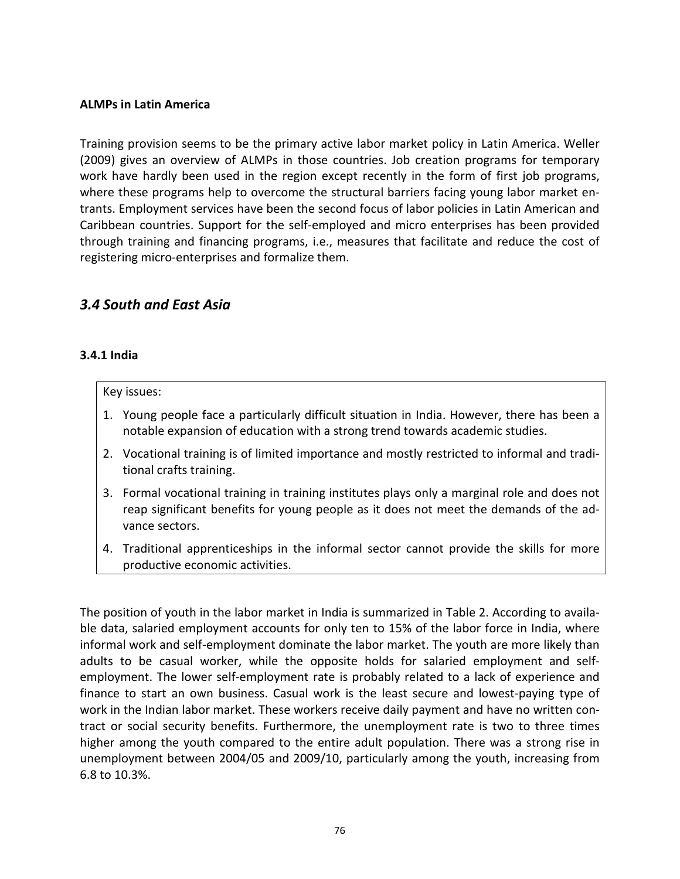#### **ALMPs in Latin America**

Training provision seems to be the primary active labor market policy in Latin America. Weller (2009) gives an overview of ALMPs in those countries. Job creation programs for temporary work have hardly been used in the region except recently in the form of first job programs, where these programs help to overcome the structural barriers facing young labor market entrants. Employment services have been the second focus of labor policies in Latin American and Caribbean countries. Support for the self-employed and micro enterprises has been provided through training and financing programs, i.e., measures that facilitate and reduce the cost of registering micro-enterprises and formalize them.

## *3.4 South and East Asia*

#### **3.4.1 India**

#### Key issues:

- 1. Young people face a particularly difficult situation in India. However, there has been a notable expansion of education with a strong trend towards academic studies.
- 2. Vocational training is of limited importance and mostly restricted to informal and traditional crafts training.
- 3. Formal vocational training in training institutes plays only a marginal role and does not reap significant benefits for young people as it does not meet the demands of the advance sectors.
- 4. Traditional apprenticeships in the informal sector cannot provide the skills for more productive economic activities.

The position of youth in the labor market in India is summarized in Table 2. According to available data, salaried employment accounts for only ten to 15% of the labor force in India, where informal work and self-employment dominate the labor market. The youth are more likely than adults to be casual worker, while the opposite holds for salaried employment and selfemployment. The lower self-employment rate is probably related to a lack of experience and finance to start an own business. Casual work is the least secure and lowest-paying type of work in the Indian labor market. These workers receive daily payment and have no written contract or social security benefits. Furthermore, the unemployment rate is two to three times higher among the youth compared to the entire adult population. There was a strong rise in unemployment between 2004/05 and 2009/10, particularly among the youth, increasing from 6.8 to 10.3%.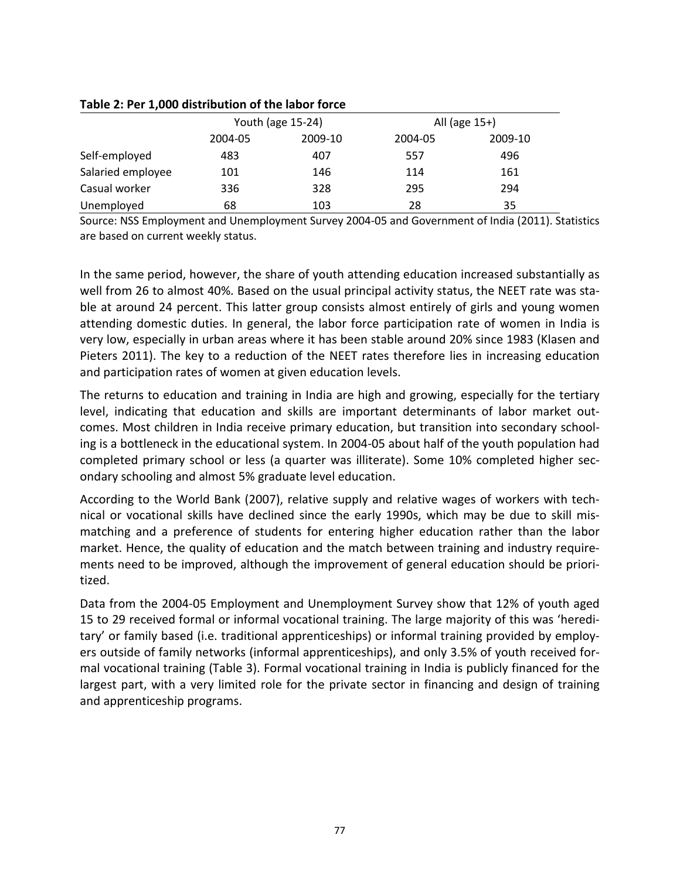#### **Table 2: Per 1,000 distribution of the labor force**

|                   | Youth (age 15-24) |         | All (age 15+) |         |  |
|-------------------|-------------------|---------|---------------|---------|--|
|                   | 2004-05           | 2009-10 | 2004-05       | 2009-10 |  |
| Self-employed     | 483               | 407     | 557           | 496     |  |
| Salaried employee | 101               | 146     | 114           | 161     |  |
| Casual worker     | 336               | 328     | 295           | 294     |  |
| Unemployed        | 68                | 103     | 28            | 35      |  |

Source: NSS Employment and Unemployment Survey 2004-05 and Government of India (2011). Statistics are based on current weekly status.

In the same period, however, the share of youth attending education increased substantially as well from 26 to almost 40%. Based on the usual principal activity status, the NEET rate was stable at around 24 percent. This latter group consists almost entirely of girls and young women attending domestic duties. In general, the labor force participation rate of women in India is very low, especially in urban areas where it has been stable around 20% since 1983 (Klasen and Pieters 2011). The key to a reduction of the NEET rates therefore lies in increasing education and participation rates of women at given education levels.

The returns to education and training in India are high and growing, especially for the tertiary level, indicating that education and skills are important determinants of labor market outcomes. Most children in India receive primary education, but transition into secondary schooling is a bottleneck in the educational system. In 2004-05 about half of the youth population had completed primary school or less (a quarter was illiterate). Some 10% completed higher secondary schooling and almost 5% graduate level education.

According to the World Bank (2007), relative supply and relative wages of workers with technical or vocational skills have declined since the early 1990s, which may be due to skill mismatching and a preference of students for entering higher education rather than the labor market. Hence, the quality of education and the match between training and industry requirements need to be improved, although the improvement of general education should be prioritized.

Data from the 2004-05 Employment and Unemployment Survey show that 12% of youth aged 15 to 29 received formal or informal vocational training. The large majority of this was 'hereditary' or family based (i.e. traditional apprenticeships) or informal training provided by employers outside of family networks (informal apprenticeships), and only 3.5% of youth received formal vocational training (Table 3). Formal vocational training in India is publicly financed for the largest part, with a very limited role for the private sector in financing and design of training and apprenticeship programs.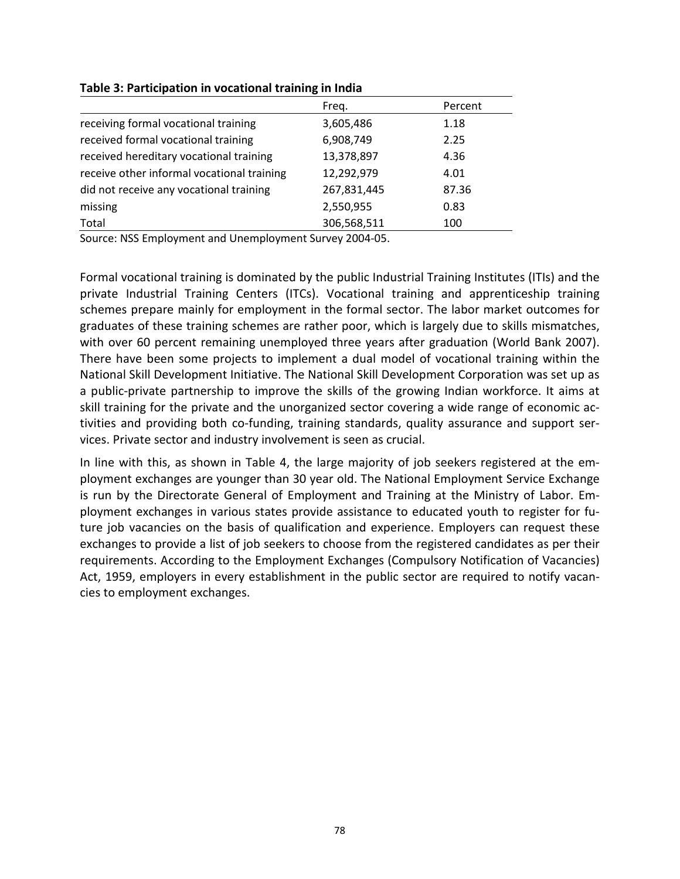|                                            | Freg.       | Percent |
|--------------------------------------------|-------------|---------|
| receiving formal vocational training       | 3,605,486   | 1.18    |
| received formal vocational training        | 6,908,749   | 2.25    |
| received hereditary vocational training    | 13,378,897  | 4.36    |
| receive other informal vocational training | 12,292,979  | 4.01    |
| did not receive any vocational training    | 267,831,445 | 87.36   |
| missing                                    | 2,550,955   | 0.83    |
| Total                                      | 306,568,511 | 100     |

#### **Table 3: Participation in vocational training in India**

Source: NSS Employment and Unemployment Survey 2004-05.

Formal vocational training is dominated by the public Industrial Training Institutes (ITIs) and the private Industrial Training Centers (ITCs). Vocational training and apprenticeship training schemes prepare mainly for employment in the formal sector. The labor market outcomes for graduates of these training schemes are rather poor, which is largely due to skills mismatches, with over 60 percent remaining unemployed three years after graduation (World Bank 2007). There have been some projects to implement a dual model of vocational training within the National Skill Development Initiative. The National Skill Development Corporation was set up as a public-private partnership to improve the skills of the growing Indian workforce. It aims at skill training for the private and the unorganized sector covering a wide range of economic activities and providing both co-funding, training standards, quality assurance and support services. Private sector and industry involvement is seen as crucial.

In line with this, as shown in Table 4, the large majority of job seekers registered at the employment exchanges are younger than 30 year old. The National Employment Service Exchange is run by the Directorate General of Employment and Training at the Ministry of Labor. Employment exchanges in various states provide assistance to educated youth to register for future job vacancies on the basis of qualification and experience. Employers can request these exchanges to provide a list of job seekers to choose from the registered candidates as per their requirements. According to the Employment Exchanges (Compulsory Notification of Vacancies) Act, 1959, employers in every establishment in the public sector are required to notify vacancies to employment exchanges.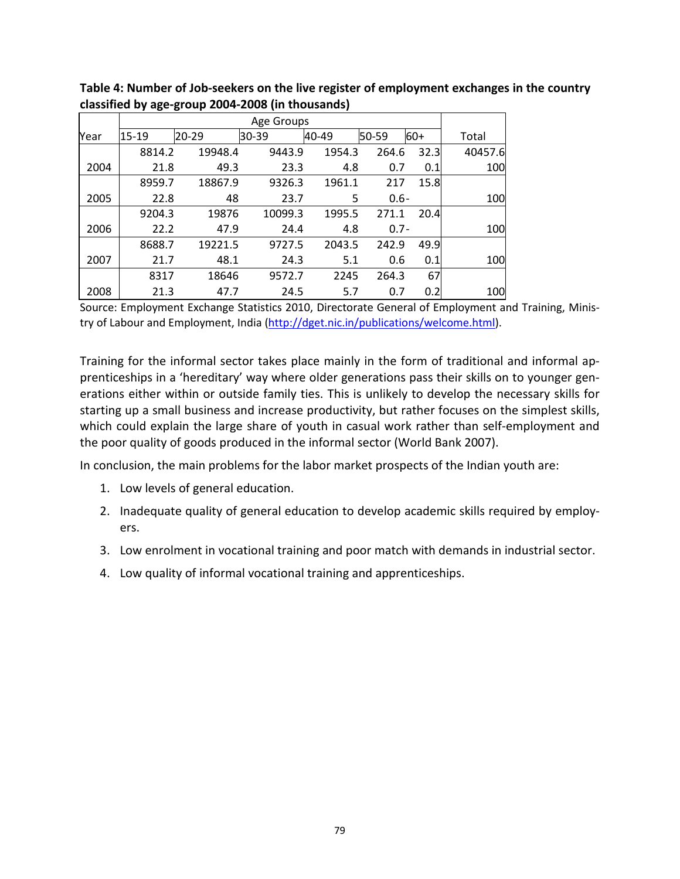| Year | 15-19  | $20 - 29$ | 30-39   | 40-49  | 50-59   | $60+$ | Total   |
|------|--------|-----------|---------|--------|---------|-------|---------|
|      | 8814.2 | 19948.4   | 9443.9  | 1954.3 | 264.6   | 32.3  | 40457.6 |
| 2004 | 21.8   | 49.3      | 23.3    | 4.8    | 0.7     | 0.1   | 100     |
|      | 8959.7 | 18867.9   | 9326.3  | 1961.1 | 217     | 15.8  |         |
| 2005 | 22.8   | 48        | 23.7    | 5      | $0.6 -$ |       | 100     |
|      | 9204.3 | 19876     | 10099.3 | 1995.5 | 271.1   | 20.4  |         |
| 2006 | 22.2   | 47.9      | 24.4    | 4.8    | $0.7 -$ |       | 100     |
|      | 8688.7 | 19221.5   | 9727.5  | 2043.5 | 242.9   | 49.9  |         |
| 2007 | 21.7   | 48.1      | 24.3    | 5.1    | 0.6     | 0.1   | 100     |
|      | 8317   | 18646     | 9572.7  | 2245   | 264.3   | 67    |         |
| 2008 | 21.3   | 47.7      | 24.5    | 5.7    | 0.7     | 0.2   | 100     |

**Table 4: Number of Job-seekers on the live register of employment exchanges in the country classified by age-group 2004-2008 (in thousands)**

Source: Employment Exchange Statistics 2010, Directorate General of Employment and Training, Ministry of Labour and Employment, India [\(http://dget.nic.in/publications/welcome.html\)](http://dget.nic.in/publications/welcome.html).

Training for the informal sector takes place mainly in the form of traditional and informal apprenticeships in a 'hereditary' way where older generations pass their skills on to younger generations either within or outside family ties. This is unlikely to develop the necessary skills for starting up a small business and increase productivity, but rather focuses on the simplest skills, which could explain the large share of youth in casual work rather than self-employment and the poor quality of goods produced in the informal sector (World Bank 2007).

In conclusion, the main problems for the labor market prospects of the Indian youth are:

- 1. Low levels of general education.
- 2. Inadequate quality of general education to develop academic skills required by employers.
- 3. Low enrolment in vocational training and poor match with demands in industrial sector.
- 4. Low quality of informal vocational training and apprenticeships.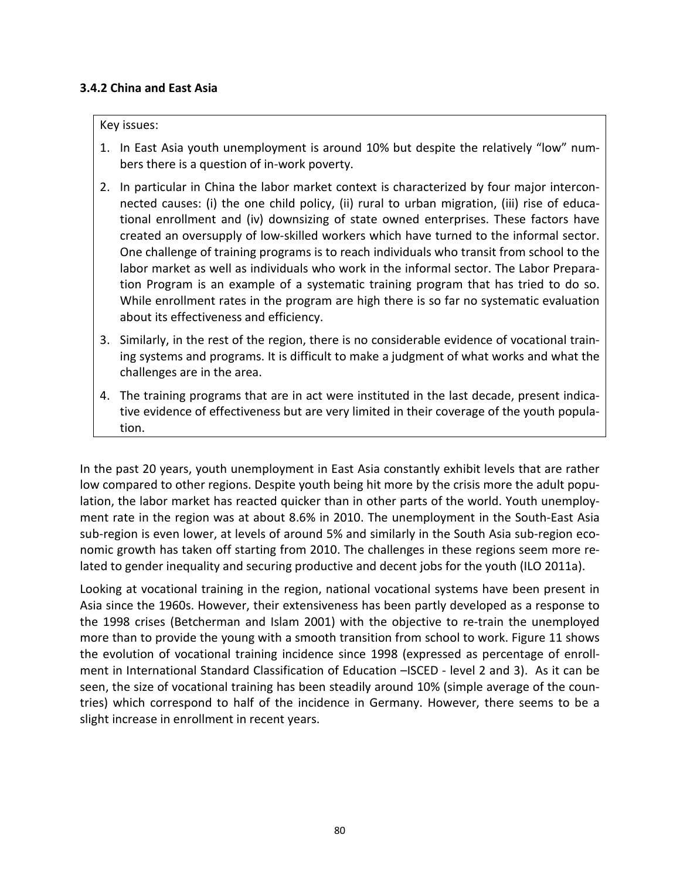#### **3.4.2 China and East Asia**

#### Key issues:

- 1. In East Asia youth unemployment is around 10% but despite the relatively "low" numbers there is a question of in-work poverty.
- 2. In particular in China the labor market context is characterized by four major interconnected causes: (i) the one child policy, (ii) rural to urban migration, (iii) rise of educational enrollment and (iv) downsizing of state owned enterprises. These factors have created an oversupply of low-skilled workers which have turned to the informal sector. One challenge of training programs is to reach individuals who transit from school to the labor market as well as individuals who work in the informal sector. The Labor Preparation Program is an example of a systematic training program that has tried to do so. While enrollment rates in the program are high there is so far no systematic evaluation about its effectiveness and efficiency.
- 3. Similarly, in the rest of the region, there is no considerable evidence of vocational training systems and programs. It is difficult to make a judgment of what works and what the challenges are in the area.
- 4. The training programs that are in act were instituted in the last decade, present indicative evidence of effectiveness but are very limited in their coverage of the youth population.

In the past 20 years, youth unemployment in East Asia constantly exhibit levels that are rather low compared to other regions. Despite youth being hit more by the crisis more the adult population, the labor market has reacted quicker than in other parts of the world. Youth unemployment rate in the region was at about 8.6% in 2010. The unemployment in the South-East Asia sub-region is even lower, at levels of around 5% and similarly in the South Asia sub-region economic growth has taken off starting from 2010. The challenges in these regions seem more related to gender inequality and securing productive and decent jobs for the youth (ILO 2011a).

Looking at vocational training in the region, national vocational systems have been present in Asia since the 1960s. However, their extensiveness has been partly developed as a response to the 1998 crises (Betcherman and Islam 2001) with the objective to re-train the unemployed more than to provide the young with a smooth transition from school to work. Figure 11 shows the evolution of vocational training incidence since 1998 (expressed as percentage of enrollment in International Standard Classification of Education –ISCED - level 2 and 3). As it can be seen, the size of vocational training has been steadily around 10% (simple average of the countries) which correspond to half of the incidence in Germany. However, there seems to be a slight increase in enrollment in recent years.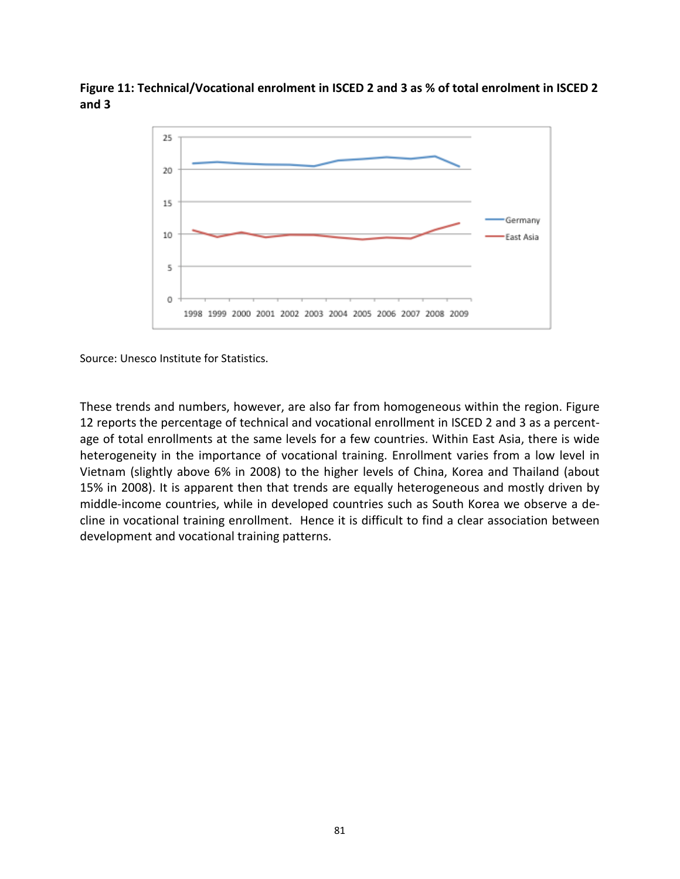**Figure 11: Technical/Vocational enrolment in ISCED 2 and 3 as % of total enrolment in ISCED 2 and 3**



Source: Unesco Institute for Statistics.

These trends and numbers, however, are also far from homogeneous within the region. Figure 12 reports the percentage of technical and vocational enrollment in ISCED 2 and 3 as a percentage of total enrollments at the same levels for a few countries. Within East Asia, there is wide heterogeneity in the importance of vocational training. Enrollment varies from a low level in Vietnam (slightly above 6% in 2008) to the higher levels of China, Korea and Thailand (about 15% in 2008). It is apparent then that trends are equally heterogeneous and mostly driven by middle-income countries, while in developed countries such as South Korea we observe a decline in vocational training enrollment. Hence it is difficult to find a clear association between development and vocational training patterns.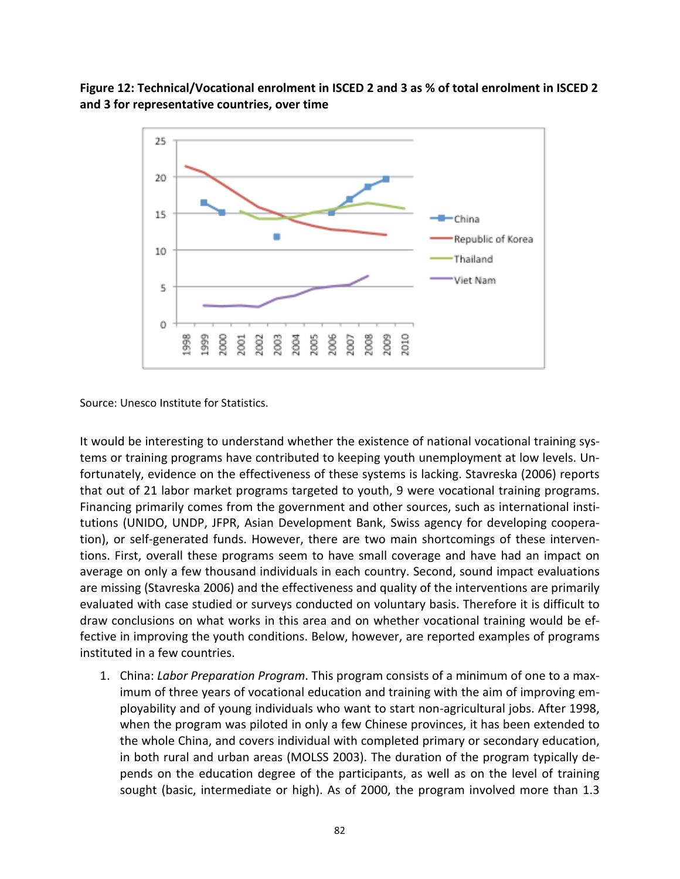### **Figure 12: Technical/Vocational enrolment in ISCED 2 and 3 as % of total enrolment in ISCED 2 and 3 for representative countries, over time**



Source: Unesco Institute for Statistics.

It would be interesting to understand whether the existence of national vocational training systems or training programs have contributed to keeping youth unemployment at low levels. Unfortunately, evidence on the effectiveness of these systems is lacking. Stavreska (2006) reports that out of 21 labor market programs targeted to youth, 9 were vocational training programs. Financing primarily comes from the government and other sources, such as international institutions (UNIDO, UNDP, JFPR, Asian Development Bank, Swiss agency for developing cooperation), or self-generated funds. However, there are two main shortcomings of these interventions. First, overall these programs seem to have small coverage and have had an impact on average on only a few thousand individuals in each country. Second, sound impact evaluations are missing (Stavreska 2006) and the effectiveness and quality of the interventions are primarily evaluated with case studied or surveys conducted on voluntary basis. Therefore it is difficult to draw conclusions on what works in this area and on whether vocational training would be effective in improving the youth conditions. Below, however, are reported examples of programs instituted in a few countries.

1. China: *Labor Preparation Program*. This program consists of a minimum of one to a maximum of three years of vocational education and training with the aim of improving employability and of young individuals who want to start non-agricultural jobs. After 1998, when the program was piloted in only a few Chinese provinces, it has been extended to the whole China, and covers individual with completed primary or secondary education, in both rural and urban areas (MOLSS 2003). The duration of the program typically depends on the education degree of the participants, as well as on the level of training sought (basic, intermediate or high). As of 2000, the program involved more than 1.3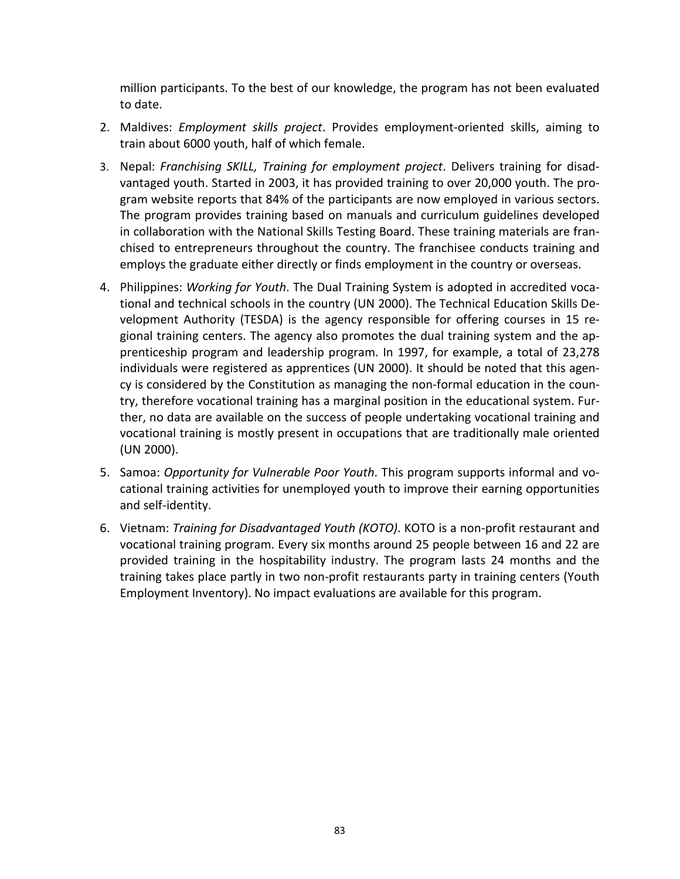million participants. To the best of our knowledge, the program has not been evaluated to date.

- 2. Maldives: *Employment skills project*. Provides employment-oriented skills, aiming to train about 6000 youth, half of which female.
- 3. Nepal: *Franchising SKILL, Training for employment project*. Delivers training for disadvantaged youth. Started in 2003, it has provided training to over 20,000 youth. The program website reports that 84% of the participants are now employed in various sectors. The program provides training based on manuals and curriculum guidelines developed in collaboration with the National Skills Testing Board. These training materials are franchised to entrepreneurs throughout the country. The franchisee conducts training and employs the graduate either directly or finds employment in the country or overseas.
- 4. Philippines: *Working for Youth*. The Dual Training System is adopted in accredited vocational and technical schools in the country (UN 2000). The Technical Education Skills Development Authority (TESDA) is the agency responsible for offering courses in 15 regional training centers. The agency also promotes the dual training system and the apprenticeship program and leadership program. In 1997, for example, a total of 23,278 individuals were registered as apprentices (UN 2000). It should be noted that this agency is considered by the Constitution as managing the non-formal education in the country, therefore vocational training has a marginal position in the educational system. Further, no data are available on the success of people undertaking vocational training and vocational training is mostly present in occupations that are traditionally male oriented (UN 2000).
- 5. Samoa: *Opportunity for Vulnerable Poor Youth*. This program supports informal and vocational training activities for unemployed youth to improve their earning opportunities and self-identity.
- 6. Vietnam: *Training for Disadvantaged Youth (KOTO)*. KOTO is a non-profit restaurant and vocational training program. Every six months around 25 people between 16 and 22 are provided training in the hospitability industry. The program lasts 24 months and the training takes place partly in two non-profit restaurants party in training centers (Youth Employment Inventory). No impact evaluations are available for this program.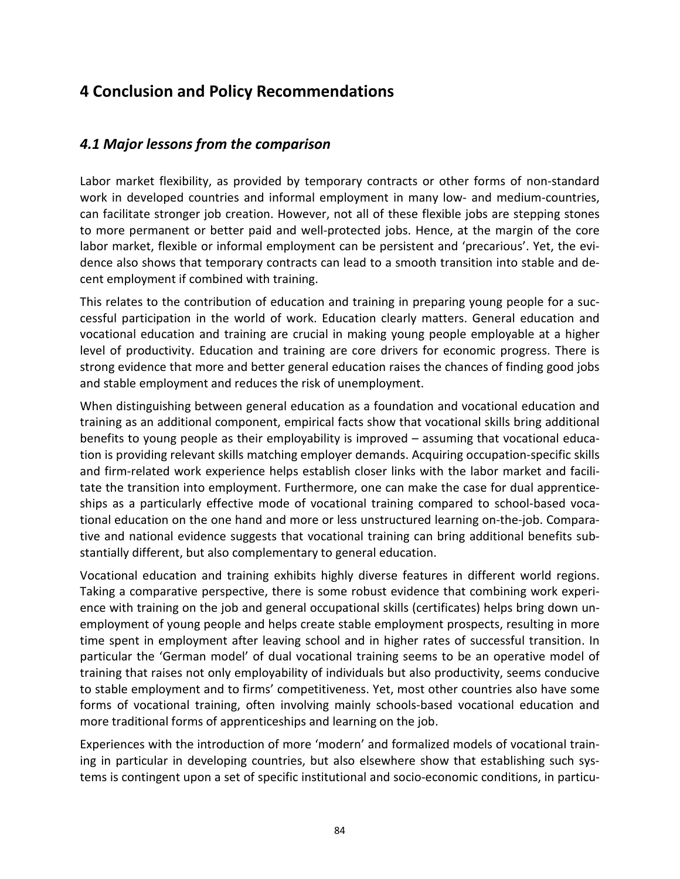# **4 Conclusion and Policy Recommendations**

# *4.1 Major lessons from the comparison*

Labor market flexibility, as provided by temporary contracts or other forms of non-standard work in developed countries and informal employment in many low- and medium-countries, can facilitate stronger job creation. However, not all of these flexible jobs are stepping stones to more permanent or better paid and well-protected jobs. Hence, at the margin of the core labor market, flexible or informal employment can be persistent and 'precarious'. Yet, the evidence also shows that temporary contracts can lead to a smooth transition into stable and decent employment if combined with training.

This relates to the contribution of education and training in preparing young people for a successful participation in the world of work. Education clearly matters. General education and vocational education and training are crucial in making young people employable at a higher level of productivity. Education and training are core drivers for economic progress. There is strong evidence that more and better general education raises the chances of finding good jobs and stable employment and reduces the risk of unemployment.

When distinguishing between general education as a foundation and vocational education and training as an additional component, empirical facts show that vocational skills bring additional benefits to young people as their employability is improved – assuming that vocational education is providing relevant skills matching employer demands. Acquiring occupation-specific skills and firm-related work experience helps establish closer links with the labor market and facilitate the transition into employment. Furthermore, one can make the case for dual apprenticeships as a particularly effective mode of vocational training compared to school-based vocational education on the one hand and more or less unstructured learning on-the-job. Comparative and national evidence suggests that vocational training can bring additional benefits substantially different, but also complementary to general education.

Vocational education and training exhibits highly diverse features in different world regions. Taking a comparative perspective, there is some robust evidence that combining work experience with training on the job and general occupational skills (certificates) helps bring down unemployment of young people and helps create stable employment prospects, resulting in more time spent in employment after leaving school and in higher rates of successful transition. In particular the 'German model' of dual vocational training seems to be an operative model of training that raises not only employability of individuals but also productivity, seems conducive to stable employment and to firms' competitiveness. Yet, most other countries also have some forms of vocational training, often involving mainly schools-based vocational education and more traditional forms of apprenticeships and learning on the job.

Experiences with the introduction of more 'modern' and formalized models of vocational training in particular in developing countries, but also elsewhere show that establishing such systems is contingent upon a set of specific institutional and socio-economic conditions, in particu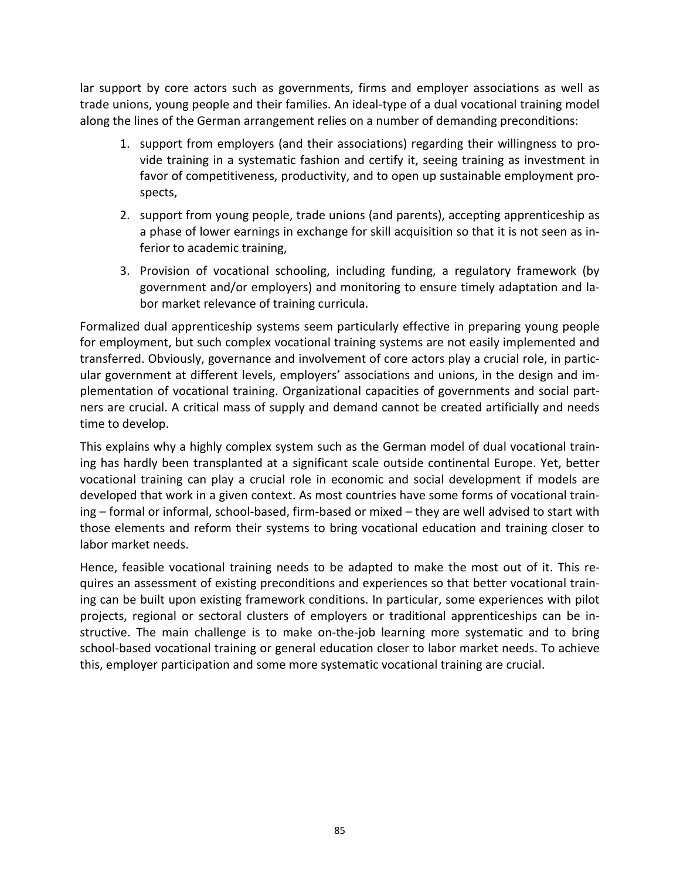lar support by core actors such as governments, firms and employer associations as well as trade unions, young people and their families. An ideal-type of a dual vocational training model along the lines of the German arrangement relies on a number of demanding preconditions:

- 1. support from employers (and their associations) regarding their willingness to provide training in a systematic fashion and certify it, seeing training as investment in favor of competitiveness, productivity, and to open up sustainable employment prospects,
- 2. support from young people, trade unions (and parents), accepting apprenticeship as a phase of lower earnings in exchange for skill acquisition so that it is not seen as inferior to academic training,
- 3. Provision of vocational schooling, including funding, a regulatory framework (by government and/or employers) and monitoring to ensure timely adaptation and labor market relevance of training curricula.

Formalized dual apprenticeship systems seem particularly effective in preparing young people for employment, but such complex vocational training systems are not easily implemented and transferred. Obviously, governance and involvement of core actors play a crucial role, in particular government at different levels, employers' associations and unions, in the design and implementation of vocational training. Organizational capacities of governments and social partners are crucial. A critical mass of supply and demand cannot be created artificially and needs time to develop.

This explains why a highly complex system such as the German model of dual vocational training has hardly been transplanted at a significant scale outside continental Europe. Yet, better vocational training can play a crucial role in economic and social development if models are developed that work in a given context. As most countries have some forms of vocational training – formal or informal, school-based, firm-based or mixed – they are well advised to start with those elements and reform their systems to bring vocational education and training closer to labor market needs.

Hence, feasible vocational training needs to be adapted to make the most out of it. This requires an assessment of existing preconditions and experiences so that better vocational training can be built upon existing framework conditions. In particular, some experiences with pilot projects, regional or sectoral clusters of employers or traditional apprenticeships can be instructive. The main challenge is to make on-the-job learning more systematic and to bring school-based vocational training or general education closer to labor market needs. To achieve this, employer participation and some more systematic vocational training are crucial.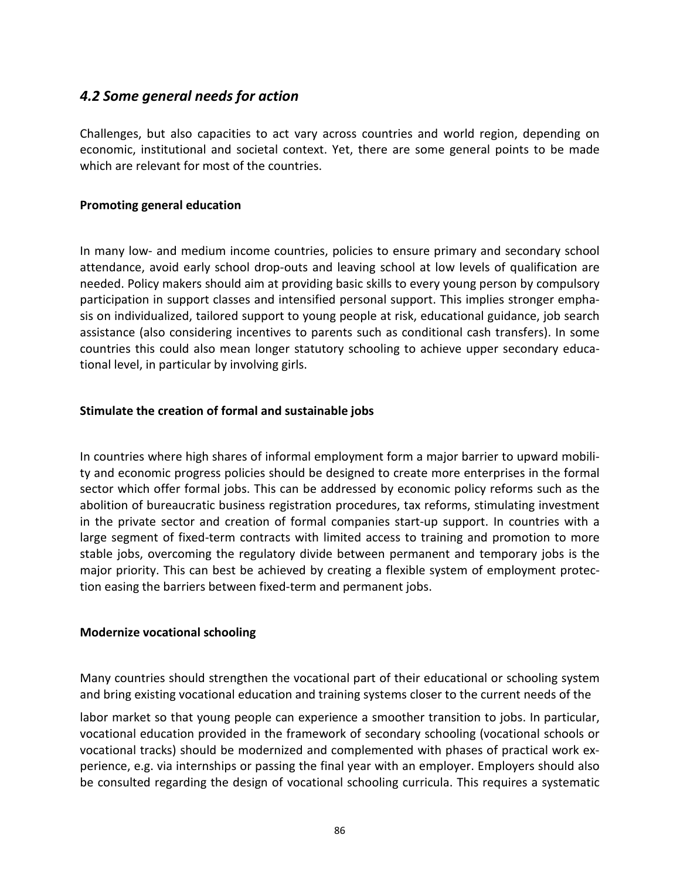## *4.2 Some general needs for action*

Challenges, but also capacities to act vary across countries and world region, depending on economic, institutional and societal context. Yet, there are some general points to be made which are relevant for most of the countries.

#### **Promoting general education**

In many low- and medium income countries, policies to ensure primary and secondary school attendance, avoid early school drop-outs and leaving school at low levels of qualification are needed. Policy makers should aim at providing basic skills to every young person by compulsory participation in support classes and intensified personal support. This implies stronger emphasis on individualized, tailored support to young people at risk, educational guidance, job search assistance (also considering incentives to parents such as conditional cash transfers). In some countries this could also mean longer statutory schooling to achieve upper secondary educational level, in particular by involving girls.

### **Stimulate the creation of formal and sustainable jobs**

In countries where high shares of informal employment form a major barrier to upward mobility and economic progress policies should be designed to create more enterprises in the formal sector which offer formal jobs. This can be addressed by economic policy reforms such as the abolition of bureaucratic business registration procedures, tax reforms, stimulating investment in the private sector and creation of formal companies start-up support. In countries with a large segment of fixed-term contracts with limited access to training and promotion to more stable jobs, overcoming the regulatory divide between permanent and temporary jobs is the major priority. This can best be achieved by creating a flexible system of employment protection easing the barriers between fixed-term and permanent jobs.

#### **Modernize vocational schooling**

Many countries should strengthen the vocational part of their educational or schooling system and bring existing vocational education and training systems closer to the current needs of the

labor market so that young people can experience a smoother transition to jobs. In particular, vocational education provided in the framework of secondary schooling (vocational schools or vocational tracks) should be modernized and complemented with phases of practical work experience, e.g. via internships or passing the final year with an employer. Employers should also be consulted regarding the design of vocational schooling curricula. This requires a systematic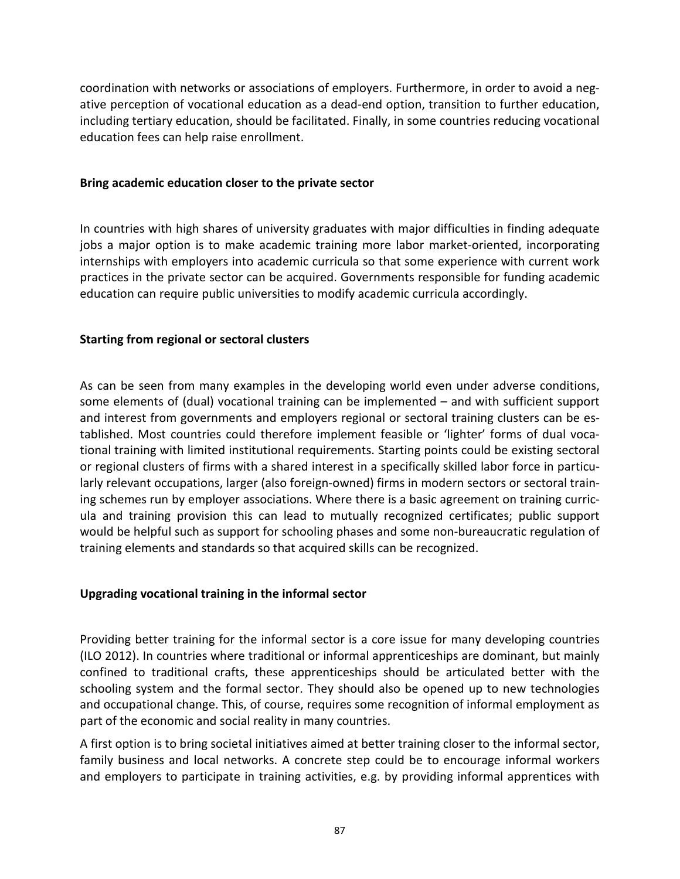coordination with networks or associations of employers. Furthermore, in order to avoid a negative perception of vocational education as a dead-end option, transition to further education, including tertiary education, should be facilitated. Finally, in some countries reducing vocational education fees can help raise enrollment.

#### **Bring academic education closer to the private sector**

In countries with high shares of university graduates with major difficulties in finding adequate jobs a major option is to make academic training more labor market-oriented, incorporating internships with employers into academic curricula so that some experience with current work practices in the private sector can be acquired. Governments responsible for funding academic education can require public universities to modify academic curricula accordingly.

#### **Starting from regional or sectoral clusters**

As can be seen from many examples in the developing world even under adverse conditions, some elements of (dual) vocational training can be implemented – and with sufficient support and interest from governments and employers regional or sectoral training clusters can be established. Most countries could therefore implement feasible or 'lighter' forms of dual vocational training with limited institutional requirements. Starting points could be existing sectoral or regional clusters of firms with a shared interest in a specifically skilled labor force in particularly relevant occupations, larger (also foreign-owned) firms in modern sectors or sectoral training schemes run by employer associations. Where there is a basic agreement on training curricula and training provision this can lead to mutually recognized certificates; public support would be helpful such as support for schooling phases and some non-bureaucratic regulation of training elements and standards so that acquired skills can be recognized.

#### **Upgrading vocational training in the informal sector**

Providing better training for the informal sector is a core issue for many developing countries (ILO 2012). In countries where traditional or informal apprenticeships are dominant, but mainly confined to traditional crafts, these apprenticeships should be articulated better with the schooling system and the formal sector. They should also be opened up to new technologies and occupational change. This, of course, requires some recognition of informal employment as part of the economic and social reality in many countries.

A first option is to bring societal initiatives aimed at better training closer to the informal sector, family business and local networks. A concrete step could be to encourage informal workers and employers to participate in training activities, e.g. by providing informal apprentices with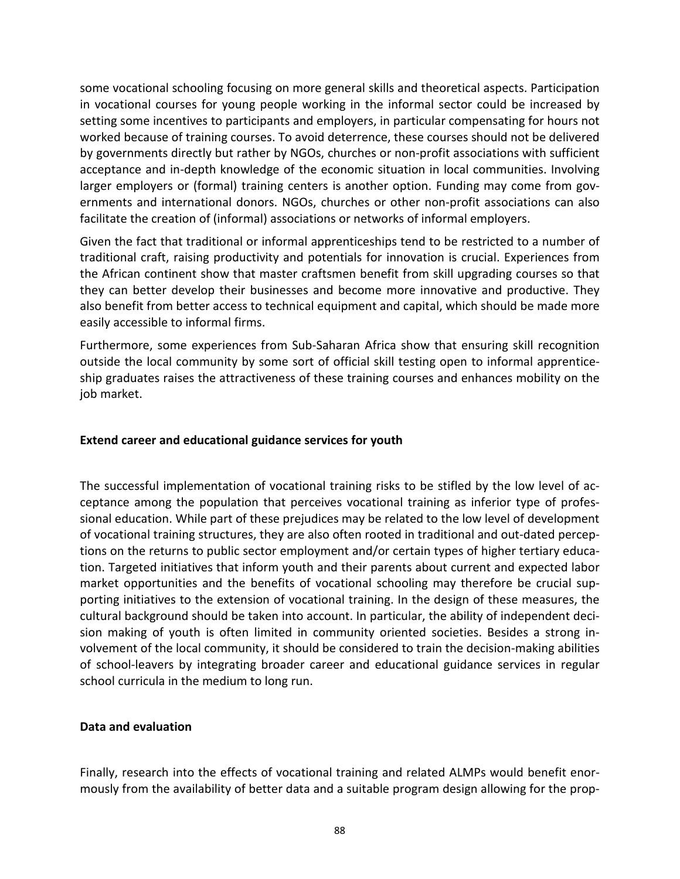some vocational schooling focusing on more general skills and theoretical aspects. Participation in vocational courses for young people working in the informal sector could be increased by setting some incentives to participants and employers, in particular compensating for hours not worked because of training courses. To avoid deterrence, these courses should not be delivered by governments directly but rather by NGOs, churches or non-profit associations with sufficient acceptance and in-depth knowledge of the economic situation in local communities. Involving larger employers or (formal) training centers is another option. Funding may come from governments and international donors. NGOs, churches or other non-profit associations can also facilitate the creation of (informal) associations or networks of informal employers.

Given the fact that traditional or informal apprenticeships tend to be restricted to a number of traditional craft, raising productivity and potentials for innovation is crucial. Experiences from the African continent show that master craftsmen benefit from skill upgrading courses so that they can better develop their businesses and become more innovative and productive. They also benefit from better access to technical equipment and capital, which should be made more easily accessible to informal firms.

Furthermore, some experiences from Sub-Saharan Africa show that ensuring skill recognition outside the local community by some sort of official skill testing open to informal apprenticeship graduates raises the attractiveness of these training courses and enhances mobility on the job market.

### **Extend career and educational guidance services for youth**

The successful implementation of vocational training risks to be stifled by the low level of acceptance among the population that perceives vocational training as inferior type of professional education. While part of these prejudices may be related to the low level of development of vocational training structures, they are also often rooted in traditional and out-dated perceptions on the returns to public sector employment and/or certain types of higher tertiary education. Targeted initiatives that inform youth and their parents about current and expected labor market opportunities and the benefits of vocational schooling may therefore be crucial supporting initiatives to the extension of vocational training. In the design of these measures, the cultural background should be taken into account. In particular, the ability of independent decision making of youth is often limited in community oriented societies. Besides a strong involvement of the local community, it should be considered to train the decision-making abilities of school-leavers by integrating broader career and educational guidance services in regular school curricula in the medium to long run.

#### **Data and evaluation**

Finally, research into the effects of vocational training and related ALMPs would benefit enormously from the availability of better data and a suitable program design allowing for the prop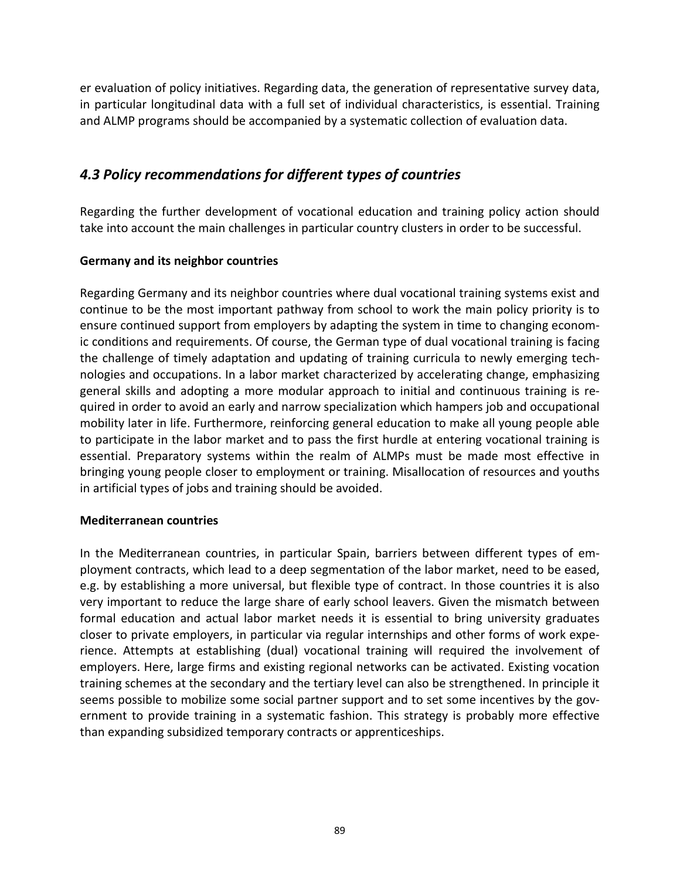er evaluation of policy initiatives. Regarding data, the generation of representative survey data, in particular longitudinal data with a full set of individual characteristics, is essential. Training and ALMP programs should be accompanied by a systematic collection of evaluation data.

# *4.3 Policy recommendations for different types of countries*

Regarding the further development of vocational education and training policy action should take into account the main challenges in particular country clusters in order to be successful.

### **Germany and its neighbor countries**

Regarding Germany and its neighbor countries where dual vocational training systems exist and continue to be the most important pathway from school to work the main policy priority is to ensure continued support from employers by adapting the system in time to changing economic conditions and requirements. Of course, the German type of dual vocational training is facing the challenge of timely adaptation and updating of training curricula to newly emerging technologies and occupations. In a labor market characterized by accelerating change, emphasizing general skills and adopting a more modular approach to initial and continuous training is required in order to avoid an early and narrow specialization which hampers job and occupational mobility later in life. Furthermore, reinforcing general education to make all young people able to participate in the labor market and to pass the first hurdle at entering vocational training is essential. Preparatory systems within the realm of ALMPs must be made most effective in bringing young people closer to employment or training. Misallocation of resources and youths in artificial types of jobs and training should be avoided.

#### **Mediterranean countries**

In the Mediterranean countries, in particular Spain, barriers between different types of employment contracts, which lead to a deep segmentation of the labor market, need to be eased, e.g. by establishing a more universal, but flexible type of contract. In those countries it is also very important to reduce the large share of early school leavers. Given the mismatch between formal education and actual labor market needs it is essential to bring university graduates closer to private employers, in particular via regular internships and other forms of work experience. Attempts at establishing (dual) vocational training will required the involvement of employers. Here, large firms and existing regional networks can be activated. Existing vocation training schemes at the secondary and the tertiary level can also be strengthened. In principle it seems possible to mobilize some social partner support and to set some incentives by the government to provide training in a systematic fashion. This strategy is probably more effective than expanding subsidized temporary contracts or apprenticeships.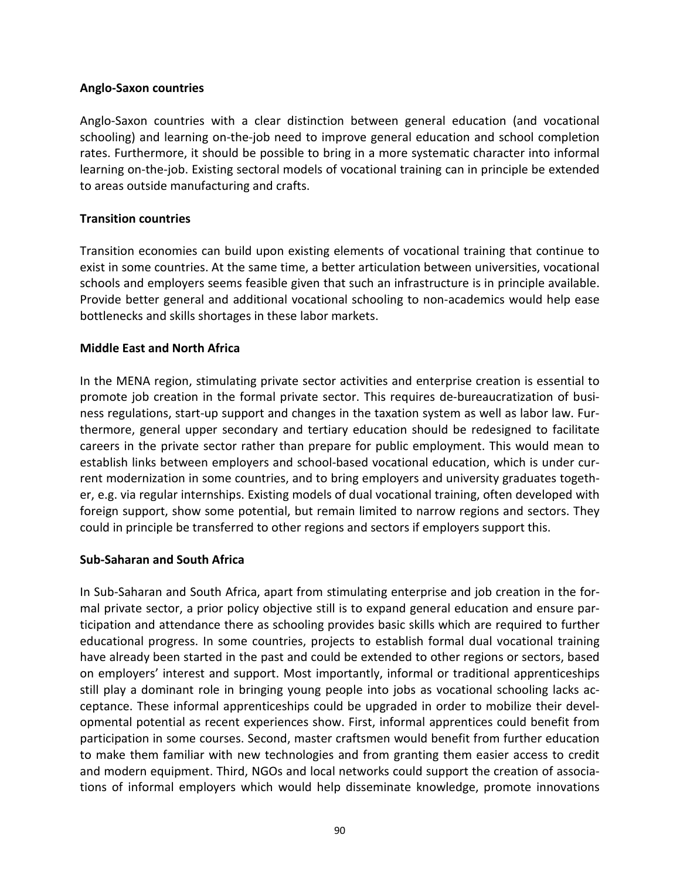#### **Anglo-Saxon countries**

Anglo-Saxon countries with a clear distinction between general education (and vocational schooling) and learning on-the-job need to improve general education and school completion rates. Furthermore, it should be possible to bring in a more systematic character into informal learning on-the-job. Existing sectoral models of vocational training can in principle be extended to areas outside manufacturing and crafts.

### **Transition countries**

Transition economies can build upon existing elements of vocational training that continue to exist in some countries. At the same time, a better articulation between universities, vocational schools and employers seems feasible given that such an infrastructure is in principle available. Provide better general and additional vocational schooling to non-academics would help ease bottlenecks and skills shortages in these labor markets.

### **Middle East and North Africa**

In the MENA region, stimulating private sector activities and enterprise creation is essential to promote job creation in the formal private sector. This requires de-bureaucratization of business regulations, start-up support and changes in the taxation system as well as labor law. Furthermore, general upper secondary and tertiary education should be redesigned to facilitate careers in the private sector rather than prepare for public employment. This would mean to establish links between employers and school-based vocational education, which is under current modernization in some countries, and to bring employers and university graduates together, e.g. via regular internships. Existing models of dual vocational training, often developed with foreign support, show some potential, but remain limited to narrow regions and sectors. They could in principle be transferred to other regions and sectors if employers support this.

#### **Sub-Saharan and South Africa**

In Sub-Saharan and South Africa, apart from stimulating enterprise and job creation in the formal private sector, a prior policy objective still is to expand general education and ensure participation and attendance there as schooling provides basic skills which are required to further educational progress. In some countries, projects to establish formal dual vocational training have already been started in the past and could be extended to other regions or sectors, based on employers' interest and support. Most importantly, informal or traditional apprenticeships still play a dominant role in bringing young people into jobs as vocational schooling lacks acceptance. These informal apprenticeships could be upgraded in order to mobilize their developmental potential as recent experiences show. First, informal apprentices could benefit from participation in some courses. Second, master craftsmen would benefit from further education to make them familiar with new technologies and from granting them easier access to credit and modern equipment. Third, NGOs and local networks could support the creation of associations of informal employers which would help disseminate knowledge, promote innovations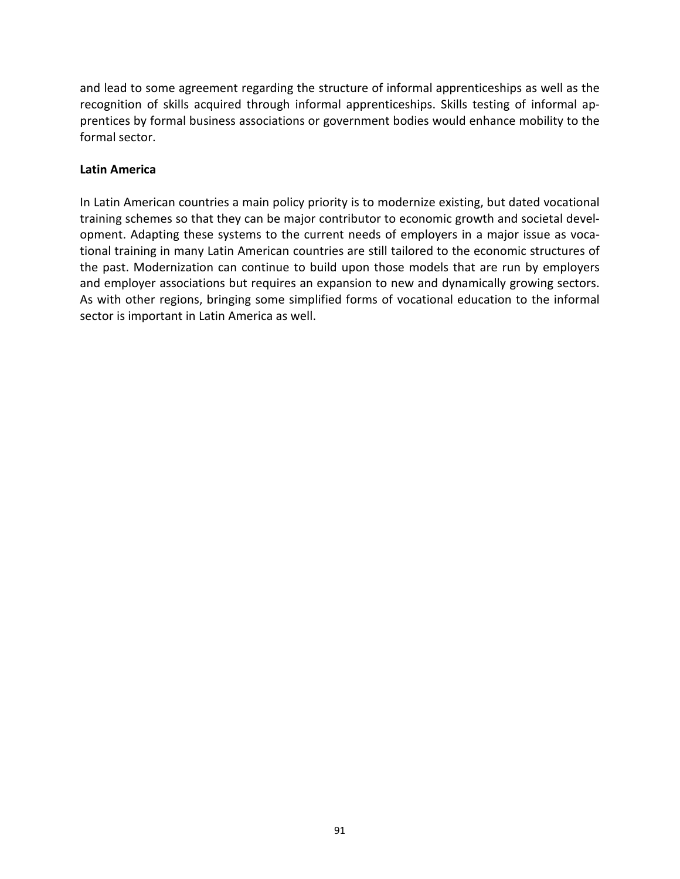and lead to some agreement regarding the structure of informal apprenticeships as well as the recognition of skills acquired through informal apprenticeships. Skills testing of informal apprentices by formal business associations or government bodies would enhance mobility to the formal sector.

#### **Latin America**

In Latin American countries a main policy priority is to modernize existing, but dated vocational training schemes so that they can be major contributor to economic growth and societal development. Adapting these systems to the current needs of employers in a major issue as vocational training in many Latin American countries are still tailored to the economic structures of the past. Modernization can continue to build upon those models that are run by employers and employer associations but requires an expansion to new and dynamically growing sectors. As with other regions, bringing some simplified forms of vocational education to the informal sector is important in Latin America as well.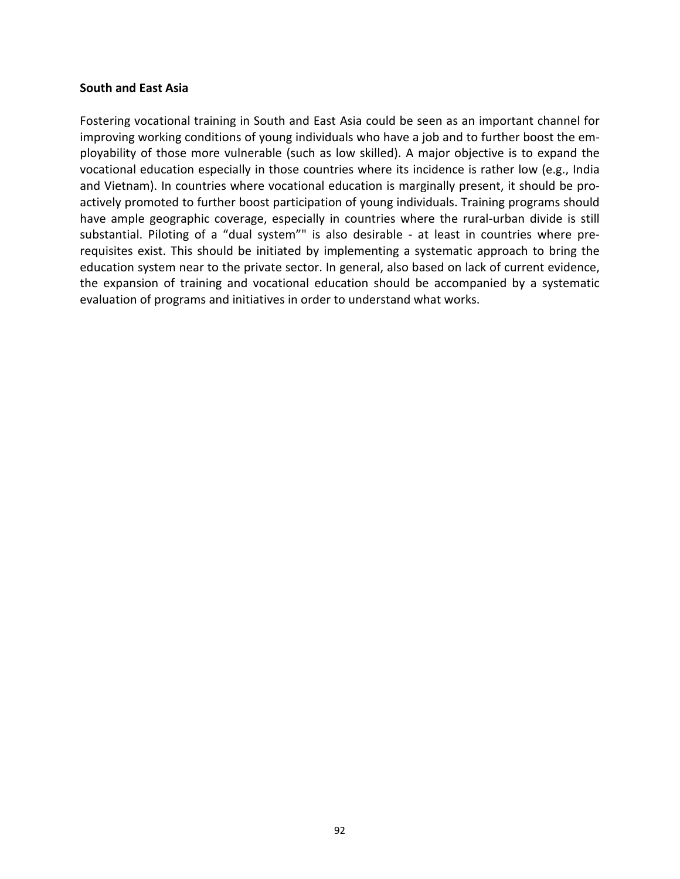#### **South and East Asia**

Fostering vocational training in South and East Asia could be seen as an important channel for improving working conditions of young individuals who have a job and to further boost the employability of those more vulnerable (such as low skilled). A major objective is to expand the vocational education especially in those countries where its incidence is rather low (e.g., India and Vietnam). In countries where vocational education is marginally present, it should be proactively promoted to further boost participation of young individuals. Training programs should have ample geographic coverage, especially in countries where the rural-urban divide is still substantial. Piloting of a "dual system"" is also desirable - at least in countries where prerequisites exist. This should be initiated by implementing a systematic approach to bring the education system near to the private sector. In general, also based on lack of current evidence, the expansion of training and vocational education should be accompanied by a systematic evaluation of programs and initiatives in order to understand what works.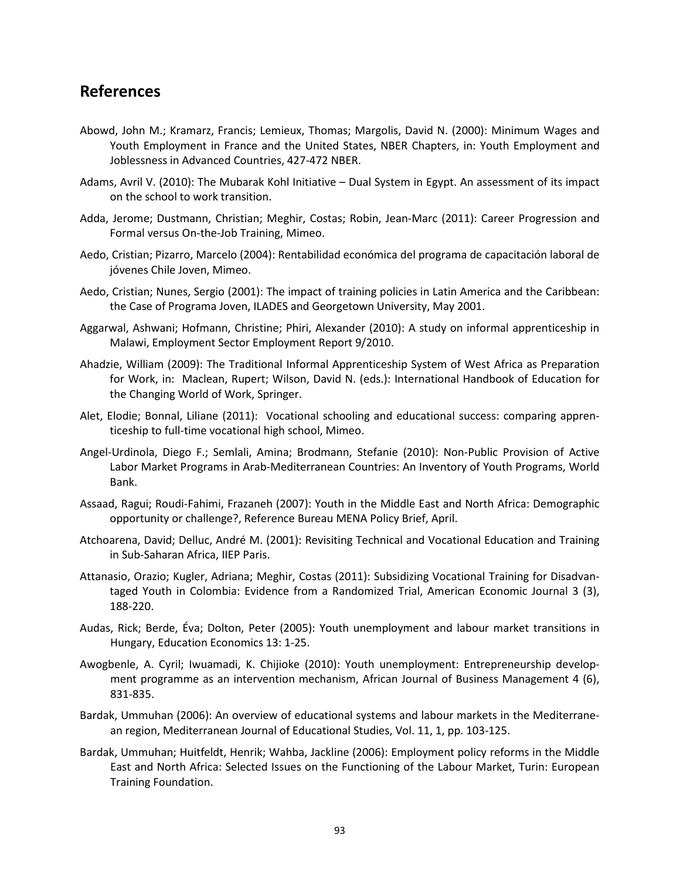# **References**

- Abowd, John M.; Kramarz, Francis; Lemieux, Thomas; Margolis, David N. (2000): Minimum Wages and Youth Employment in France and the United States, NBER Chapters, in: Youth Employment and Joblessness in Advanced Countries, 427-472 NBER.
- Adams, Avril V. (2010): The Mubarak Kohl Initiative Dual System in Egypt. An assessment of its impact on the school to work transition.
- Adda, Jerome; Dustmann, Christian; Meghir, Costas; Robin, Jean-Marc (2011): Career Progression and Formal versus On-the-Job Training, Mimeo.
- Aedo, Cristian; Pizarro, Marcelo (2004): Rentabilidad económica del programa de capacitación laboral de jóvenes Chile Joven, Mimeo.
- Aedo, Cristian; Nunes, Sergio (2001): The impact of training policies in Latin America and the Caribbean: the Case of Programa Joven, ILADES and Georgetown University, May 2001.
- Aggarwal, Ashwani; Hofmann, Christine; Phiri, Alexander (2010): A study on informal apprenticeship in Malawi, Employment Sector Employment Report 9/2010.
- Ahadzie, William (2009): The Traditional Informal Apprenticeship System of West Africa as Preparation for Work, in: Maclean, Rupert; Wilson, David N. (eds.): International Handbook of Education for the Changing World of Work, Springer.
- Alet, Elodie; Bonnal, Liliane (2011): Vocational schooling and educational success: comparing apprenticeship to full-time vocational high school, Mimeo.
- Angel-Urdinola, Diego F.; Semlali, Amina; Brodmann, Stefanie (2010): Non-Public Provision of Active Labor Market Programs in Arab-Mediterranean Countries: An Inventory of Youth Programs, World Bank.
- Assaad, Ragui; Roudi-Fahimi, Frazaneh (2007): Youth in the Middle East and North Africa: Demographic opportunity or challenge?, Reference Bureau MENA Policy Brief, April.
- Atchoarena, David; Delluc, André M. (2001): Revisiting Technical and Vocational Education and Training in Sub-Saharan Africa, IIEP Paris.
- Attanasio, Orazio; Kugler, Adriana; Meghir, Costas (2011): Subsidizing Vocational Training for Disadvantaged Youth in Colombia: Evidence from a Randomized Trial, American Economic Journal 3 (3), 188-220.
- Audas, Rick; Berde, Éva; Dolton, Peter (2005): Youth unemployment and labour market transitions in Hungary, Education Economics 13: 1-25.
- Awogbenle, A. Cyril; Iwuamadi, K. Chijioke (2010): Youth unemployment: Entrepreneurship development programme as an intervention mechanism, African Journal of Business Management 4 (6), 831-835.
- Bardak, Ummuhan (2006): An overview of educational systems and labour markets in the Mediterranean region, Mediterranean Journal of Educational Studies, Vol. 11, 1, pp. 103-125.
- Bardak, Ummuhan; Huitfeldt, Henrik; Wahba, Jackline (2006): Employment policy reforms in the Middle East and North Africa: Selected Issues on the Functioning of the Labour Market, Turin: European Training Foundation.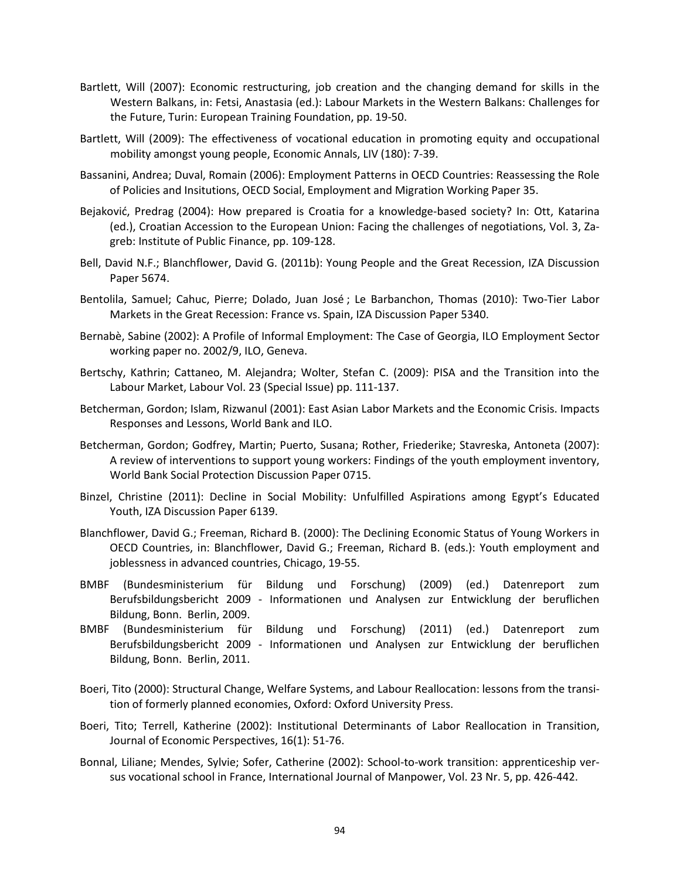- Bartlett, Will (2007): Economic restructuring, job creation and the changing demand for skills in the Western Balkans, in: Fetsi, Anastasia (ed.): Labour Markets in the Western Balkans: Challenges for the Future, Turin: European Training Foundation, pp. 19-50.
- Bartlett, Will (2009): The effectiveness of vocational education in promoting equity and occupational mobility amongst young people, Economic Annals, LIV (180): 7-39.
- Bassanini, Andrea; Duval, Romain (2006): Employment Patterns in OECD Countries: Reassessing the Role of Policies and Insitutions, OECD Social, Employment and Migration Working Paper 35.
- Bejaković, Predrag (2004): How prepared is Croatia for a knowledge-based society? In: Ott, Katarina (ed.), Croatian Accession to the European Union: Facing the challenges of negotiations, Vol. 3, Zagreb: Institute of Public Finance, pp. 109-128.
- Bell, David N.F.; Blanchflower, David G. (2011b): Young People and the Great Recession, IZA Discussion Paper 5674.
- Bentolila, Samuel; Cahuc, Pierre; Dolado, Juan José ; Le Barbanchon, Thomas (2010): Two-Tier Labor Markets in the Great Recession: France vs. Spain, IZA Discussion Paper 5340.
- Bernabè, Sabine (2002): A Profile of Informal Employment: The Case of Georgia, ILO Employment Sector working paper no. 2002/9, ILO, Geneva.
- Bertschy, Kathrin; Cattaneo, M. Alejandra; Wolter, Stefan C. (2009): PISA and the Transition into the Labour Market, Labour Vol. 23 (Special Issue) pp. 111-137.
- Betcherman, Gordon; Islam, Rizwanul (2001): East Asian Labor Markets and the Economic Crisis. Impacts Responses and Lessons, World Bank and ILO.
- Betcherman, Gordon; Godfrey, Martin; Puerto, Susana; Rother, Friederike; Stavreska, Antoneta (2007): A review of interventions to support young workers: Findings of the youth employment inventory, World Bank Social Protection Discussion Paper 0715.
- Binzel, Christine (2011): Decline in Social Mobility: Unfulfilled Aspirations among Egypt's Educated Youth, IZA Discussion Paper 6139.
- Blanchflower, David G.; Freeman, Richard B. (2000): The Declining Economic Status of Young Workers in OECD Countries, in: Blanchflower, David G.; Freeman, Richard B. (eds.): Youth employment and joblessness in advanced countries, Chicago, 19-55.
- BMBF (Bundesministerium für Bildung und Forschung) (2009) (ed.) Datenreport zum Berufsbildungsbericht 2009 - Informationen und Analysen zur Entwicklung der beruflichen Bildung, Bonn. Berlin, 2009.
- BMBF (Bundesministerium für Bildung und Forschung) (2011) (ed.) Datenreport zum Berufsbildungsbericht 2009 - Informationen und Analysen zur Entwicklung der beruflichen Bildung, Bonn. Berlin, 2011.
- Boeri, Tito (2000): Structural Change, Welfare Systems, and Labour Reallocation: lessons from the transition of formerly planned economies, Oxford: Oxford University Press.
- Boeri, Tito; Terrell, Katherine (2002): Institutional Determinants of Labor Reallocation in Transition, Journal of Economic Perspectives, 16(1): 51-76.
- Bonnal, Liliane; Mendes, Sylvie; Sofer, Catherine (2002): School-to-work transition: apprenticeship versus vocational school in France, International Journal of Manpower, Vol. 23 Nr. 5, pp. 426-442.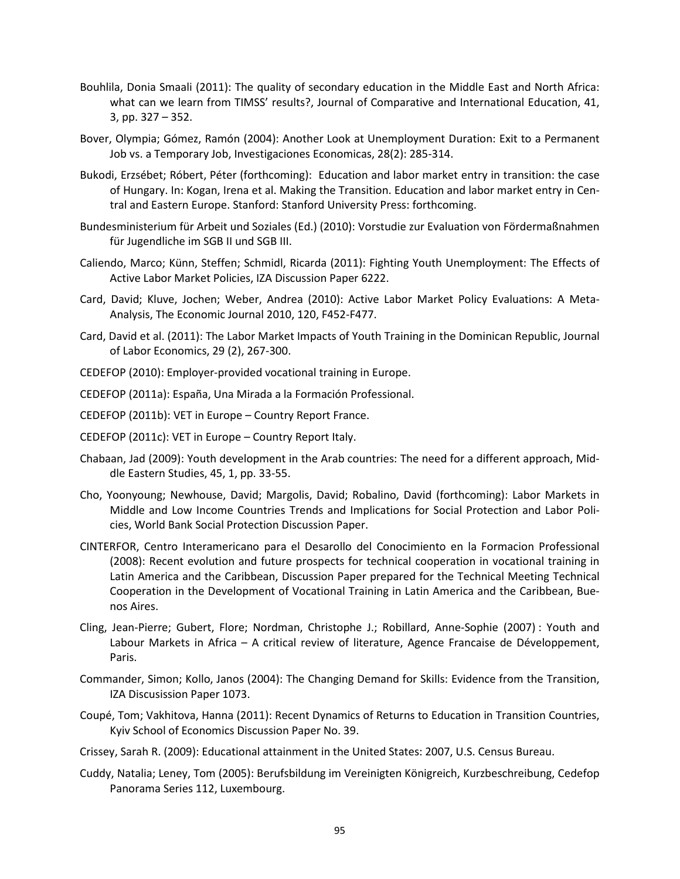- Bouhlila, Donia Smaali (2011): The quality of secondary education in the Middle East and North Africa: what can we learn from TIMSS' results?, Journal of Comparative and International Education, 41, 3, pp. 327 – 352.
- Bover, Olympia; Gómez, Ramón (2004): Another Look at Unemployment Duration: Exit to a Permanent Job vs. a Temporary Job, Investigaciones Economicas, 28(2): 285-314.
- Bukodi, Erzsébet; Róbert, Péter (forthcoming): Education and labor market entry in transition: the case of Hungary. In: Kogan, Irena et al. Making the Transition. Education and labor market entry in Central and Eastern Europe. Stanford: Stanford University Press: forthcoming.
- Bundesministerium für Arbeit und Soziales (Ed.) (2010): Vorstudie zur Evaluation von Fördermaßnahmen für Jugendliche im SGB II und SGB III.
- Caliendo, Marco; Künn, Steffen; Schmidl, Ricarda (2011): Fighting Youth Unemployment: The Effects of Active Labor Market Policies, IZA Discussion Paper 6222.
- Card, David; Kluve, Jochen; Weber, Andrea (2010): Active Labor Market Policy Evaluations: A Meta-Analysis, The Economic Journal 2010, 120, F452-F477.
- Card, David et al. (2011): The Labor Market Impacts of Youth Training in the Dominican Republic, Journal of Labor Economics, 29 (2), 267-300.
- CEDEFOP (2010): Employer-provided vocational training in Europe.
- CEDEFOP (2011a): España, Una Mirada a la Formación Professional.
- CEDEFOP (2011b): VET in Europe Country Report France.
- CEDEFOP (2011c): VET in Europe Country Report Italy.
- Chabaan, Jad (2009): Youth development in the Arab countries: The need for a different approach, Middle Eastern Studies, 45, 1, pp. 33-55.
- Cho, Yoonyoung; Newhouse, David; Margolis, David; Robalino, David (forthcoming): Labor Markets in Middle and Low Income Countries Trends and Implications for Social Protection and Labor Policies, World Bank Social Protection Discussion Paper.
- CINTERFOR, Centro Interamericano para el Desarollo del Conocimiento en la Formacion Professional (2008): Recent evolution and future prospects for technical cooperation in vocational training in Latin America and the Caribbean, Discussion Paper prepared for the Technical Meeting Technical Cooperation in the Development of Vocational Training in Latin America and the Caribbean, Buenos Aires.
- Cling, Jean-Pierre; Gubert, Flore; Nordman, Christophe J.; Robillard, Anne-Sophie (2007) : Youth and Labour Markets in Africa – A critical review of literature, Agence Francaise de Développement, Paris.
- Commander, Simon; Kollo, Janos (2004): The Changing Demand for Skills: Evidence from the Transition, IZA Discusission Paper 1073.
- Coupé, Tom; Vakhitova, Hanna (2011): Recent Dynamics of Returns to Education in Transition Countries, Kyiv School of Economics Discussion Paper No. 39.
- Crissey, Sarah R. (2009): Educational attainment in the United States: 2007, U.S. Census Bureau.
- Cuddy, Natalia; Leney, Tom (2005): Berufsbildung im Vereinigten Königreich, Kurzbeschreibung, Cedefop Panorama Series 112, Luxembourg.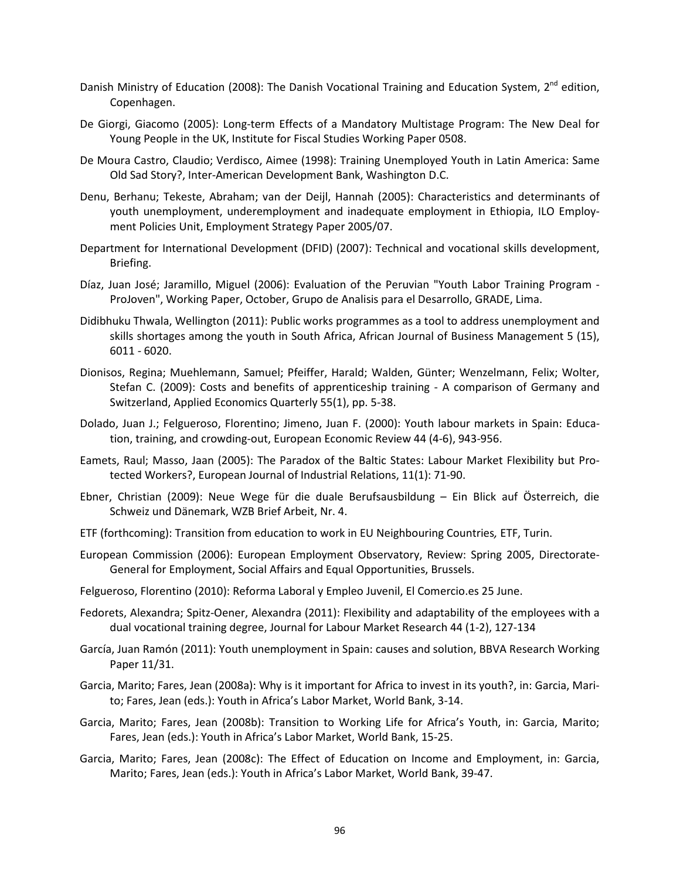- Danish Ministry of Education (2008): The Danish Vocational Training and Education System, 2<sup>nd</sup> edition, Copenhagen.
- De Giorgi, Giacomo (2005): Long-term Effects of a Mandatory Multistage Program: The New Deal for Young People in the UK, Institute for Fiscal Studies Working Paper 0508.
- De Moura Castro, Claudio; Verdisco, Aimee (1998): Training Unemployed Youth in Latin America: Same Old Sad Story?, Inter-American Development Bank, Washington D.C.
- Denu, Berhanu; Tekeste, Abraham; van der Deijl, Hannah (2005): Characteristics and determinants of youth unemployment, underemployment and inadequate employment in Ethiopia, ILO Employment Policies Unit, Employment Strategy Paper 2005/07.
- Department for International Development (DFID) (2007): Technical and vocational skills development, Briefing.
- Díaz, Juan José; Jaramillo, Miguel (2006): Evaluation of the Peruvian "Youth Labor Training Program ProJoven", Working Paper, October, Grupo de Analisis para el Desarrollo, GRADE, Lima.
- Didibhuku Thwala, Wellington (2011): Public works programmes as a tool to address unemployment and skills shortages among the youth in South Africa, African Journal of Business Management 5 (15), 6011 - 6020.
- Dionisos, Regina; Muehlemann, Samuel; Pfeiffer, Harald; Walden, Günter; Wenzelmann, Felix; Wolter, Stefan C. (2009): Costs and benefits of apprenticeship training - A comparison of Germany and Switzerland, Applied Economics Quarterly 55(1), pp. 5-38.
- Dolado, Juan J.; Felgueroso, Florentino; Jimeno, Juan F. (2000): Youth labour markets in Spain: Education, training, and crowding-out, European Economic Review 44 (4-6), 943-956.
- Eamets, Raul; Masso, Jaan (2005): The Paradox of the Baltic States: Labour Market Flexibility but Protected Workers?, European Journal of Industrial Relations, 11(1): 71-90.
- Ebner, Christian (2009): Neue Wege für die duale Berufsausbildung Ein Blick auf Österreich, die Schweiz und Dänemark, WZB Brief Arbeit, Nr. 4.
- ETF (forthcoming): Transition from education to work in EU Neighbouring Countries*,* ETF, Turin.
- European Commission (2006): European Employment Observatory, Review: Spring 2005, Directorate-General for Employment, Social Affairs and Equal Opportunities, Brussels.
- Felgueroso, Florentino (2010): Reforma Laboral y Empleo Juvenil, El Comercio.es 25 June.
- Fedorets, Alexandra; Spitz-Oener, Alexandra (2011): Flexibility and adaptability of the employees with a dual vocational training degree, Journal for Labour Market Research 44 (1-2), 127-134
- García, Juan Ramón (2011): Youth unemployment in Spain: causes and solution, BBVA Research Working Paper 11/31.
- Garcia, Marito; Fares, Jean (2008a): Why is it important for Africa to invest in its youth?, in: Garcia, Marito; Fares, Jean (eds.): Youth in Africa's Labor Market, World Bank, 3-14.
- Garcia, Marito; Fares, Jean (2008b): Transition to Working Life for Africa's Youth, in: Garcia, Marito; Fares, Jean (eds.): Youth in Africa's Labor Market, World Bank, 15-25.
- Garcia, Marito; Fares, Jean (2008c): The Effect of Education on Income and Employment, in: Garcia, Marito; Fares, Jean (eds.): Youth in Africa's Labor Market, World Bank, 39-47.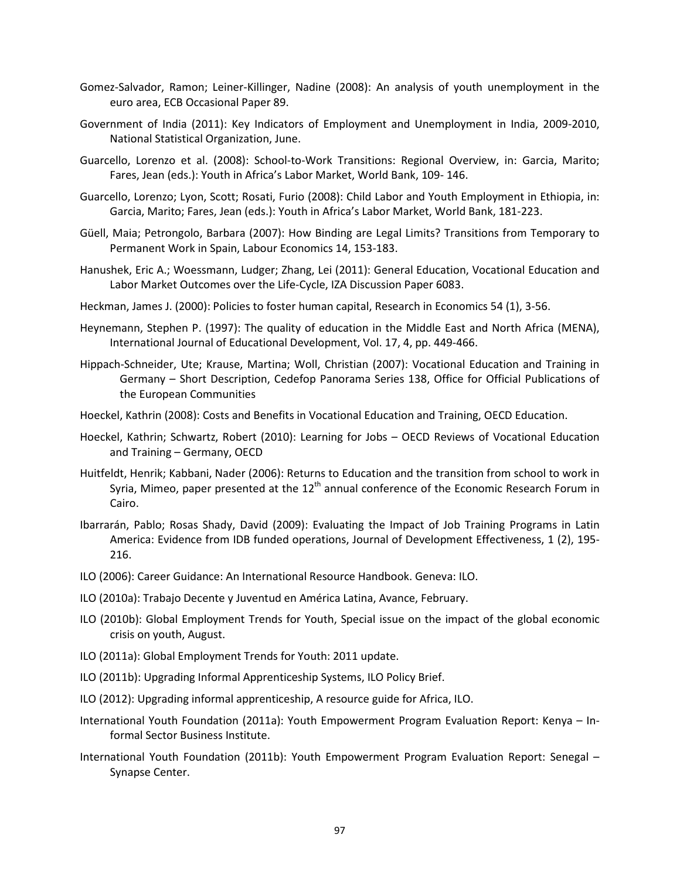- Gomez-Salvador, Ramon; Leiner-Killinger, Nadine (2008): An analysis of youth unemployment in the euro area, ECB Occasional Paper 89.
- Government of India (2011): Key Indicators of Employment and Unemployment in India, 2009-2010, National Statistical Organization, June.
- Guarcello, Lorenzo et al. (2008): School-to-Work Transitions: Regional Overview, in: Garcia, Marito; Fares, Jean (eds.): Youth in Africa's Labor Market, World Bank, 109- 146.
- Guarcello, Lorenzo; Lyon, Scott; Rosati, Furio (2008): Child Labor and Youth Employment in Ethiopia, in: Garcia, Marito; Fares, Jean (eds.): Youth in Africa's Labor Market, World Bank, 181-223.
- Güell, Maia; Petrongolo, Barbara (2007): How Binding are Legal Limits? Transitions from Temporary to Permanent Work in Spain, Labour Economics 14, 153-183.
- Hanushek, Eric A.; Woessmann, Ludger; Zhang, Lei (2011): General Education, Vocational Education and Labor Market Outcomes over the Life-Cycle, IZA Discussion Paper 6083.
- Heckman, James J. (2000): Policies to foster human capital, Research in Economics 54 (1), 3-56.
- Heynemann, Stephen P. (1997): The quality of education in the Middle East and North Africa (MENA), International Journal of Educational Development, Vol. 17, 4, pp. 449-466.
- Hippach-Schneider, Ute; Krause, Martina; Woll, Christian (2007): Vocational Education and Training in Germany – Short Description, Cedefop Panorama Series 138, Office for Official Publications of the European Communities
- Hoeckel, Kathrin (2008): Costs and Benefits in Vocational Education and Training, OECD Education.
- Hoeckel, Kathrin; Schwartz, Robert (2010): Learning for Jobs OECD Reviews of Vocational Education and Training – Germany, OECD
- Huitfeldt, Henrik; Kabbani, Nader (2006): Returns to Education and the transition from school to work in Syria, Mimeo, paper presented at the  $12<sup>th</sup>$  annual conference of the Economic Research Forum in Cairo.
- Ibarrarán, Pablo; Rosas Shady, David (2009): Evaluating the Impact of Job Training Programs in Latin America: Evidence from IDB funded operations, Journal of Development Effectiveness, 1 (2), 195- 216.
- ILO (2006): Career Guidance: An International Resource Handbook. Geneva: ILO.
- ILO (2010a): Trabajo Decente y Juventud en América Latina, Avance, February.
- ILO (2010b): Global Employment Trends for Youth, Special issue on the impact of the global economic crisis on youth, August.
- ILO (2011a): Global Employment Trends for Youth: 2011 update.
- ILO (2011b): Upgrading Informal Apprenticeship Systems, ILO Policy Brief.
- ILO (2012): Upgrading informal apprenticeship, A resource guide for Africa, ILO.
- International Youth Foundation (2011a): Youth Empowerment Program Evaluation Report: Kenya Informal Sector Business Institute.
- International Youth Foundation (2011b): Youth Empowerment Program Evaluation Report: Senegal Synapse Center.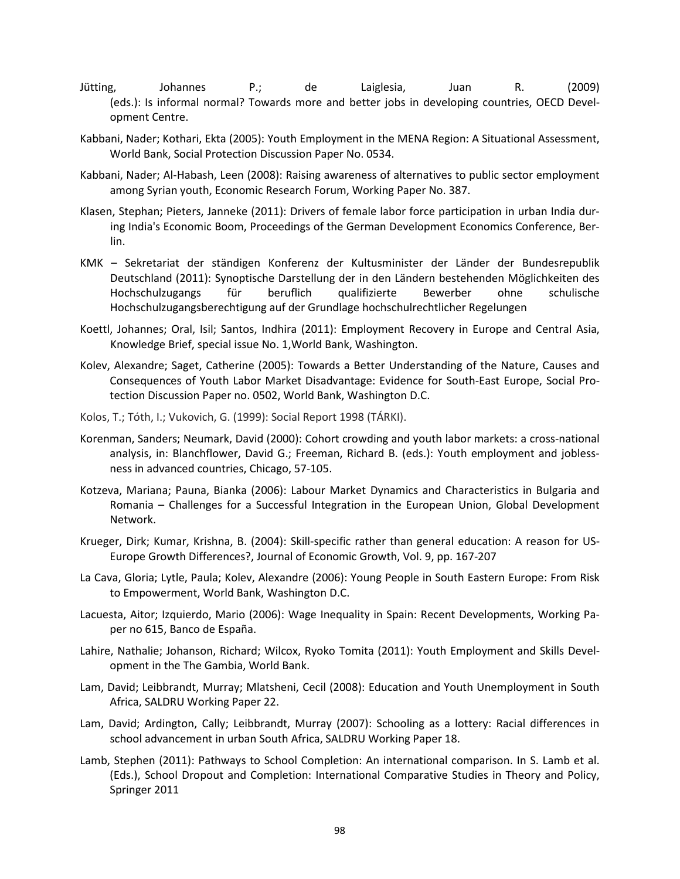- [Jütting,](http://www.econis.eu/DB=1/SET=1/TTL=2/MAT=/NOMAT=T/CLK?IKT=1016&TRM=J%D3tting) Johannes P.; [de](http://www.econis.eu/DB=1/SET=1/TTL=2/MAT=/NOMAT=T/CLK?IKT=1016&TRM=de) [Laiglesia,](http://www.econis.eu/DB=1/SET=1/TTL=2/MAT=/NOMAT=T/CLK?IKT=1016&TRM=Laiglesia) Juan R. (2009) (eds.): [Is](http://www.econis.eu/DB=1/SET=1/TTL=2/MAT=/NOMAT=T/CLK?IKT=1016&TRM=Is) [informal](http://www.econis.eu/DB=1/SET=1/TTL=2/MAT=/NOMAT=T/CLK?IKT=1016&TRM=informal) [normal?](http://www.econis.eu/DB=1/SET=1/TTL=2/MAT=/NOMAT=T/CLK?IKT=1016&TRM=normal) [Towards](http://www.econis.eu/DB=1/SET=1/TTL=2/MAT=/NOMAT=T/CLK?IKT=1016&TRM=towards) [more](http://www.econis.eu/DB=1/SET=1/TTL=2/MAT=/NOMAT=T/CLK?IKT=1016&TRM=more) [and](http://www.econis.eu/DB=1/SET=1/TTL=2/MAT=/NOMAT=T/CLK?IKT=1016&TRM=and) [better](http://www.econis.eu/DB=1/SET=1/TTL=2/MAT=/NOMAT=T/CLK?IKT=1016&TRM=better) [jobs](http://www.econis.eu/DB=1/SET=1/TTL=2/MAT=/NOMAT=T/CLK?IKT=1016&TRM=jobs) [in](http://www.econis.eu/DB=1/SET=1/TTL=2/MAT=/NOMAT=T/CLK?IKT=1016&TRM=in) [developing](http://www.econis.eu/DB=1/SET=1/TTL=2/MAT=/NOMAT=T/CLK?IKT=1016&TRM=developing) [countries,](http://www.econis.eu/DB=1/SET=1/TTL=2/MAT=/NOMAT=T/CLK?IKT=1016&TRM=countries) OECD Development Centre.
- Kabbani, Nader; Kothari, Ekta (2005): Youth Employment in the MENA Region: A Situational Assessment, World Bank, Social Protection Discussion Paper No. 0534.
- Kabbani, Nader; Al-Habash, Leen (2008): Raising awareness of alternatives to public sector employment among Syrian youth, Economic Research Forum, Working Paper No. 387.
- Klasen, Stephan; Pieters, Janneke (2011): Drivers of female labor force participation in urban India during India's Economic Boom, Proceedings of the German Development Economics Conference, Berlin.
- KMK Sekretariat der ständigen Konferenz der Kultusminister der Länder der Bundesrepublik Deutschland (2011): Synoptische Darstellung der in den Ländern bestehenden Möglichkeiten des Hochschulzugangs für beruflich qualifizierte Bewerber ohne schulische Hochschulzugangsberechtigung auf der Grundlage hochschulrechtlicher Regelungen
- Koettl, Johannes; Oral, Isil; Santos, Indhira (2011): Employment Recovery in Europe and Central Asia, Knowledge Brief, special issue No. 1,World Bank, Washington.
- Kolev, Alexandre; Saget, Catherine (2005): Towards a Better Understanding of the Nature, Causes and Consequences of Youth Labor Market Disadvantage: Evidence for South-East Europe, Social Protection Discussion Paper no. 0502, World Bank, Washington D.C.
- Kolos, T.; Tóth, I.; Vukovich, G. (1999): Social Report 1998 (TÁRKI).
- Korenman, Sanders; Neumark, David (2000): Cohort crowding and youth labor markets: a cross-national analysis, in: Blanchflower, David G.; Freeman, Richard B. (eds.): Youth employment and joblessness in advanced countries, Chicago, 57-105.
- Kotzeva, Mariana; Pauna, Bianka (2006): Labour Market Dynamics and Characteristics in Bulgaria and Romania – Challenges for a Successful Integration in the European Union, Global Development Network.
- Krueger, Dirk; Kumar, Krishna, B. (2004): Skill-specific rather than general education: A reason for US-Europe Growth Differences?, Journal of Economic Growth, Vol. 9, pp. 167-207
- La Cava, Gloria; Lytle, Paula; Kolev, Alexandre (2006): Young People in South Eastern Europe: From Risk to Empowerment, World Bank, Washington D.C.
- Lacuesta, Aitor; Izquierdo, Mario (2006): Wage Inequality in Spain: Recent Developments, Working Paper no 615, Banco de España.
- Lahire, Nathalie; Johanson, Richard; Wilcox, Ryoko Tomita (2011): Youth Employment and Skills Development in the The Gambia, World Bank.
- Lam, David; Leibbrandt, Murray; Mlatsheni, Cecil (2008): Education and Youth Unemployment in South Africa, SALDRU Working Paper 22.
- Lam, David; Ardington, Cally; Leibbrandt, Murray (2007): Schooling as a lottery: Racial differences in school advancement in urban South Africa, [SALDRU Working Paper](http://ideas.repec.org/s/ldr/wpaper.html) 18.
- Lamb, Stephen (2011): Pathways to School Completion: An international comparison. In S. Lamb et al. (Eds.), School Dropout and Completion: International Comparative Studies in Theory and Policy, Springer 2011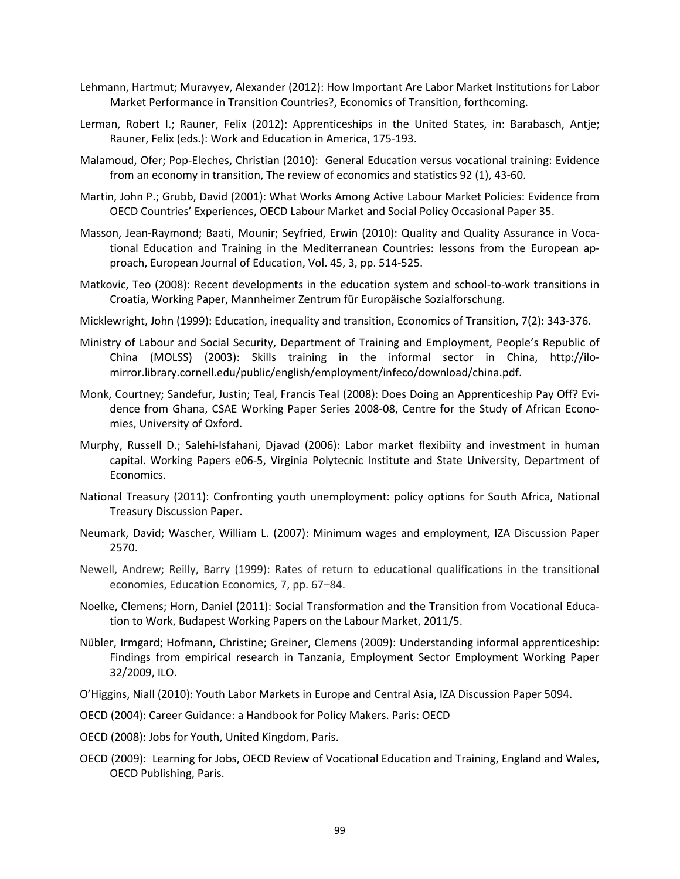- Lehmann, Hartmut; Muravyev, Alexander (2012): How Important Are Labor Market Institutions for Labor Market Performance in Transition Countries?, Economics of Transition, forthcoming.
- Lerman, Robert I.; Rauner, Felix (2012): Apprenticeships in the United States, in: Barabasch, Antje; Rauner, Felix (eds.): Work and Education in America, 175-193.
- Malamoud, Ofer; Pop-Eleches, Christian (2010): General Education versus vocational training: Evidence from an economy in transition, The review of economics and statistics 92 (1), 43-60.
- Martin, John P.; Grubb, David (2001): What Works Among Active Labour Market Policies: Evidence from OECD Countries' Experiences, OECD Labour Market and Social Policy Occasional Paper 35.
- Masson, Jean-Raymond; Baati, Mounir; Seyfried, Erwin (2010): Quality and Quality Assurance in Vocational Education and Training in the Mediterranean Countries: lessons from the European approach, European Journal of Education, Vol. 45, 3, pp. 514-525.
- Matkovic, Teo (2008): Recent developments in the education system and school-to-work transitions in Croatia, Working Paper, Mannheimer Zentrum für Europäische Sozialforschung.
- Micklewright, John (1999): Education, inequality and transition, Economics of Transition, 7(2): 343-376.
- Ministry of Labour and Social Security, Department of Training and Employment, People's Republic of China (MOLSS) (2003): Skills training in the informal sector in China, http://ilomirror.library.cornell.edu/public/english/employment/infeco/download/china.pdf.
- Monk, Courtney; Sandefur, Justin; Teal, Francis Teal (2008): Does Doing an Apprenticeship Pay Off? Evidence from Ghana, CSAE Working Paper Series 2008-08, Centre for the Study of African Economies, University of Oxford.
- Murphy, Russell D.; Salehi-Isfahani, Djavad (2006): Labor market flexibiity and investment in human capital. Working Papers e06-5, Virginia Polytecnic Institute and State University, Department of Economics.
- National Treasury (2011): Confronting youth unemployment: policy options for South Africa, National Treasury Discussion Paper.
- Neumark, David; Wascher, William L. (2007): Minimum wages and employment, IZA Discussion Paper 2570.
- Newell, Andrew; Reilly, Barry (1999): Rates of return to educational qualifications in the transitional economies, Education Economics*,* 7, pp. 67–84.
- Noelke, Clemens; Horn, Daniel (2011): Social Transformation and the Transition from Vocational Education to Work, Budapest Working Papers on the Labour Market, 2011/5.
- Nübler, Irmgard; Hofmann, Christine; Greiner, Clemens (2009): Understanding informal apprenticeship: Findings from empirical research in Tanzania, Employment Sector Employment Working Paper 32/2009, ILO.
- O'Higgins, Niall (2010): Youth Labor Markets in Europe and Central Asia, IZA Discussion Paper 5094.
- OECD (2004): Career Guidance: a Handbook for Policy Makers. Paris: OECD
- OECD (2008): Jobs for Youth, United Kingdom, Paris.
- OECD (2009): Learning for Jobs, OECD Review of Vocational Education and Training, England and Wales, OECD Publishing, Paris.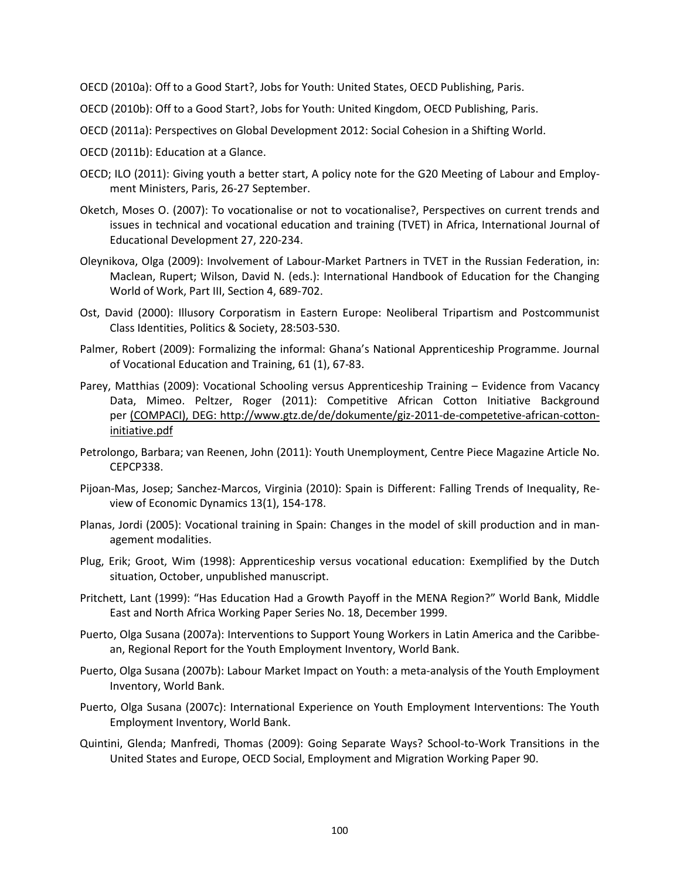OECD (2010a): Off to a Good Start?, Jobs for Youth: United States, OECD Publishing, Paris.

- OECD (2010b): Off to a Good Start?, Jobs for Youth: United Kingdom, OECD Publishing, Paris.
- OECD (2011a): Perspectives on Global Development 2012: Social Cohesion in a Shifting World.
- OECD (2011b): Education at a Glance.
- OECD; ILO (2011): Giving youth a better start, A policy note for the G20 Meeting of Labour and Employment Ministers, Paris, 26-27 September.
- Oketch, Moses O. (2007): To vocationalise or not to vocationalise?, Perspectives on current trends and issues in technical and vocational education and training (TVET) in Africa, International Journal of Educational Development 27, 220-234.
- Oleynikova, Olga (2009): Involvement of Labour-Market Partners in TVET in the Russian Federation, in: Maclean, Rupert; Wilson, David N. (eds.): International Handbook of Education for the Changing World of Work, Part III, Section 4, 689-702.
- Ost, David (2000): Illusory Corporatism in Eastern Europe: Neoliberal Tripartism and Postcommunist Class Identities, Politics & Society, 28:503-530.
- Palmer, Robert (2009): Formalizing the informal: Ghana's National Apprenticeship Programme. Journal of Vocational Education and Training, 61 (1), 67-83.
- Parey, Matthias (2009): Vocational Schooling versus Apprenticeship Training Evidence from Vacancy Data, Mimeo. Peltzer, Roger (2011): Competitive African Cotton Initiative Background per (COMPACI), DEG: [http://www.gtz.de/de/dokumente/giz-2011-de-competetive-african-cotton](http://www.gtz.de/de/dokumente/giz-2011-de-competetive-african-cotton-initiative.pdf)[initiative.pdf](http://www.gtz.de/de/dokumente/giz-2011-de-competetive-african-cotton-initiative.pdf)
- Petrolongo, Barbara; van Reenen, John (2011): Youth Unemployment, Centre Piece Magazine Article No. CEPCP338.
- Pijoan-Mas, Josep; Sanchez-Marcos, Virginia (2010): Spain is Different: Falling Trends of Inequality, Review of Economic Dynamics 13(1), 154-178.
- Planas, Jordi (2005): Vocational training in Spain: Changes in the model of skill production and in management modalities.
- Plug, Erik; Groot, Wim (1998): Apprenticeship versus vocational education: Exemplified by the Dutch situation, October, unpublished manuscript.
- Pritchett, Lant (1999): "Has Education Had a Growth Payoff in the MENA Region?" World Bank, Middle East and North Africa Working Paper Series No. 18, December 1999.
- Puerto, Olga Susana (2007a): Interventions to Support Young Workers in Latin America and the Caribbean, Regional Report for the Youth Employment Inventory, World Bank.
- Puerto, Olga Susana (2007b): Labour Market Impact on Youth: a meta-analysis of the Youth Employment Inventory, World Bank.
- Puerto, Olga Susana (2007c): International Experience on Youth Employment Interventions: The Youth Employment Inventory, World Bank.
- Quintini, Glenda; Manfredi, Thomas (2009): Going Separate Ways? School-to-Work Transitions in the United States and Europe, OECD Social, Employment and Migration Working Paper 90.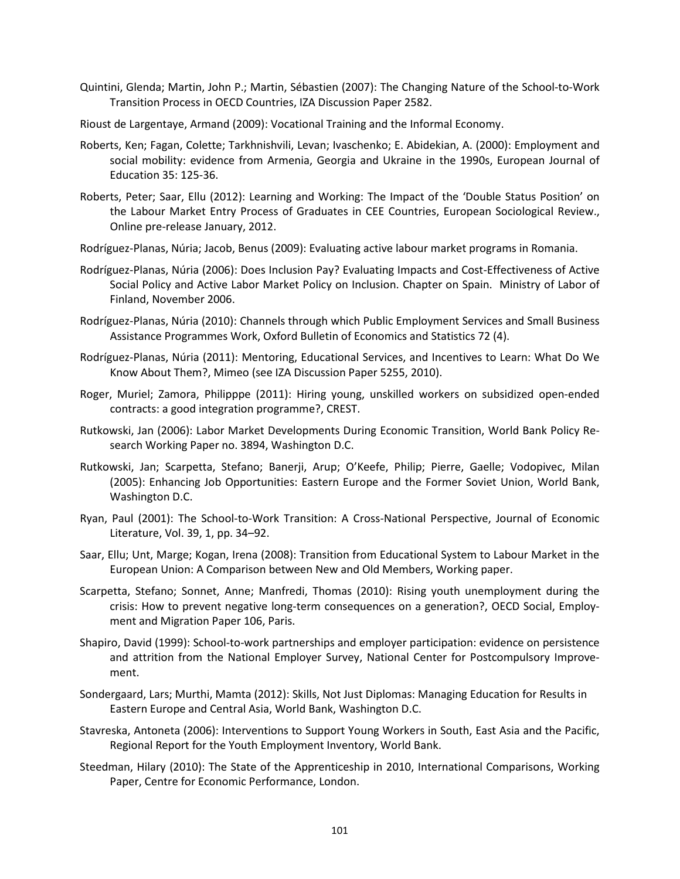- Quintini, Glenda; Martin, John P.; Martin, Sébastien (2007): The Changing Nature of the School-to-Work Transition Process in OECD Countries, IZA Discussion Paper 2582.
- Rioust de Largentaye, Armand (2009): Vocational Training and the Informal Economy.
- Roberts, Ken; Fagan, Colette; Tarkhnishvili, Levan; Ivaschenko; E. Abidekian, A. (2000): Employment and social mobility: evidence from Armenia, Georgia and Ukraine in the 1990s, European Journal of Education 35: 125-36.
- Roberts, Peter; Saar, Ellu (2012): Learning and Working: The Impact of the 'Double Status Position' on the Labour Market Entry Process of Graduates in CEE Countries, European Sociological Review., Online pre-release January, 2012.
- Rodríguez-Planas, Núria; Jacob, Benus (2009): Evaluating active labour market programs in Romania.
- Rodríguez-Planas, Núria (2006): Does Inclusion Pay? Evaluating Impacts and Cost-Effectiveness of Active Social Policy and Active Labor Market Policy on Inclusion. Chapter on Spain. Ministry of Labor of Finland, November 2006.
- Rodríguez-Planas, Núria (2010): Channels through which Public Employment Services and Small Business Assistance Programmes Work, Oxford Bulletin of Economics and Statistics 72 (4).
- Rodríguez-Planas, Núria (2011): Mentoring, Educational Services, and Incentives to Learn: What Do We Know About Them?, Mimeo (see IZA Discussion Paper 5255, 2010).
- Roger, Muriel; Zamora, Philipppe (2011): Hiring young, unskilled workers on subsidized open-ended contracts: a good integration programme?, CREST.
- Rutkowski, Jan (2006): Labor Market Developments During Economic Transition, World Bank Policy Research Working Paper no. 3894, Washington D.C.
- Rutkowski, Jan; Scarpetta, Stefano; Banerji, Arup; O'Keefe, Philip; Pierre, Gaelle; Vodopivec, Milan (2005): Enhancing Job Opportunities: Eastern Europe and the Former Soviet Union, World Bank, Washington D.C.
- Ryan, Paul (2001): The School-to-Work Transition: A Cross-National Perspective, Journal of Economic Literature, Vol. 39, 1, pp. 34–92.
- Saar, Ellu; Unt, Marge; Kogan, Irena (2008): Transition from Educational System to Labour Market in the European Union: A Comparison between New and Old Members, Working paper.
- Scarpetta, Stefano; Sonnet, Anne; Manfredi, Thomas (2010): Rising youth unemployment during the crisis: How to prevent negative long-term consequences on a generation?, OECD Social, Employment and Migration Paper 106, Paris.
- Shapiro, David (1999): School-to-work partnerships and employer participation: evidence on persistence and attrition from the National Employer Survey, National Center for Postcompulsory Improvement.
- Sondergaard, Lars; Murthi, Mamta (2012): Skills, Not Just Diplomas: Managing Education for Results in Eastern Europe and Central Asia, World Bank, Washington D.C.
- Stavreska, Antoneta (2006): Interventions to Support Young Workers in South, East Asia and the Pacific, Regional Report for the Youth Employment Inventory, World Bank.
- Steedman, Hilary (2010): The State of the Apprenticeship in 2010, International Comparisons, Working Paper, Centre for Economic Performance, London.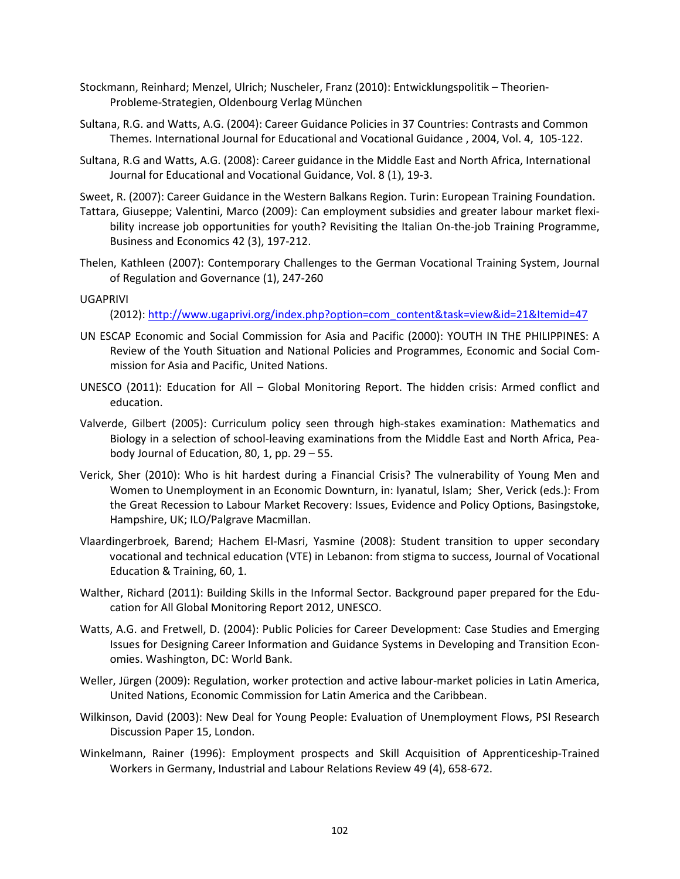- Stockmann, Reinhard; Menzel, Ulrich; Nuscheler, Franz (2010): Entwicklungspolitik Theorien-Probleme-Strategien, Oldenbourg Verlag München
- Sultana, R.G. and Watts, A.G. (2004): Career Guidance Policies in 37 Countries: Contrasts and Common Themes. International Journal for Educational and Vocational Guidance , 2004, Vol. 4, 105-122.
- Sultana, R.G and Watts, A.G. (2008): Career guidance in the Middle East and North Africa, International Journal for Educational and Vocational Guidance, Vol. 8 (1), 19-3.
- Sweet, R. (2007): Career Guidance in the Western Balkans Region. Turin: European Training Foundation.
- Tattara, Giuseppe; Valentini, Marco (2009): Can employment subsidies and greater labour market flexibility increase job opportunities for youth? Revisiting the Italian On-the-job Training Programme, Business and Economics 42 (3), 197-212.
- Thelen, Kathleen (2007): Contemporary Challenges to the German Vocational Training System, Journal of Regulation and Governance (1), 247-260

#### UGAPRIVI

(2012): [http://www.ugaprivi.org/index.php?option=com\\_content&task=view&id=21&Itemid=47](http://www.ugaprivi.org/index.php?option=com_content&task=view&id=21&Itemid=47)

- UN ESCAP Economic and Social Commission for Asia and Pacific (2000): YOUTH IN THE PHILIPPINES: A Review of the Youth Situation and National Policies and Programmes, Economic and Social Commission for Asia and Pacific, United Nations.
- UNESCO (2011): Education for All Global Monitoring Report. The hidden crisis: Armed conflict and education.
- Valverde, Gilbert (2005): Curriculum policy seen through high-stakes examination: Mathematics and Biology in a selection of school-leaving examinations from the Middle East and North Africa, Peabody Journal of Education, 80, 1, pp. 29 – 55.
- Verick, Sher (2010): Who is hit hardest during a Financial Crisis? The vulnerability of Young Men and Women to Unemployment in an Economic Downturn, in: Iyanatul, Islam; Sher, Verick (eds.): From the Great Recession to Labour Market Recovery: Issues, Evidence and Policy Options, Basingstoke, Hampshire, UK; ILO/Palgrave Macmillan.
- Vlaardingerbroek, Barend; Hachem El-Masri, Yasmine (2008): Student transition to upper secondary vocational and technical education (VTE) in Lebanon: from stigma to success, Journal of Vocational Education & Training, 60, 1.
- Walther, Richard (2011): Building Skills in the Informal Sector. Background paper prepared for the Education for All Global Monitoring Report 2012, UNESCO.
- Watts, A.G. and Fretwell, D. (2004): Public Policies for Career Development: Case Studies and Emerging Issues for Designing Career Information and Guidance Systems in Developing and Transition Economies. Washington, DC: World Bank.
- Weller, Jürgen (2009): Regulation, worker protection and active labour-market policies in Latin America, United Nations, Economic Commission for Latin America and the Caribbean.
- Wilkinson, David (2003): New Deal for Young People: Evaluation of Unemployment Flows, PSI Research Discussion Paper 15, London.
- Winkelmann, Rainer (1996): Employment prospects and Skill Acquisition of Apprenticeship-Trained Workers in Germany, Industrial and Labour Relations Review 49 (4), 658-672.